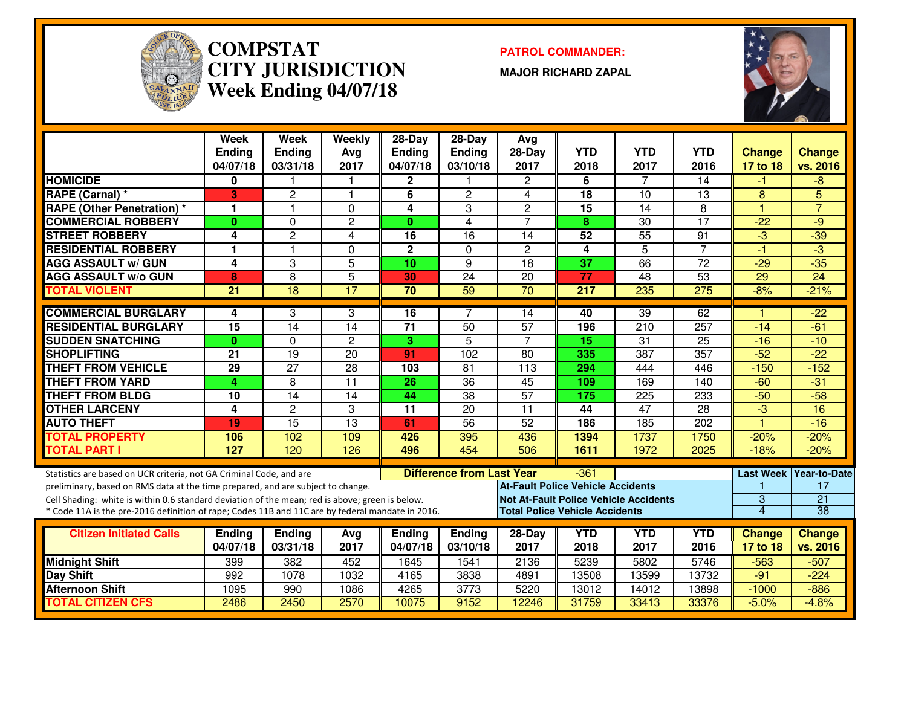

#### **COMPSTAT PATROL COMMANDER: CITY JURISDICTIONWeek Ending 04/07/18**

**MAJOR RICHARD ZAPAL**



|                                                                                                  | Week<br><b>Ending</b><br>04/07/18 | Week<br><b>Ending</b><br>03/31/18 | Weekly<br>Avg<br>2017 | 28-Day<br>Ending<br>04/07/18 | 28-Day<br><b>Ending</b><br>03/10/18 | Avg<br>28-Day<br>2017                        | <b>YTD</b><br>2018 | <b>YTD</b><br>2017 | <b>YTD</b><br>2016 | <b>Change</b><br>17 to 18 | <b>Change</b><br>vs. 2016 |
|--------------------------------------------------------------------------------------------------|-----------------------------------|-----------------------------------|-----------------------|------------------------------|-------------------------------------|----------------------------------------------|--------------------|--------------------|--------------------|---------------------------|---------------------------|
| <b>HOMICIDE</b>                                                                                  | 0                                 |                                   | 1                     | 2                            |                                     | $\overline{c}$                               | 6                  | 7                  | 14                 | -1                        | -8                        |
| <b>RAPE (Carnal) *</b>                                                                           | 3                                 | $\overline{2}$                    | $\mathbf{1}$          | 6                            | $\mathbf{2}$                        | 4                                            | 18                 | 10                 | 13                 | 8                         | 5                         |
| <b>RAPE (Other Penetration) *</b>                                                                | -1                                | $\mathbf{1}$                      | $\Omega$              | 4                            | 3                                   | 2                                            | 15                 | 14                 | 8                  | $\overline{1}$            | $\overline{7}$            |
| <b>COMMERCIAL ROBBERY</b>                                                                        | $\mathbf{0}$                      | $\Omega$                          | $\overline{c}$        | $\mathbf{0}$                 | $\overline{4}$                      | $\overline{7}$                               | 8                  | 30                 | 17                 | $-22$                     | -9                        |
| <b>STREET ROBBERY</b>                                                                            | 4                                 | $\overline{c}$                    | 4                     | 16                           | 16                                  | 14                                           | 52                 | $\overline{55}$    | 91                 | $-3$                      | $-39$                     |
| <b>RESIDENTIAL ROBBERY</b>                                                                       | 1                                 | $\blacktriangleleft$              | $\Omega$              | $\overline{\mathbf{c}}$      | $\Omega$                            | $\overline{c}$                               | 4                  | $\overline{5}$     | $\overline{7}$     | $-1$                      | $\overline{3}$            |
| <b>AGG ASSAULT w/ GUN</b>                                                                        | 4                                 | $\overline{3}$                    | $\overline{5}$        | 10                           | $\overline{9}$                      | $\overline{18}$                              | 37                 | 66                 | $\overline{72}$    | $-29$                     | $-35$                     |
| <b>AGG ASSAULT w/o GUN</b>                                                                       | 8                                 | 8                                 | 5                     | 30                           | 24                                  | 20                                           | 77                 | 48                 | 53                 | 29                        | 24                        |
| <b>TOTAL VIOLENT</b>                                                                             | 21                                | 18                                | 17                    | 70                           | 59                                  | 70                                           | 217                | 235                | 275                | $-8%$                     | $-21%$                    |
| <b>COMMERCIAL BURGLARY</b>                                                                       | 4                                 | 3                                 | 3                     | 16                           | $\overline{7}$                      | 14                                           | 40                 | $\overline{39}$    | 62                 |                           | $-22$                     |
| <b>RESIDENTIAL BURGLARY</b>                                                                      | 15                                | 14                                | 14                    | 71                           | 50                                  | 57                                           | 196                | 210                | 257                | $-14$                     | $-61$                     |
| <b>SUDDEN SNATCHING</b>                                                                          | $\bf{0}$                          | $\Omega$                          | $\overline{c}$        | 3                            | $\overline{5}$                      | $\overline{7}$                               | 15                 | $\overline{31}$    | 25                 | $-16$                     | $-10$                     |
| <b>SHOPLIFTING</b>                                                                               | $\overline{21}$                   | $\overline{19}$                   | $\overline{20}$       | 91                           | 102                                 | 80                                           | 335                | $\overline{387}$   | 357                | $-52$                     | $-22$                     |
| <b>THEFT FROM VEHICLE</b>                                                                        | 29                                | 27                                | 28                    | 103                          | 81                                  | 113                                          | 294                | 444                | 446                | $-150$                    | $-152$                    |
| <b>THEFT FROM YARD</b>                                                                           | 4                                 | 8                                 | $\overline{11}$       | 26                           | $\overline{36}$                     | 45                                           | 109                | 169                | 140                | $-60$                     | $-31$                     |
| <b>THEFT FROM BLDG</b>                                                                           | 10                                | $\overline{14}$                   | 14                    | 44                           | $\overline{38}$                     | $\overline{57}$                              | 175                | 225                | 233                | $-50$                     | $-58$                     |
| <b>OTHER LARCENY</b>                                                                             | 4                                 | $\overline{2}$                    | 3                     | 11                           | 20                                  | 11                                           | 44                 | 47                 | 28                 | -3                        | 16                        |
| <b>AUTO THEFT</b>                                                                                | 19                                | $\overline{15}$                   | 13                    | 61                           | $\overline{56}$                     | $\overline{52}$                              | 186                | 185                | 202                | $\overline{1}$            | $-16$                     |
| <b>TOTAL PROPERTY</b>                                                                            | 106                               | 102                               | 109                   | 426                          | 395                                 | 436                                          | 1394               | 1737               | 1750               | $-20%$                    | $-20%$                    |
| <b>TOTAL PART I</b>                                                                              | 127                               | 120                               | 126                   | 496                          | 454                                 | 506                                          | 1611               | 1972               | 2025               | $-18%$                    | $-20%$                    |
| Statistics are based on UCR criteria, not GA Criminal Code, and are                              |                                   |                                   |                       |                              | <b>Difference from Last Year</b>    |                                              | $-361$             |                    |                    |                           | Last Week   Year-to-Date  |
| preliminary, based on RMS data at the time prepared, and are subject to change.                  |                                   |                                   |                       |                              |                                     | <b>At-Fault Police Vehicle Accidents</b>     |                    |                    |                    |                           | 17                        |
| Cell Shading: white is within 0.6 standard deviation of the mean; red is above; green is below.  |                                   |                                   |                       |                              |                                     | <b>Not At-Fault Police Vehicle Accidents</b> |                    |                    |                    | $\overline{3}$            | $\overline{21}$           |
| * Code 11A is the pre-2016 definition of rape; Codes 11B and 11C are by federal mandate in 2016. |                                   |                                   |                       |                              |                                     | <b>Total Police Vehicle Accidents</b>        |                    |                    |                    | 4                         | 38                        |
| <b>Citizen Initiated Calls</b>                                                                   | <b>Ending</b>                     | <b>Ending</b>                     | Avg                   | <b>Ending</b>                | <b>Ending</b>                       | 28-Day                                       | <b>YTD</b>         | <b>YTD</b>         | <b>YTD</b>         | <b>Change</b>             | Change                    |
|                                                                                                  | 04/07/18                          | 03/31/18                          | 2017                  | 04/07/18                     | 03/10/18                            | 2017                                         | 2018               | 2017               | 2016               | 17 to 18                  | vs. 2016                  |
| <b>Midnight Shift</b>                                                                            | 399                               | 382                               | 452                   | 1645                         | 1541                                | 2136                                         | 5239               | 5802               | 5746               | $-563$                    | $-507$                    |
| Day Shift                                                                                        | 992                               | 1078                              | 1032                  | 4165                         | 3838                                | 4891                                         | 13508              | 13599              | 13732              | $-91$                     | $-224$                    |
| <b>Afternoon Shift</b>                                                                           | 1095                              | 990                               | 1086                  | 4265                         | 3773                                | 5220                                         | 13012              | 14012              | 13898              | $-1000$                   | $-886$                    |
| <b>TOTAL CITIZEN CFS</b>                                                                         | 2486                              | 2450                              | 2570                  | 10075                        | 9152                                | 12246                                        | 31759              | 33413              | 33376              | $-5.0%$                   | $-4.8%$                   |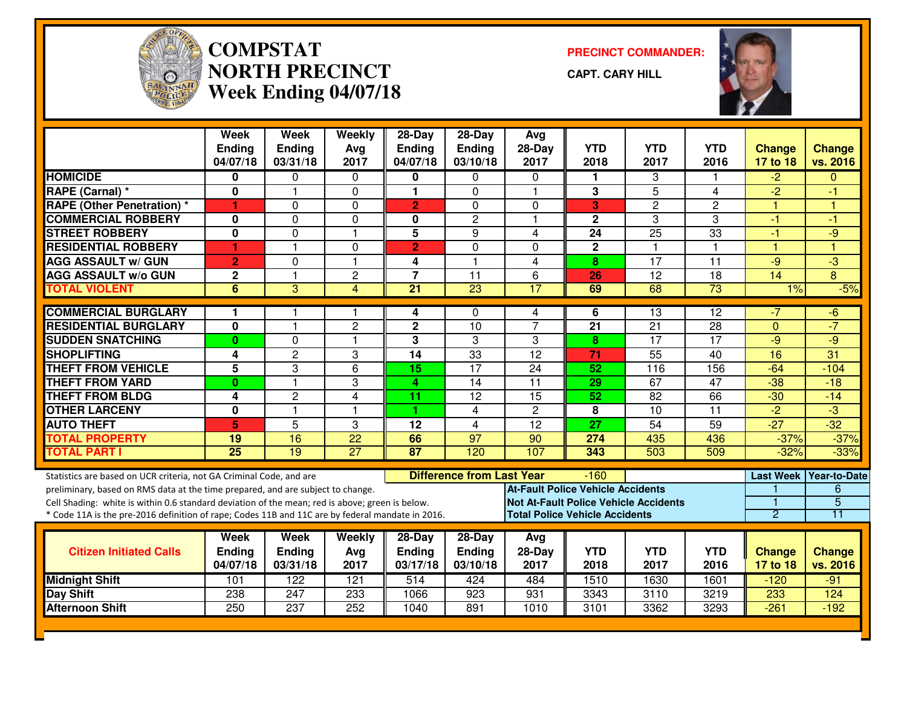

# **COMPSTAT PRECINCT COMMANDER: NORTH PRECINCTWeek Ending 04/07/18**

**CAPT. CARY HILL**



|                                                                                                  | <b>Week</b><br><b>Ending</b><br>04/07/18 | <b>Week</b><br><b>Ending</b><br>03/31/18 | Weekly<br>Avg<br>2017 | $28-Day$<br><b>Ending</b><br>04/07/18 | $28-Day$<br>Ending<br>03/10/18   | Avg<br>$28-Day$<br>2017                      | <b>YTD</b><br>2018 | <b>YTD</b><br>2017 | <b>YTD</b><br>2016 | <b>Change</b><br>17 to 18 | <b>Change</b><br>vs. 2016 |
|--------------------------------------------------------------------------------------------------|------------------------------------------|------------------------------------------|-----------------------|---------------------------------------|----------------------------------|----------------------------------------------|--------------------|--------------------|--------------------|---------------------------|---------------------------|
| <b>HOMICIDE</b>                                                                                  | 0                                        | 0                                        | 0                     | 0                                     | 0                                | 0                                            | 1.                 | 3                  |                    | $-2$                      | $\Omega$                  |
| <b>RAPE (Carnal)</b> *                                                                           | 0                                        |                                          | 0                     | 1.                                    | $\Omega$                         | 1                                            | 3                  | $\overline{5}$     | 4                  | $\overline{2}$            | -1                        |
| <b>RAPE (Other Penetration) *</b>                                                                | 1                                        | $\Omega$                                 | $\Omega$              | $\overline{2}$                        | $\Omega$                         | $\Omega$                                     | 3                  | $\overline{c}$     | $\overline{c}$     | 1                         | 1                         |
| <b>COMMERCIAL ROBBERY</b>                                                                        | $\mathbf 0$                              | $\overline{0}$                           | $\mathbf 0$           | 0                                     | $\overline{2}$                   | $\overline{1}$                               | $\mathbf{2}$       | $\overline{3}$     | $\overline{3}$     | $-1$                      | -1                        |
| <b>STREET ROBBERY</b>                                                                            | $\overline{\mathbf{0}}$                  | 0                                        | $\mathbf{1}$          | $\overline{5}$                        | 9                                | $\overline{\mathbf{4}}$                      | 24                 | $\overline{25}$    | $\overline{33}$    | $-1$                      | $-9$                      |
| <b>RESIDENTIAL ROBBERY</b>                                                                       | 1                                        | $\overline{1}$                           | 0                     | $\overline{2}$                        | 0                                | $\Omega$                                     | $\mathbf 2$        | $\mathbf{1}$       | $\mathbf{1}$       | $\overline{1}$            | $\overline{1}$            |
| <b>AGG ASSAULT w/ GUN</b>                                                                        | $\overline{2}$                           | $\mathbf 0$                              | $\mathbf{1}$          | 4                                     | $\mathbf{1}$                     | $\overline{\mathbf{4}}$                      | 8                  | 17                 | $\overline{11}$    | $-9$                      | $\overline{3}$            |
| <b>AGG ASSAULT w/o GUN</b>                                                                       | $\mathbf 2$                              |                                          | $\overline{c}$        | $\overline{7}$                        | 11                               | 6                                            | 26                 | 12                 | 18                 | 14                        | 8                         |
| <b>TOTAL VIOLENT</b>                                                                             | $\overline{6}$                           | $\overline{3}$                           | $\overline{4}$        | $\overline{21}$                       | $\overline{23}$                  | 17                                           | 69                 | 68                 | 73                 | 1%                        | $-5%$                     |
| <b>COMMERCIAL BURGLARY</b>                                                                       | 1                                        |                                          |                       | 4                                     | 0                                | 4                                            |                    | 13                 | 12                 | $-7$                      | $-6$                      |
| <b>RESIDENTIAL BURGLARY</b>                                                                      | $\bf{0}$                                 |                                          | $\overline{c}$        | $\mathbf{2}$                          | 10                               | $\overline{7}$                               | 6<br>21            | 21                 | 28                 | $\Omega$                  | $-7$                      |
| <b>SUDDEN SNATCHING</b>                                                                          | $\bf{0}$                                 | $\Omega$                                 | $\overline{1}$        | 3                                     | 3                                | 3                                            | 8                  | 17                 | $\overline{17}$    | $-9$                      | $-9$                      |
| <b>SHOPLIFTING</b>                                                                               | 4                                        | $\overline{2}$                           | 3                     | $\overline{14}$                       | 33                               | $\overline{12}$                              | $\overline{71}$    | 55                 | 40                 | 16                        | 31                        |
| <b>THEFT FROM VEHICLE</b>                                                                        | 5                                        | 3                                        | 6                     | 15                                    | 17                               | 24                                           | 52                 | 116                | 156                | $-64$                     | $-104$                    |
| <b>THEFT FROM YARD</b>                                                                           | 0                                        | 1                                        | 3                     | 4                                     | $\overline{14}$                  | $\overline{11}$                              | 29                 | 67                 | $\overline{47}$    | $-38$                     | $-18$                     |
| <b>THEFT FROM BLDG</b>                                                                           | 4                                        | $\overline{c}$                           | 4                     | 11                                    | 12                               | $\overline{15}$                              | 52                 | 82                 | 66                 | $-30$                     | $-14$                     |
| <b>OTHER LARCENY</b>                                                                             | 0                                        | 1                                        | $\mathbf{1}$          | 1                                     | 4                                | $\mathbf{2}$                                 | 8                  | 10                 | 11                 | $-2$                      | $-3$                      |
| <b>AUTO THEFT</b>                                                                                | 5                                        | 5                                        | 3                     | $\overline{12}$                       | $\overline{4}$                   | $\overline{12}$                              | $\overline{27}$    | 54                 | 59                 | $-27$                     | $-32$                     |
| <b>TOTAL PROPERTY</b>                                                                            | 19                                       | 16                                       | $\overline{22}$       | 66                                    | $\overline{97}$                  | $\overline{90}$                              | 274                | 435                | 436                | $-37%$                    | $-37%$                    |
| <b>TOTAL PART I</b>                                                                              | $\overline{25}$                          | $\overline{19}$                          | 27                    | 87                                    | 120                              | 107                                          | 343                | 503                | 509                | $-32%$                    | $-33%$                    |
| Statistics are based on UCR criteria, not GA Criminal Code, and are                              |                                          |                                          |                       |                                       | <b>Difference from Last Year</b> |                                              | $-160$             |                    |                    |                           | Last Week Year-to-Date    |
| preliminary, based on RMS data at the time prepared, and are subject to change.                  |                                          |                                          |                       |                                       |                                  | <b>At-Fault Police Vehicle Accidents</b>     |                    |                    |                    |                           | 6                         |
| Cell Shading: white is within 0.6 standard deviation of the mean; red is above; green is below.  |                                          |                                          |                       |                                       |                                  | <b>Not At-Fault Police Vehicle Accidents</b> |                    |                    |                    |                           | $\overline{5}$            |
| * Code 11A is the pre-2016 definition of rape; Codes 11B and 11C are by federal mandate in 2016. |                                          |                                          |                       |                                       |                                  | <b>Total Police Vehicle Accidents</b>        |                    |                    |                    | 2                         | 11                        |
|                                                                                                  | Week                                     | <b>Week</b>                              | Weekly                | $28-Day$                              | $28-Day$                         | Avg                                          |                    |                    |                    |                           |                           |
| <b>Citizen Initiated Calls</b>                                                                   | <b>Ending</b>                            | <b>Ending</b>                            | Avg                   | <b>Ending</b>                         | <b>Ending</b>                    | $28-Day$                                     | <b>YTD</b>         | <b>YTD</b>         | <b>YTD</b>         | <b>Change</b>             | <b>Change</b>             |
|                                                                                                  | 04/07/18                                 | 03/31/18                                 | 2017                  | 03/17/18                              | 03/10/18                         | 2017                                         | 2018               | 2017               | 2016               | 17 to 18                  | vs. 2016                  |
| <b>Midnight Shift</b>                                                                            | 101                                      | $\overline{122}$                         | 121                   | 514                                   | 424                              | 484                                          | 1510               | 1630               | 1601               | $-120$                    | $-91$                     |
| Day Shift                                                                                        | 238                                      | 247                                      | 233                   | 1066                                  | 923                              | 931                                          | 3343               | 3110               | 3219               | 233                       | 124                       |
| <b>Afternoon Shift</b>                                                                           | 250                                      | 237                                      | 252                   | 1040                                  | 891                              | 1010                                         | 3101               | 3362               | 3293               | $-261$                    | $-192$                    |
|                                                                                                  |                                          |                                          |                       |                                       |                                  |                                              |                    |                    |                    |                           |                           |
|                                                                                                  |                                          |                                          |                       |                                       |                                  |                                              |                    |                    |                    |                           |                           |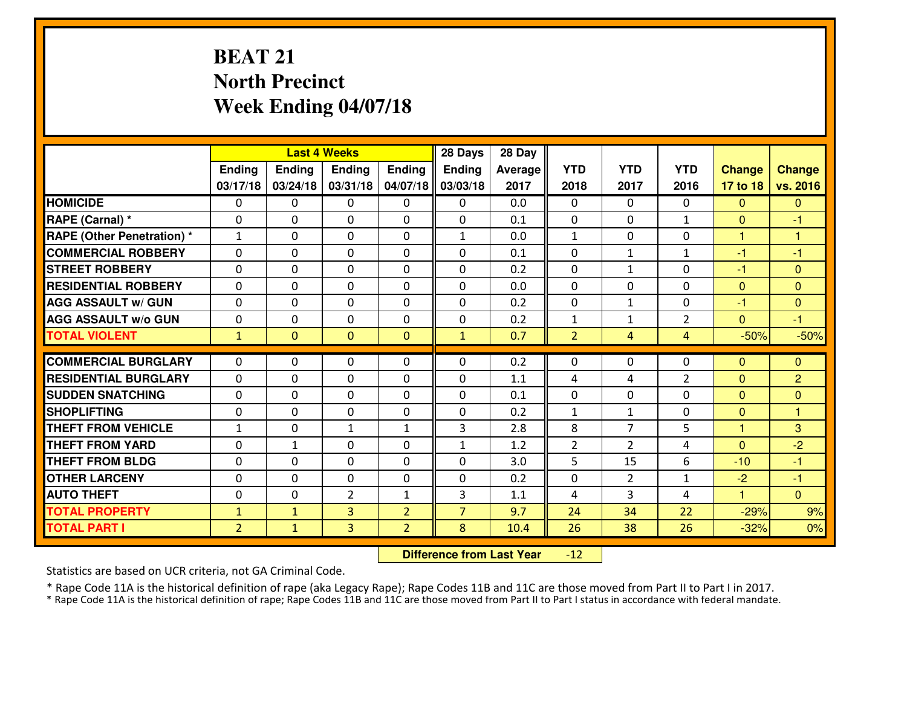## **BEAT 21 North PrecinctWeek Ending 04/07/18**

|                                   |                   |                | <b>Last 4 Weeks</b> |                | 28 Days        | 28 Day     |                             |                                |                |                              |                                |
|-----------------------------------|-------------------|----------------|---------------------|----------------|----------------|------------|-----------------------------|--------------------------------|----------------|------------------------------|--------------------------------|
|                                   | <b>Ending</b>     | <b>Ending</b>  | <b>Ending</b>       | <b>Ending</b>  | <b>Ending</b>  | Average    | <b>YTD</b>                  | <b>YTD</b>                     | <b>YTD</b>     | <b>Change</b>                | <b>Change</b>                  |
|                                   | 03/17/18          | 03/24/18       | 03/31/18            | 04/07/18       | 03/03/18       | 2017       | 2018                        | 2017                           | 2016           | 17 to 18                     | vs. 2016                       |
| <b>HOMICIDE</b>                   | $\mathbf{0}$      | 0              | $\mathbf{0}$        | $\mathbf{0}$   | $\Omega$       | 0.0        | $\mathbf{0}$                | $\Omega$                       | 0              | $\Omega$                     | $\Omega$                       |
| RAPE (Carnal) *                   | $\Omega$          | 0              | 0                   | 0              | 0              | 0.1        | $\mathbf{0}$                | 0                              | $\mathbf{1}$   | $\Omega$                     | $-1$                           |
| <b>RAPE (Other Penetration) *</b> | $\mathbf{1}$      | 0              | $\mathbf 0$         | 0              | $\mathbf{1}$   | 0.0        | $\mathbf 1$                 | 0                              | 0              | $\mathbf{1}$                 | $\overline{1}$                 |
| <b>COMMERCIAL ROBBERY</b>         | 0                 | 0              | $\mathbf 0$         | 0              | 0              | 0.1        | 0                           | $\mathbf{1}$                   | $\mathbf{1}$   | $-1$                         | $-1$                           |
| <b>STREET ROBBERY</b>             | 0                 | 0              | $\mathbf 0$         | 0              | 0              | 0.2        | 0                           | $\mathbf{1}$                   | 0              | $-1$                         | $\mathbf{0}$                   |
| <b>RESIDENTIAL ROBBERY</b>        | $\Omega$          | $\Omega$       | $\mathbf 0$         | $\Omega$       | 0              | 0.0        | $\Omega$                    | $\Omega$                       | $\Omega$       | $\mathbf{0}$                 | $\Omega$                       |
| <b>AGG ASSAULT w/ GUN</b>         | $\mathbf 0$       | 0              | $\mathbf 0$         | 0              | 0              | 0.2        | $\mathbf 0$                 | $\mathbf{1}$                   | 0              | $-1$                         | $\mathbf{0}$                   |
| <b>AGG ASSAULT w/o GUN</b>        | 0                 | 0              | $\mathbf 0$         | $\Omega$       | 0              | 0.2        | $\mathbf{1}$                | $\mathbf{1}$                   | $\overline{2}$ | $\overline{0}$               | $-1$                           |
| <b>TOTAL VIOLENT</b>              | $\mathbf{1}$      | $\overline{0}$ | $\mathbf{0}$        | $\mathbf{0}$   | $\mathbf{1}$   | 0.7        | $\overline{2}$              | $\overline{4}$                 | 4              | $-50%$                       | $-50%$                         |
| <b>COMMERCIAL BURGLARY</b>        | $\Omega$          | 0              | 0                   | 0              | $\Omega$       | 0.2        | $\Omega$                    | $\mathbf{0}$                   | 0              | $\Omega$                     | $\mathbf{0}$                   |
| <b>RESIDENTIAL BURGLARY</b>       | 0                 | 0              | $\mathbf 0$         | 0              | 0              | 1.1        |                             | 4                              | $\overline{2}$ |                              | $\overline{2}$                 |
| <b>SUDDEN SNATCHING</b>           |                   |                |                     | $\Omega$       |                |            | 4                           |                                |                | $\mathbf{0}$                 |                                |
| <b>SHOPLIFTING</b>                | $\mathbf{0}$<br>0 | 0<br>0         | 0<br>$\mathbf 0$    | 0              | 0<br>0         | 0.1<br>0.2 | $\mathbf{0}$<br>$\mathbf 1$ | 0                              | 0<br>0         | $\mathbf{0}$<br>$\mathbf{0}$ | $\mathbf{0}$<br>$\overline{1}$ |
| <b>THEFT FROM VEHICLE</b>         | $\mathbf{1}$      | 0              |                     | $\mathbf{1}$   | 3              | 2.8        | 8                           | $\mathbf{1}$<br>$\overline{7}$ | 5              | $\mathbf{1}$                 | 3                              |
| <b>THEFT FROM YARD</b>            |                   |                | 1                   |                |                | 1.2        |                             |                                |                |                              | $-2$                           |
| <b>THEFT FROM BLDG</b>            | 0                 | 1              | $\mathbf 0$         | 0              | 1              | 3.0        | $\overline{2}$<br>5         | $\overline{2}$                 | 4<br>6         | $\overline{0}$               | $-1$                           |
|                                   | 0                 | 0              | $\mathbf 0$         | 0              | 0              |            |                             | 15                             |                | $-10$                        |                                |
| <b>OTHER LARCENY</b>              | $\mathbf 0$       | 0              | 0                   | 0              | 0              | 0.2        | 0                           | $\overline{2}$                 | $\mathbf{1}$   | $-2$                         | $-1$                           |
| <b>AUTO THEFT</b>                 | $\mathbf{0}$      | 0              | $\overline{2}$      | $\mathbf{1}$   | 3              | 1.1        | 4                           | 3                              | 4              | $\mathbf{1}$                 | $\Omega$                       |
| <b>TOTAL PROPERTY</b>             | $\mathbf{1}$      | $\mathbf{1}$   | 3                   | $\overline{2}$ | $\overline{7}$ | 9.7        | 24                          | 34                             | 22             | $-29%$                       | 9%                             |
| <b>TOTAL PART I</b>               | $\overline{2}$    | $\mathbf{1}$   | 3                   | $\overline{2}$ | 8              | 10.4       | 26                          | 38                             | 26             | $-32%$                       | 0%                             |

 **Difference from Last Year** $-12$ 

Statistics are based on UCR criteria, not GA Criminal Code.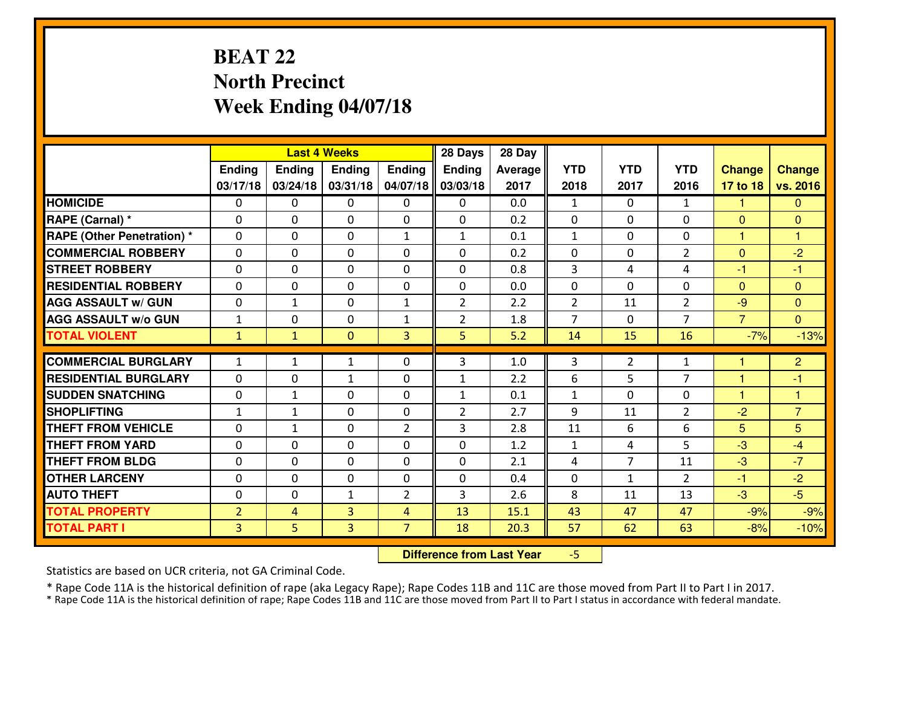## **BEAT 22 North PrecinctWeek Ending 04/07/18**

|                                  |                | <b>Last 4 Weeks</b> |               |                | 28 Days        | 28 Day  |                |                |                |                |                |
|----------------------------------|----------------|---------------------|---------------|----------------|----------------|---------|----------------|----------------|----------------|----------------|----------------|
|                                  | Ending         | Ending              | <b>Ending</b> | <b>Ending</b>  | <b>Ending</b>  | Average | <b>YTD</b>     | <b>YTD</b>     | <b>YTD</b>     | <b>Change</b>  | <b>Change</b>  |
|                                  | 03/17/18       | 03/24/18            | 03/31/18      | 04/07/18       | 03/03/18       | 2017    | 2018           | 2017           | 2016           | 17 to 18       | vs. 2016       |
| <b>HOMICIDE</b>                  | $\mathbf{0}$   | 0                   | $\mathbf{0}$  | $\mathbf{0}$   | 0              | 0.0     | $\mathbf{1}$   | $\Omega$       | $\mathbf{1}$   | 1              | $\mathbf{0}$   |
| RAPE (Carnal) *                  | $\Omega$       | 0                   | $\mathbf{0}$  | 0              | $\Omega$       | 0.2     | $\mathbf{0}$   | $\Omega$       | 0              | $\Omega$       | $\mathbf{0}$   |
| <b>RAPE (Other Penetration)*</b> | $\Omega$       | $\Omega$            | $\Omega$      | $\mathbf{1}$   | $\mathbf{1}$   | 0.1     | $\mathbf{1}$   | $\Omega$       | $\Omega$       | 1              | 1              |
| <b>COMMERCIAL ROBBERY</b>        | 0              | 0                   | $\mathbf 0$   | 0              | 0              | 0.2     | 0              | $\mathbf{0}$   | $\overline{2}$ | $\mathbf{0}$   | $-2$           |
| <b>ISTREET ROBBERY</b>           | $\Omega$       | 0                   | $\mathbf{0}$  | $\Omega$       | $\Omega$       | 0.8     | 3              | 4              | 4              | -1             | -1             |
| <b>RESIDENTIAL ROBBERY</b>       | $\Omega$       | $\Omega$            | $\mathbf 0$   | $\Omega$       | 0              | 0.0     | 0              | $\Omega$       | 0              | $\mathbf{0}$   | $\Omega$       |
| <b>AGG ASSAULT W/ GUN</b>        | $\Omega$       | $\mathbf{1}$        | $\mathbf 0$   | $\mathbf{1}$   | $\overline{2}$ | 2.2     | 2              | 11             | $\overline{2}$ | $-9$           | $\Omega$       |
| <b>AGG ASSAULT W/o GUN</b>       | $\mathbf{1}$   | 0                   | $\mathbf 0$   | $\mathbf{1}$   | $\overline{2}$ | 1.8     | $\overline{7}$ | 0              | $\overline{7}$ | $\overline{7}$ | $\overline{0}$ |
| <b>TOTAL VIOLENT</b>             | $\mathbf{1}$   | $\mathbf{1}$        | $\mathbf{0}$  | 3              | 5              | 5.2     | 14             | 15             | 16             | $-7%$          | $-13%$         |
| <b>COMMERCIAL BURGLARY</b>       | $\mathbf{1}$   | $\mathbf{1}$        | 1             | 0              | 3              | 1.0     | 3              | 2              | $\mathbf{1}$   |                | $\overline{2}$ |
| <b>RESIDENTIAL BURGLARY</b>      | $\mathbf{0}$   | 0                   | 1             | 0              | 1              | 2.2     | 6              | 5              | $\overline{7}$ | 1              | -1             |
| <b>SUDDEN SNATCHING</b>          | $\mathbf{0}$   | 1                   | $\mathbf{0}$  | $\Omega$       | 1              | 0.1     | $\mathbf{1}$   | 0              | 0              | 1              | 1              |
| <b>SHOPLIFTING</b>               | $\mathbf{1}$   | $\mathbf{1}$        | $\mathbf 0$   | 0              | $\overline{2}$ | 2.7     | 9              | 11             | $\overline{2}$ | $-2$           | $\overline{7}$ |
| <b>THEFT FROM VEHICLE</b>        | $\Omega$       | $\mathbf{1}$        | $\mathbf{0}$  | $\overline{2}$ | 3              | 2.8     | 11             | 6              | 6              | 5              | 5              |
| <b>THEFT FROM YARD</b>           | 0              | 0                   | $\mathbf 0$   | 0              | 0              | 1.2     | 1              | 4              | 5              | -3             | $-4$           |
| <b>THEFT FROM BLDG</b>           | 0              | 0                   | $\mathbf 0$   | 0              | 0              | 2.1     | 4              | $\overline{7}$ | 11             | -3             | $-7$           |
| <b>OTHER LARCENY</b>             | 0              | 0                   | $\mathbf 0$   | 0              | 0              | 0.4     | 0              | $\mathbf{1}$   | $\overline{2}$ | $-1$           | $-2$           |
| <b>AUTO THEFT</b>                | $\mathbf{0}$   | 0                   | 1             | $\overline{2}$ | 3              | 2.6     | 8              | 11             | 13             | $-3$           | $-5$           |
| <b>TOTAL PROPERTY</b>            | $\overline{2}$ | 4                   | 3             | $\overline{4}$ | 13             | 15.1    | 43             | 47             | 47             | $-9%$          | $-9%$          |
| <b>TOTAL PART I</b>              | $\overline{3}$ | 5                   | 3             | $\overline{7}$ | 18             | 20.3    | 57             | 62             | 63             | $-8%$          | $-10%$         |

 **Difference from Last Year**-5

Statistics are based on UCR criteria, not GA Criminal Code.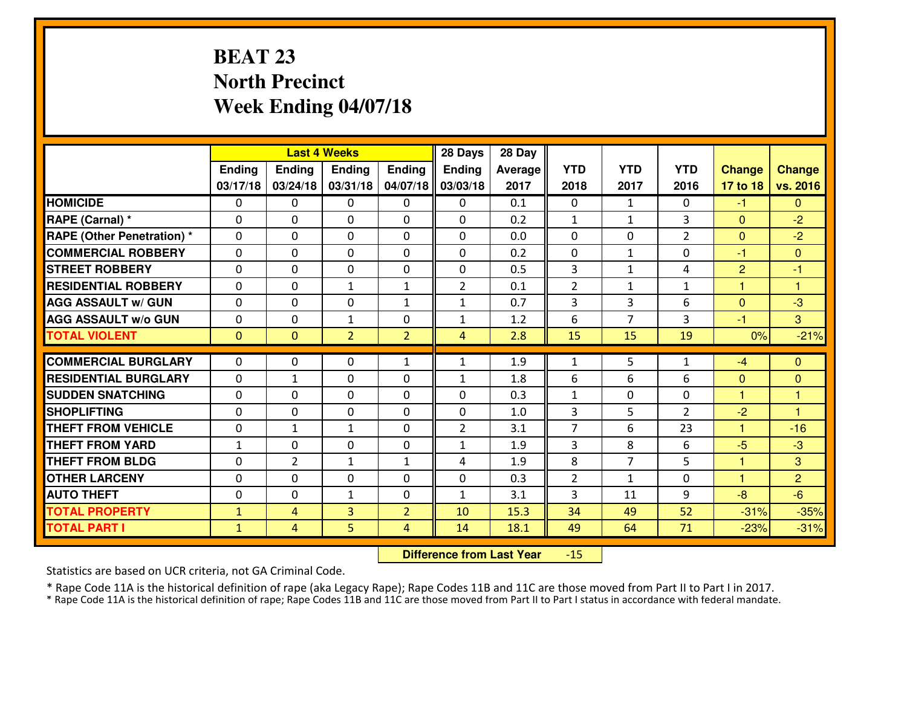## **BEAT 23 North PrecinctWeek Ending 04/07/18**

|                                   |              |                | <b>Last 4 Weeks</b> |                | 28 Days        | 28 Day  |                |                |                |                |                |
|-----------------------------------|--------------|----------------|---------------------|----------------|----------------|---------|----------------|----------------|----------------|----------------|----------------|
|                                   | Ending       | <b>Ending</b>  | <b>Ending</b>       | Ending         | <b>Ending</b>  | Average | <b>YTD</b>     | <b>YTD</b>     | <b>YTD</b>     | <b>Change</b>  | <b>Change</b>  |
|                                   | 03/17/18     | 03/24/18       | 03/31/18            | 04/07/18       | 03/03/18       | 2017    | 2018           | 2017           | 2016           | 17 to 18       | vs. 2016       |
| <b>HOMICIDE</b>                   | $\Omega$     | 0              | $\Omega$            | $\Omega$       | $\Omega$       | 0.1     | $\Omega$       | $\mathbf{1}$   | 0              | $-1$           | $\Omega$       |
| RAPE (Carnal) *                   | 0            | 0              | $\mathbf{0}$        | 0              | $\Omega$       | 0.2     | $\mathbf{1}$   | $\mathbf{1}$   | 3              | $\mathbf{0}$   | $-2$           |
| <b>RAPE (Other Penetration) *</b> | $\Omega$     | 0              | $\mathbf{0}$        | $\Omega$       | $\Omega$       | 0.0     | $\Omega$       | $\Omega$       | $\overline{2}$ | $\mathbf{0}$   | $-2$           |
| <b>COMMERCIAL ROBBERY</b>         | 0            | 0              | $\mathbf 0$         | 0              | 0              | 0.2     | $\mathbf{0}$   | $\mathbf{1}$   | 0              | $-1$           | $\mathbf{0}$   |
| <b>STREET ROBBERY</b>             | $\Omega$     | 0              | $\mathbf 0$         | 0              | 0              | 0.5     | $\mathbf{3}$   | $\mathbf{1}$   | 4              | $\overline{2}$ | $-1$           |
| <b>RESIDENTIAL ROBBERY</b>        | $\Omega$     | $\Omega$       | $\mathbf{1}$        | $\mathbf{1}$   | $\overline{2}$ | 0.1     | $\overline{2}$ | $\mathbf{1}$   | $\mathbf{1}$   | $\mathbf{1}$   | $\overline{1}$ |
| <b>AGG ASSAULT W/ GUN</b>         | $\Omega$     | 0              | $\mathbf 0$         | $\mathbf{1}$   | $\mathbf{1}$   | 0.7     | 3              | $\overline{3}$ | 6              | $\overline{0}$ | $-3$           |
| <b>AGG ASSAULT W/o GUN</b>        | 0            | 0              | $\mathbf{1}$        | 0              | $\mathbf{1}$   | 1.2     | 6              | $\overline{7}$ | 3              | $-1$           | $\mathbf{3}$   |
| <b>TOTAL VIOLENT</b>              | $\mathbf{0}$ | $\overline{0}$ | $\overline{2}$      | $\overline{2}$ | $\overline{4}$ | 2.8     | 15             | 15             | 19             | 0%             | $-21%$         |
| <b>COMMERCIAL BURGLARY</b>        | $\Omega$     | 0              | $\mathbf{0}$        | $\mathbf{1}$   | $\mathbf{1}$   | 1.9     | $\mathbf{1}$   | 5              | $\mathbf{1}$   | $-4$           | $\Omega$       |
| <b>RESIDENTIAL BURGLARY</b>       | 0            | $\mathbf{1}$   | $\mathbf 0$         | 0              | $\mathbf{1}$   | 1.8     | 6              | 6              | 6              | $\mathbf{0}$   | $\mathbf{0}$   |
| <b>SUDDEN SNATCHING</b>           | 0            | 0              | $\mathbf 0$         | 0              | 0              | 0.3     | $\mathbf{1}$   | 0              | 0              | $\mathbf{1}$   | 1              |
| <b>SHOPLIFTING</b>                | $\Omega$     | 0              | $\mathbf 0$         | 0              | 0              | 1.0     | $\overline{3}$ | 5              | $\overline{2}$ | $-2$           | $\overline{1}$ |
| <b>THEFT FROM VEHICLE</b>         | 0            | $\mathbf{1}$   | 1                   | 0              | $\overline{2}$ | 3.1     | $\overline{7}$ | 6              | 23             | $\mathbf{1}$   | $-16$          |
| <b>THEFT FROM YARD</b>            | $\mathbf{1}$ | 0              | $\mathbf 0$         | 0              | $\mathbf{1}$   | 1.9     | 3              | 8              | 6              | $-5$           | $-3$           |
| <b>THEFT FROM BLDG</b>            | 0            | $\overline{2}$ | 1                   | $\mathbf{1}$   | 4              | 1.9     | 8              | $\overline{7}$ | 5              | 1              | 3              |
| <b>OTHER LARCENY</b>              | 0            | 0              | $\mathbf 0$         | 0              | 0              | 0.3     | $\overline{2}$ | $\mathbf{1}$   | 0              | $\mathbf{1}$   | $\overline{2}$ |
| <b>AUTO THEFT</b>                 | 0            | 0              | $\mathbf{1}$        | 0              | $\mathbf{1}$   | 3.1     | 3              | 11             | 9              | $-8$           | $-6$           |
| <b>TOTAL PROPERTY</b>             | $\mathbf{1}$ | 4              | $\overline{3}$      | $\overline{2}$ | 10             | 15.3    | 34             | 49             | 52             | $-31%$         | $-35%$         |
| <b>TOTAL PART I</b>               | $\mathbf{1}$ | $\overline{4}$ | 5                   | $\overline{4}$ | 14             | 18.1    | 49             | 64             | 71             | $-23%$         | $-31%$         |

 **Difference from Last Year** $-15$ 

Statistics are based on UCR criteria, not GA Criminal Code.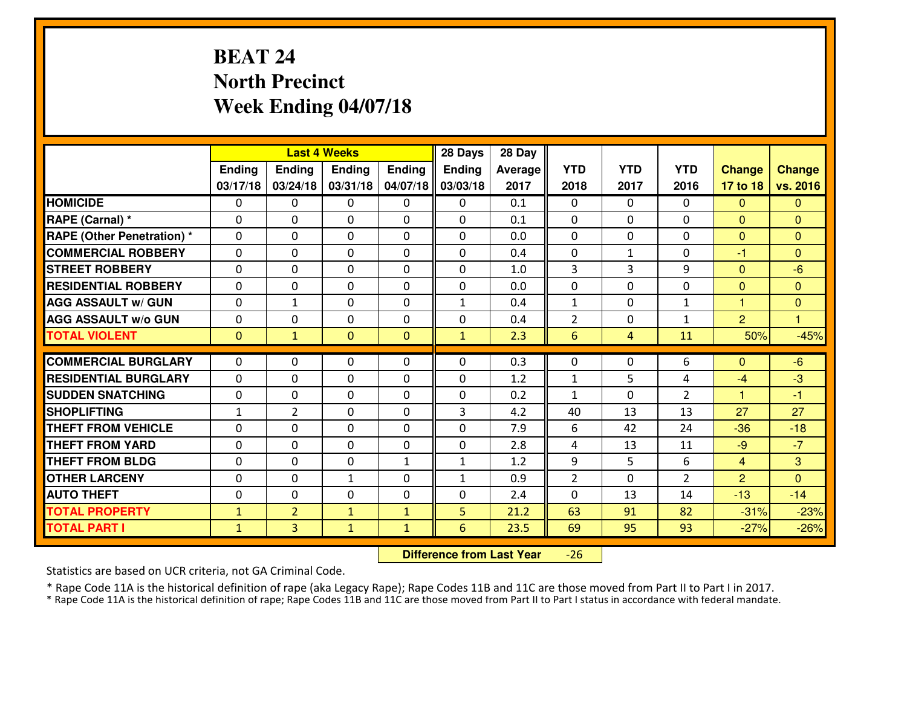## **BEAT 24 North PrecinctWeek Ending 04/07/18**

|                                  |              |                | <b>Last 4 Weeks</b> |              | 28 Days       | 28 Day  |                |              |                |                |                |
|----------------------------------|--------------|----------------|---------------------|--------------|---------------|---------|----------------|--------------|----------------|----------------|----------------|
|                                  | Ending       | <b>Ending</b>  | <b>Ending</b>       | Ending       | <b>Ending</b> | Average | <b>YTD</b>     | <b>YTD</b>   | <b>YTD</b>     | <b>Change</b>  | <b>Change</b>  |
|                                  | 03/17/18     | 03/24/18       | 03/31/18            | 04/07/18     | 03/03/18      | 2017    | 2018           | 2017         | 2016           | 17 to 18       | vs. 2016       |
| <b>HOMICIDE</b>                  | $\Omega$     | 0              | 0                   | $\Omega$     | $\Omega$      | 0.1     | 0              | $\Omega$     | 0              | $\Omega$       | $\Omega$       |
| RAPE (Carnal) *                  | $\Omega$     | 0              | $\Omega$            | $\Omega$     | $\Omega$      | 0.1     | $\Omega$       | $\Omega$     | 0              | $\Omega$       | $\Omega$       |
| <b>RAPE (Other Penetration)*</b> | 0            | 0              | $\mathbf 0$         | 0            | 0             | 0.0     | 0              | 0            | 0              | $\overline{0}$ | $\overline{0}$ |
| <b>COMMERCIAL ROBBERY</b>        | 0            | 0              | $\mathbf 0$         | 0            | 0             | 0.4     | 0              | $\mathbf{1}$ | 0              | $-1$           | $\overline{0}$ |
| <b>STREET ROBBERY</b>            | 0            | 0              | $\mathbf 0$         | 0            | 0             | 1.0     | 3              | 3            | 9              | $\mathbf{0}$   | $-6$           |
| <b>RESIDENTIAL ROBBERY</b>       | $\Omega$     | 0              | $\mathbf 0$         | 0            | 0             | 0.0     | 0              | $\Omega$     | 0              | $\mathbf{0}$   | $\mathbf{0}$   |
| <b>AGG ASSAULT W/ GUN</b>        | 0            | $\mathbf{1}$   | $\mathbf 0$         | 0            | $\mathbf{1}$  | 0.4     | $\mathbf 1$    | $\Omega$     | $\mathbf{1}$   | $\mathbf{1}$   | $\overline{0}$ |
| <b>AGG ASSAULT W/o GUN</b>       | 0            | 0              | 0                   | 0            | 0             | 0.4     | $\overline{2}$ | 0            | $\mathbf{1}$   | $\overline{2}$ | $\overline{1}$ |
| <b>TOTAL VIOLENT</b>             | $\mathbf{0}$ | $\mathbf{1}$   | $\mathbf{O}$        | $\mathbf{0}$ | $\mathbf{1}$  | 2.3     | 6              | 4            | 11             | 50%            | $-45%$         |
| <b>COMMERCIAL BURGLARY</b>       | $\Omega$     | 0              | $\mathbf{0}$        | 0            | $\Omega$      | 0.3     | $\mathbf{0}$   | $\mathbf{0}$ | 6              | $\Omega$       | $-6$           |
| <b>RESIDENTIAL BURGLARY</b>      | $\mathbf{0}$ | 0              | 0                   | 0            | 0             | 1.2     | $\mathbf{1}$   | 5            | 4              | $-4$           | $-3$           |
| <b>SUDDEN SNATCHING</b>          | $\mathbf{0}$ | 0              | $\mathbf 0$         | 0            | 0             | 0.2     | $\mathbf{1}$   | $\Omega$     | $\overline{2}$ | $\mathbf{1}$   | $-1$           |
| <b>SHOPLIFTING</b>               | $\mathbf{1}$ | $\overline{2}$ | $\mathbf 0$         | 0            | 3             | 4.2     | 40             | 13           | 13             | 27             | 27             |
| <b>THEFT FROM VEHICLE</b>        | 0            | $\Omega$       | $\mathbf 0$         | $\Omega$     | 0             | 7.9     | 6              | 42           | 24             | $-36$          | $-18$          |
| <b>THEFT FROM YARD</b>           | 0            | 0              | $\mathbf 0$         | 0            | 0             | 2.8     | 4              | 13           | 11             | $-9$           | $-7$           |
| <b>THEFT FROM BLDG</b>           | 0            | 0              | $\mathbf 0$         | $\mathbf{1}$ | $\mathbf{1}$  | 1.2     | 9              | 5            | 6              | $\overline{4}$ | 3              |
| <b>OTHER LARCENY</b>             | 0            | 0              | $\mathbf{1}$        | 0            | $\mathbf{1}$  | 0.9     | $\overline{2}$ | 0            | $\overline{2}$ | $\overline{2}$ | $\overline{0}$ |
| <b>AUTO THEFT</b>                | 0            | 0              | $\mathbf 0$         | 0            | 0             | 2.4     | $\mathbf 0$    | 13           | 14             | $-13$          | $-14$          |
| <b>TOTAL PROPERTY</b>            | $\mathbf{1}$ | $\overline{2}$ | $\mathbf{1}$        | $\mathbf{1}$ | 5             | 21.2    | 63             | 91           | 82             | $-31%$         | $-23%$         |
| <b>TOTAL PART I</b>              | $\mathbf{1}$ | $\overline{3}$ | $\mathbf{1}$        | $\mathbf{1}$ | 6             | 23.5    | 69             | 95           | 93             | $-27%$         | $-26%$         |
|                                  |              |                |                     |              |               |         |                |              |                |                |                |

 **Difference from Last Year**-26

Statistics are based on UCR criteria, not GA Criminal Code.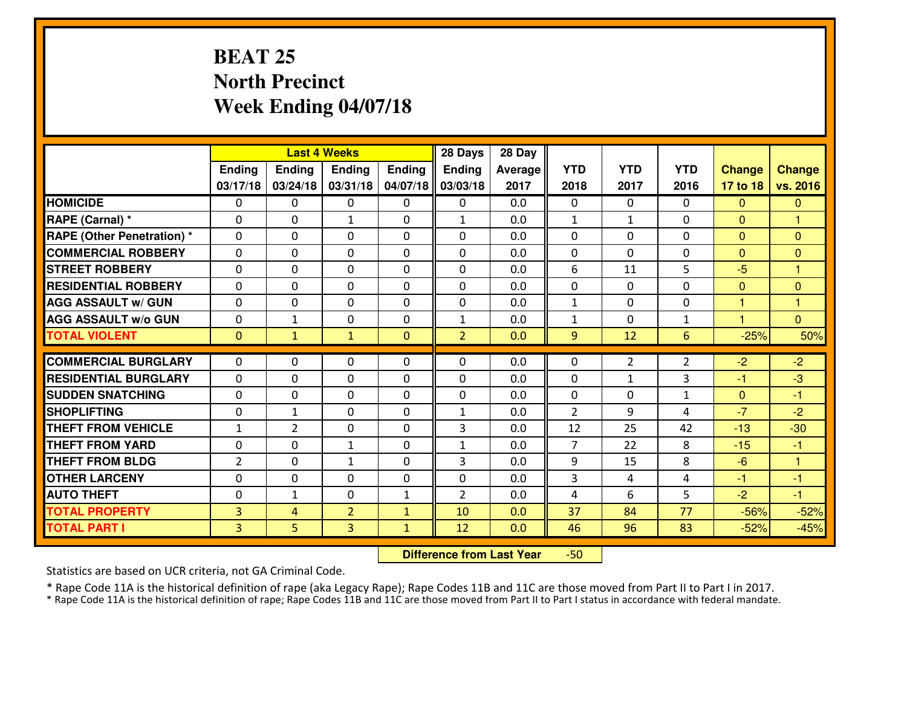## **BEAT 25 North PrecinctWeek Ending 04/07/18**

|                                  |                |                | <b>Last 4 Weeks</b> |              | 28 Days        | 28 Day  |                |                |                |                      |                      |
|----------------------------------|----------------|----------------|---------------------|--------------|----------------|---------|----------------|----------------|----------------|----------------------|----------------------|
|                                  | Ending         | Ending         | Ending              | Ending       | <b>Ending</b>  | Average | <b>YTD</b>     | <b>YTD</b>     | <b>YTD</b>     | <b>Change</b>        | <b>Change</b>        |
|                                  | 03/17/18       | 03/24/18       | 03/31/18            | 04/07/18     | 03/03/18       | 2017    | 2018           | 2017           | 2016           | 17 to 18             | vs. 2016             |
| <b>HOMICIDE</b>                  | 0              | 0              | 0                   | 0            | 0              | 0.0     | 0              | $\Omega$       | 0              | $\Omega$             | $\mathbf{0}$         |
| RAPE (Carnal) *                  | $\Omega$       | 0              | 1                   | $\Omega$     | 1              | 0.0     | $\mathbf{1}$   | $\mathbf{1}$   | 0              | $\Omega$             | 1                    |
| <b>RAPE (Other Penetration)*</b> | $\Omega$       | $\Omega$       | $\Omega$            | $\Omega$     | $\Omega$       | 0.0     | $\Omega$       | 0              | $\Omega$       | $\Omega$             | $\Omega$             |
| <b>COMMERCIAL ROBBERY</b>        | $\Omega$       | $\Omega$       | $\mathbf 0$         | $\Omega$     | $\Omega$       | 0.0     | $\Omega$       | 0              | 0              | $\Omega$             | $\Omega$             |
| <b>ISTREET ROBBERY</b>           | $\mathbf{0}$   | 0              | $\mathbf{0}$        | 0            | $\Omega$       | 0.0     | 6              | 11             | 5              | $-5$                 | 1                    |
| <b>RESIDENTIAL ROBBERY</b>       | 0              | 0              | $\mathbf 0$         | 0            | 0              | 0.0     | 0              | $\mathbf{0}$   | 0              | $\mathbf{0}$         | $\mathbf{0}$         |
| <b>AGG ASSAULT W/ GUN</b>        | 0              | 0              | $\mathbf 0$         | 0            | 0              | 0.0     | $\mathbf{1}$   | 0              | 0              | $\mathbf{1}$         | $\mathbf{1}$         |
| <b>AGG ASSAULT W/o GUN</b>       | 0              | 1              | $\mathbf 0$         | 0            | $\mathbf{1}$   | 0.0     | $\mathbf{1}$   | $\mathbf{0}$   | $\mathbf{1}$   | $\blacktriangleleft$ | $\overline{0}$       |
| <b>TOTAL VIOLENT</b>             | $\mathbf{0}$   | $\mathbf{1}$   | $\mathbf{1}$        | $\mathbf{0}$ | $\overline{2}$ | 0.0     | 9              | 12             | 6              | $-25%$               | 50%                  |
| <b>COMMERCIAL BURGLARY</b>       | $\Omega$       | 0              | $\mathbf{0}$        | $\Omega$     | $\Omega$       | 0.0     | $\Omega$       | $\overline{2}$ | $\overline{2}$ | $-2$                 | $-2$                 |
| <b>RESIDENTIAL BURGLARY</b>      | $\Omega$       | 0              | $\mathbf 0$         | $\Omega$     | 0              | 0.0     | 0              | $\mathbf{1}$   | 3              | $-1$                 | $-3$                 |
| <b>SUDDEN SNATCHING</b>          | $\Omega$       | 0              | $\mathbf 0$         | $\Omega$     | 0              | 0.0     | 0              | $\Omega$       | $\mathbf{1}$   | $\mathbf{0}$         | $-1$                 |
| <b>SHOPLIFTING</b>               | 0              | $\mathbf{1}$   | $\mathbf 0$         | 0            | $\mathbf{1}$   | 0.0     | $\overline{2}$ | 9              | 4              | $-7$                 | $-2$                 |
| <b>THEFT FROM VEHICLE</b>        | $\mathbf{1}$   | $\overline{2}$ | $\mathbf 0$         | 0            | 3              | 0.0     | 12             | 25             | 42             | $-13$                | $-30$                |
| <b>THEFT FROM YARD</b>           | 0              | 0              | $\mathbf{1}$        | 0            | $\mathbf{1}$   | 0.0     | $\overline{7}$ | 22             | 8              | $-15$                | $-1$                 |
| <b>THEFT FROM BLDG</b>           | $\overline{2}$ | 0              | 1                   | 0            | 3              | 0.0     | 9              | 15             | 8              | $-6$                 | $\blacktriangleleft$ |
| <b>OTHER LARCENY</b>             | 0              | 0              | $\mathbf 0$         | 0            | 0              | 0.0     | 3              | 4              | 4              | $-1$                 | $-1$                 |
| <b>AUTO THEFT</b>                | 0              | $\mathbf{1}$   | 0                   | $\mathbf{1}$ | $\overline{2}$ | 0.0     | 4              | 6              | 5              | $-2$                 | $-1$                 |
| <b>TOTAL PROPERTY</b>            | $\overline{3}$ | 4              | $\overline{2}$      | $\mathbf{1}$ | 10             | 0.0     | 37             | 84             | 77             | $-56%$               | $-52%$               |
| <b>TOTAL PART I</b>              | $\overline{3}$ | 5              | 3                   | $\mathbf{1}$ | 12             | 0.0     | 46             | 96             | 83             | $-52%$               | $-45%$               |

 **Difference from Last Year**-50

Statistics are based on UCR criteria, not GA Criminal Code.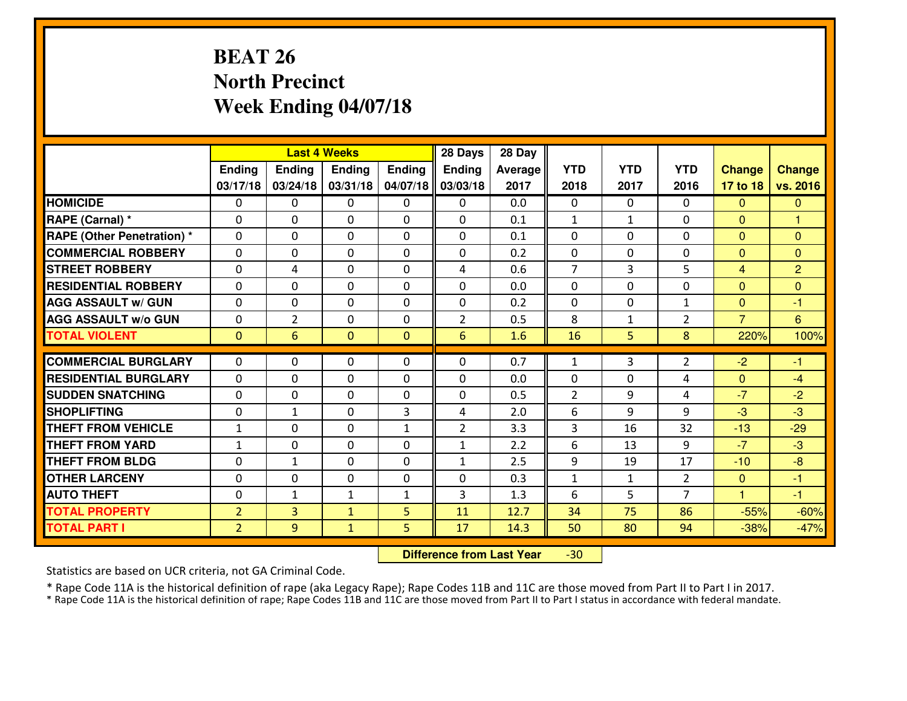## **BEAT 26 North PrecinctWeek Ending 04/07/18**

|                                   |                |                | <b>Last 4 Weeks</b> |               | 28 Days        | 28 Day  |                |              |                |                |                |
|-----------------------------------|----------------|----------------|---------------------|---------------|----------------|---------|----------------|--------------|----------------|----------------|----------------|
|                                   | <b>Ending</b>  | Ending         | <b>Endina</b>       | <b>Ending</b> | <b>Ending</b>  | Average | <b>YTD</b>     | <b>YTD</b>   | <b>YTD</b>     | <b>Change</b>  | <b>Change</b>  |
|                                   | 03/17/18       | 03/24/18       | 03/31/18            | 04/07/18      | 03/03/18       | 2017    | 2018           | 2017         | 2016           | 17 to 18       | vs. 2016       |
| <b>HOMICIDE</b>                   | 0              | $\Omega$       | 0                   | 0             | $\Omega$       | 0.0     | $\Omega$       | $\Omega$     | 0              | $\mathbf{0}$   | $\mathbf{0}$   |
| RAPE (Carnal) *                   | $\Omega$       | $\Omega$       | $\Omega$            | 0             | $\Omega$       | 0.1     | $\mathbf{1}$   | $\mathbf{1}$ | $\Omega$       | $\mathbf{0}$   | 1              |
| <b>RAPE (Other Penetration) *</b> | $\Omega$       | $\Omega$       | $\mathbf 0$         | $\Omega$      | $\Omega$       | 0.1     | $\Omega$       | $\Omega$     | $\Omega$       | $\mathbf{0}$   | $\mathbf{0}$   |
| <b>COMMERCIAL ROBBERY</b>         | $\Omega$       | $\Omega$       | 0                   | $\Omega$      | 0              | 0.2     | $\mathbf 0$    | $\mathbf 0$  | $\Omega$       | $\mathbf{0}$   | $\mathbf{0}$   |
| <b>STREET ROBBERY</b>             | 0              | 4              | $\mathbf 0$         | $\Omega$      | 4              | 0.6     | $\overline{7}$ | 3            | 5              | $\overline{4}$ | $\overline{2}$ |
| <b>RESIDENTIAL ROBBERY</b>        | $\Omega$       | $\Omega$       | $\mathbf 0$         | $\Omega$      | $\Omega$       | 0.0     | $\Omega$       | $\Omega$     | $\Omega$       | $\overline{0}$ | $\mathbf{0}$   |
| <b>AGG ASSAULT w/ GUN</b>         | $\Omega$       | $\Omega$       | $\Omega$            | $\Omega$      | $\Omega$       | 0.2     | $\Omega$       | $\Omega$     | $\mathbf{1}$   | $\overline{0}$ | $-1$           |
| <b>AGG ASSAULT W/o GUN</b>        | 0              | $\overline{2}$ | $\mathbf 0$         | 0             | $\overline{2}$ | 0.5     | 8              | $\mathbf{1}$ | $\overline{2}$ | $\overline{7}$ | 6              |
| <b>TOTAL VIOLENT</b>              | $\mathbf{0}$   | 6              | $\mathbf{0}$        | $\mathbf{0}$  | 6              | 1.6     | 16             | 5            | 8              | 220%           | 100%           |
| <b>COMMERCIAL BURGLARY</b>        | $\Omega$       | $\Omega$       | $\mathbf{0}$        | $\Omega$      | 0              | 0.7     | 1              | 3            | $\overline{2}$ | $-2$           | -1             |
| <b>RESIDENTIAL BURGLARY</b>       | 0              | 0              | $\mathbf 0$         | $\Omega$      | 0              | 0.0     | $\mathbf 0$    | $\mathbf 0$  | 4              | $\mathbf{0}$   | $-4$           |
| <b>SUDDEN SNATCHING</b>           | 0              | 0              | $\mathbf 0$         | $\Omega$      | 0              | 0.5     | $\overline{2}$ | 9            | 4              | $-7$           | $-2$           |
| <b>SHOPLIFTING</b>                | 0              | $\mathbf{1}$   | $\mathbf 0$         | 3             | 4              | 2.0     | 6              | 9            | 9              | $-3$           | $-3$           |
| <b>THEFT FROM VEHICLE</b>         | $\mathbf{1}$   | $\Omega$       | $\mathbf 0$         | $\mathbf{1}$  | $\overline{2}$ | 3.3     | 3              | 16           | 32             | $-13$          | $-29$          |
| <b>THEFT FROM YARD</b>            | $\mathbf 1$    | $\mathbf 0$    | $\mathbf 0$         | 0             | $\mathbf{1}$   | 2.2     | 6              | 13           | 9              | $-7$           | $-3$           |
| <b>THEFT FROM BLDG</b>            | 0              | $\mathbf{1}$   | $\mathbf 0$         | 0             | $\mathbf{1}$   | 2.5     | 9              | 19           | 17             | $-10$          | $-8$           |
| <b>OTHER LARCENY</b>              | 0              | 0              | $\mathbf 0$         | 0             | 0              | 0.3     | $\mathbf{1}$   | $\mathbf{1}$ | $\overline{2}$ | $\overline{0}$ | $-1$           |
| <b>AUTO THEFT</b>                 | 0              | $\mathbf{1}$   | $\mathbf{1}$        | $\mathbf{1}$  | 3              | 1.3     | 6              | 5            | $\overline{7}$ | $\mathbf{1}$   | -1             |
| <b>TOTAL PROPERTY</b>             | $\overline{2}$ | 3              | $\mathbf{1}$        | 5             | 11             | 12.7    | 34             | 75           | 86             | $-55%$         | $-60%$         |
| <b>TOTAL PART I</b>               | $\overline{2}$ | 9              | $\mathbf{1}$        | 5             | 17             | 14.3    | 50             | 80           | 94             | $-38%$         | $-47%$         |
|                                   |                |                |                     |               |                |         |                |              |                |                |                |

 **Difference from Last Year**-30

Statistics are based on UCR criteria, not GA Criminal Code.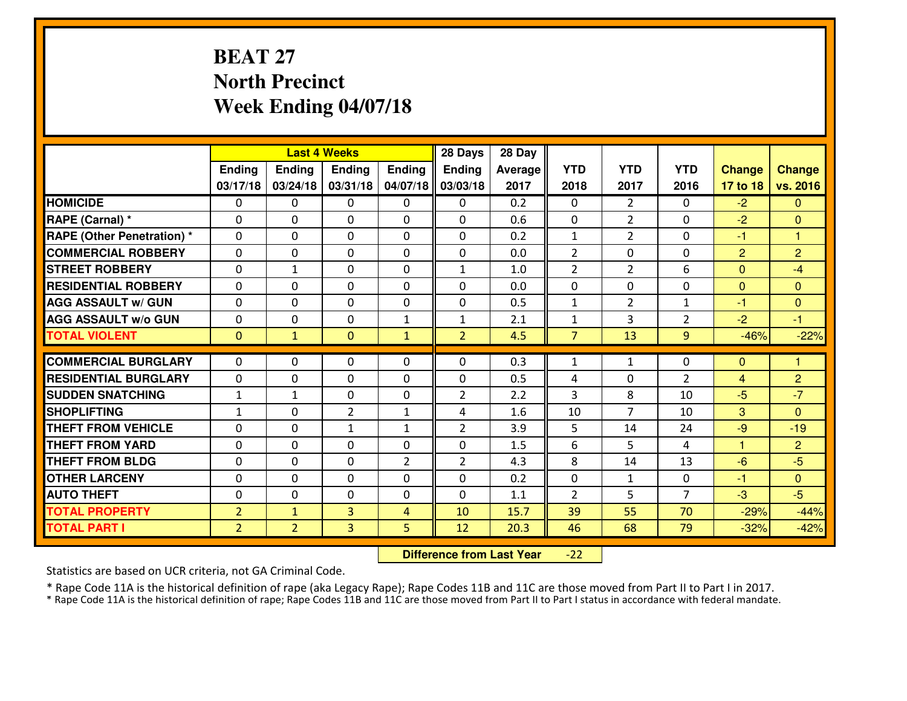## **BEAT 27 North PrecinctWeek Ending 04/07/18**

|                                   |                |                | <b>Last 4 Weeks</b> |                | 28 Days        | 28 Day  |                |                |                |                |                |
|-----------------------------------|----------------|----------------|---------------------|----------------|----------------|---------|----------------|----------------|----------------|----------------|----------------|
|                                   | Ending         | <b>Ending</b>  | <b>Ending</b>       | Ending         | <b>Ending</b>  | Average | <b>YTD</b>     | <b>YTD</b>     | <b>YTD</b>     | <b>Change</b>  | <b>Change</b>  |
|                                   | 03/17/18       | 03/24/18       | 03/31/18            | 04/07/18       | 03/03/18       | 2017    | 2018           | 2017           | 2016           | 17 to 18       | vs. 2016       |
| <b>HOMICIDE</b>                   | $\Omega$       | 0              | 0                   | 0              | 0              | 0.2     | $\Omega$       | $\overline{2}$ | 0              | $-2$           | $\mathbf{0}$   |
| RAPE (Carnal) *                   | $\Omega$       | 0              | $\Omega$            | $\Omega$       | $\Omega$       | 0.6     | $\Omega$       | $\overline{2}$ | $\Omega$       | $-2$           | $\Omega$       |
| <b>RAPE (Other Penetration) *</b> | $\Omega$       | 0              | $\mathbf 0$         | 0              | 0              | 0.2     | $\mathbf{1}$   | $\overline{2}$ | 0              | $-1$           | $\mathbf{1}$   |
| <b>COMMERCIAL ROBBERY</b>         | 0              | 0              | $\mathbf 0$         | 0              | 0              | 0.0     | 2              | $\mathbf 0$    | 0              | $\overline{2}$ | $\overline{2}$ |
| <b>STREET ROBBERY</b>             | 0              | $\mathbf{1}$   | $\mathbf 0$         | 0              | $\mathbf{1}$   | 1.0     | $\overline{2}$ | $\overline{2}$ | 6              | $\overline{0}$ | $-4$           |
| <b>RESIDENTIAL ROBBERY</b>        | $\Omega$       | 0              | $\mathbf 0$         | 0              | 0              | 0.0     | $\mathbf 0$    | $\mathbf 0$    | 0              | $\mathbf{0}$   | $\overline{0}$ |
| <b>AGG ASSAULT W/ GUN</b>         | 0              | 0              | $\mathbf 0$         | 0              | 0              | 0.5     | $\mathbf 1$    | $\overline{2}$ | $\mathbf{1}$   | $-1$           | $\overline{0}$ |
| <b>AGG ASSAULT W/o GUN</b>        | 0              | 0              | $\mathbf 0$         | $\mathbf{1}$   | $\mathbf{1}$   | 2.1     | $\mathbf{1}$   | 3              | $\overline{2}$ | $-2$           | $-1$           |
| <b>TOTAL VIOLENT</b>              | $\mathbf{O}$   | $\mathbf{1}$   | $\overline{0}$      | $\mathbf{1}$   | $\overline{2}$ | 4.5     | $\overline{7}$ | 13             | 9              | $-46%$         | $-22%$         |
| <b>COMMERCIAL BURGLARY</b>        | $\Omega$       | 0              | $\mathbf{0}$        | 0              | $\Omega$       | 0.3     | $\mathbf{1}$   | $\mathbf{1}$   | $\Omega$       | $\mathbf{0}$   | $\mathbf{1}$   |
|                                   |                |                |                     |                |                |         |                |                |                |                |                |
| <b>RESIDENTIAL BURGLARY</b>       | 0              | 0              | 0                   | 0              | 0              | 0.5     | 4              | 0              | $\overline{2}$ | $\overline{4}$ | $\overline{2}$ |
| <b>SUDDEN SNATCHING</b>           | $\mathbf{1}$   | 1              | $\mathbf 0$         | 0              | $\overline{2}$ | 2.2     | 3              | 8              | 10             | $-5$           | $-7$           |
| <b>SHOPLIFTING</b>                | $\mathbf{1}$   | 0              | $\overline{2}$      | $\mathbf{1}$   | 4              | 1.6     | 10             | $\overline{7}$ | 10             | 3              | $\overline{0}$ |
| <b>THEFT FROM VEHICLE</b>         | 0              | 0              | $\mathbf{1}$        | $\mathbf{1}$   | $\overline{2}$ | 3.9     | 5              | 14             | 24             | $-9$           | $-19$          |
| <b>THEFT FROM YARD</b>            | $\mathbf 0$    | 0              | $\mathbf 0$         | 0              | 0              | 1.5     | 6              | 5              | 4              | $\mathbf{1}$   | $\overline{2}$ |
| <b>THEFT FROM BLDG</b>            | 0              | 0              | $\mathbf 0$         | $\overline{2}$ | $\overline{2}$ | 4.3     | 8              | 14             | 13             | $-6$           | $-5$           |
| <b>OTHER LARCENY</b>              | 0              | 0              | $\mathbf 0$         | 0              | 0              | 0.2     | $\mathbf 0$    | $\mathbf{1}$   | 0              | $-1$           | $\overline{0}$ |
| <b>AUTO THEFT</b>                 | 0              | 0              | $\mathbf 0$         | 0              | 0              | 1.1     | 2              | 5              | $\overline{7}$ | $-3$           | $-5$           |
| <b>TOTAL PROPERTY</b>             | $\overline{2}$ | $\mathbf{1}$   | $\overline{3}$      | $\overline{4}$ | 10             | 15.7    | 39             | 55             | 70             | $-29%$         | $-44%$         |
| <b>TOTAL PART I</b>               | $\overline{2}$ | $\overline{2}$ | 3                   | 5              | 12             | 20.3    | 46             | 68             | 79             | $-32%$         | $-42%$         |

 **Difference from Last Year** $-22$ 

Statistics are based on UCR criteria, not GA Criminal Code.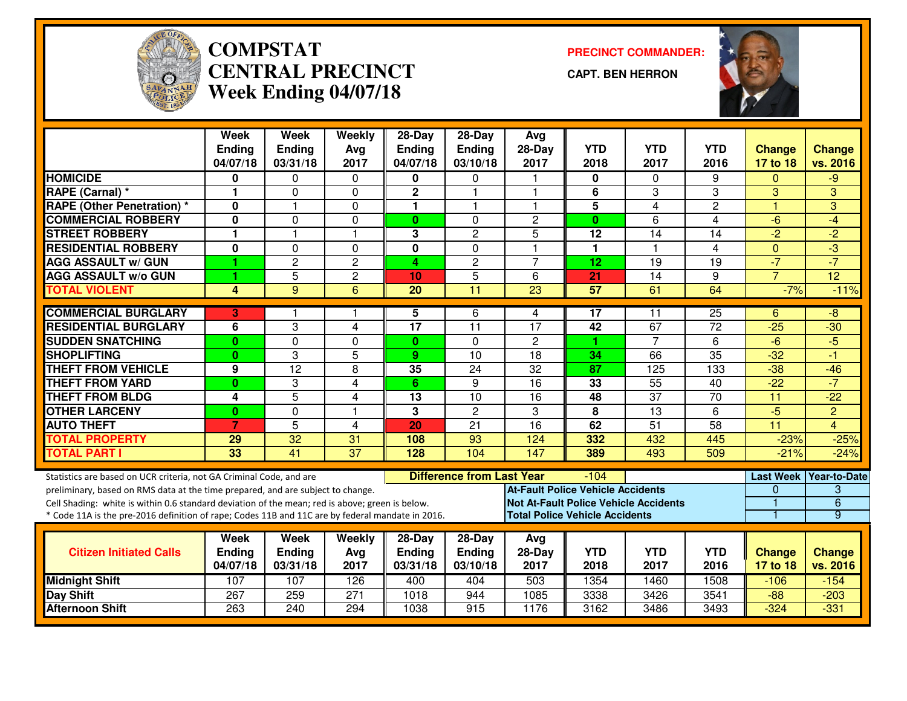

#### **COMPSTAT PRECINCT COMMANDER: CENTRAL PRECINCTWeek Ending 04/07/18**

**CAPT. BEN HERRON**



|                                                                                                  | <b>Week</b><br><b>Ending</b><br>04/07/18 | <b>Week</b><br><b>Ending</b><br>03/31/18 | Weekly<br>Avg<br>2017 | $28-Day$<br><b>Ending</b><br>04/07/18 | 28-Day<br>Ending<br>03/10/18     | Avg<br>$28-Day$<br>2017                      | <b>YTD</b><br>2018 | <b>YTD</b><br>2017 | <b>YTD</b><br>2016 | <b>Change</b><br>17 to 18 | <b>Change</b><br>vs. 2016 |
|--------------------------------------------------------------------------------------------------|------------------------------------------|------------------------------------------|-----------------------|---------------------------------------|----------------------------------|----------------------------------------------|--------------------|--------------------|--------------------|---------------------------|---------------------------|
| <b>HOMICIDE</b>                                                                                  | 0                                        | 0                                        | 0                     | 0                                     | $\Omega$                         |                                              | 0                  | $\Omega$           | 9                  | $\Omega$                  | $-9$                      |
| <b>RAPE (Carnal) *</b>                                                                           | 1                                        | $\Omega$                                 | 0                     | $\mathbf 2$                           | 1                                |                                              | 6                  | 3                  | 3                  | 3                         | 3                         |
| <b>RAPE (Other Penetration) *</b>                                                                | 0                                        |                                          | $\Omega$              | 1                                     | 1                                | -1                                           | $\overline{5}$     | $\overline{4}$     | $\overline{2}$     | $\overline{1}$            | 3                         |
| <b>COMMERCIAL ROBBERY</b>                                                                        | 0                                        | $\Omega$                                 | 0                     | $\mathbf{0}$                          | 0                                | $\overline{2}$                               | $\mathbf{0}$       | 6                  | 4                  | -6                        | $-4$                      |
| <b>STREET ROBBERY</b>                                                                            | 1                                        | $\overline{1}$                           | $\mathbf{1}$          | 3                                     | $\overline{c}$                   | 5                                            | 12                 | 14                 | 14                 | $-2$                      | $-2$                      |
| <b>RESIDENTIAL ROBBERY</b>                                                                       | 0                                        | 0                                        | 0                     | $\mathbf 0$                           | 0                                | $\overline{1}$                               | $\mathbf{1}$       | $\overline{1}$     | $\overline{4}$     | $\mathbf{0}$              | $\overline{3}$            |
| <b>AGG ASSAULT w/ GUN</b>                                                                        | 1                                        | $\overline{c}$                           | $\overline{c}$        | 4                                     | $\overline{c}$                   | $\overline{7}$                               | 12                 | 19                 | 19                 | $-7$                      | $-7$                      |
| <b>AGG ASSAULT w/o GUN</b>                                                                       | 1                                        | $\overline{5}$                           | $\overline{2}$        | 10                                    | $\overline{5}$                   | 6                                            | $\overline{21}$    | $\overline{14}$    | $\overline{9}$     | $\overline{7}$            | $\overline{12}$           |
| <b>TOTAL VIOLENT</b>                                                                             | 4                                        | $\overline{9}$                           | $\overline{6}$        | $\overline{20}$                       | 11                               | $\overline{23}$                              | 57                 | 61                 | 64                 | $-7%$                     | $-11%$                    |
| <b>COMMERCIAL BURGLARY</b>                                                                       | 3                                        |                                          | 1                     | 5                                     | 6                                | 4                                            | $\overline{17}$    | 11                 | 25                 | 6                         | $-8$                      |
| <b>RESIDENTIAL BURGLARY</b>                                                                      | 6                                        | 3                                        | 4                     | 17                                    | 11                               | 17                                           | 42                 | 67                 | 72                 | $-25$                     | $-30$                     |
| <b>SUDDEN SNATCHING</b>                                                                          | $\bf{0}$                                 | 0                                        | 0                     | $\mathbf{0}$                          | 0                                | $\overline{c}$                               | 1.                 | 7                  | 6                  | $-6$                      | $-5$                      |
| <b>SHOPLIFTING</b>                                                                               | $\bf{0}$                                 | 3                                        | 5                     | 9                                     | 10                               | 18                                           | 34                 | 66                 | $\overline{35}$    | $-32$                     | $-1$                      |
| <b>THEFT FROM VEHICLE</b>                                                                        | $\overline{9}$                           | $\overline{12}$                          | 8                     | 35                                    | $\overline{24}$                  | $\overline{32}$                              | $\overline{87}$    | 125                | 133                | $-38$                     | $-46$                     |
| <b>THEFT FROM YARD</b>                                                                           | $\bf{0}$                                 | 3                                        | $\overline{4}$        | 6                                     | 9                                | $\overline{16}$                              | 33                 | 55                 | 40                 | $-22$                     | $-7$                      |
| <b>THEFT FROM BLDG</b>                                                                           | 4                                        | $\overline{5}$                           | $\overline{4}$        | 13                                    | 10                               | $\overline{16}$                              | 48                 | $\overline{37}$    | $\overline{70}$    | 11                        | $-22$                     |
| <b>OTHER LARCENY</b>                                                                             | $\mathbf{0}$                             | $\Omega$                                 | $\overline{1}$        | 3                                     | $\overline{2}$                   | 3                                            | 8                  | $\overline{13}$    | 6                  | $-5$                      | $\overline{2}$            |
| <b>AUTO THEFT</b>                                                                                | $\overline{7}$                           | 5                                        | $\overline{4}$        | 20                                    | $\overline{21}$                  | $\overline{16}$                              | 62                 | 51                 | $\overline{58}$    | $\overline{11}$           | $\overline{4}$            |
| <b>TOTAL PROPERTY</b>                                                                            | 29                                       | 32                                       | 31                    | 108                                   | 93                               | 124                                          | 332                | 432                | 445                | $-23%$                    | $-25%$                    |
| <b>TOTAL PART I</b>                                                                              | 33                                       | 41                                       | $\overline{37}$       | 128                                   | 104                              | 147                                          | 389                | 493                | 509                | $-21%$                    | $-24%$                    |
| Statistics are based on UCR criteria, not GA Criminal Code, and are                              |                                          |                                          |                       |                                       | <b>Difference from Last Year</b> |                                              | $-104$             |                    |                    |                           | Last Week Year-to-Date    |
| preliminary, based on RMS data at the time prepared, and are subject to change.                  |                                          |                                          |                       |                                       |                                  | <b>At-Fault Police Vehicle Accidents</b>     |                    |                    |                    | 0                         | 3                         |
| Cell Shading: white is within 0.6 standard deviation of the mean; red is above; green is below.  |                                          |                                          |                       |                                       |                                  | <b>Not At-Fault Police Vehicle Accidents</b> |                    |                    |                    |                           | $\overline{6}$            |
| * Code 11A is the pre-2016 definition of rape; Codes 11B and 11C are by federal mandate in 2016. |                                          |                                          |                       |                                       |                                  | <b>Total Police Vehicle Accidents</b>        |                    |                    |                    |                           | 9                         |
|                                                                                                  | <b>Week</b>                              | <b>Week</b>                              | Weekly                | $28-Day$                              | 28-Day                           | Avg                                          |                    |                    |                    |                           |                           |
| <b>Citizen Initiated Calls</b>                                                                   | <b>Ending</b>                            | <b>Ending</b>                            | Avg                   | <b>Ending</b>                         | Ending                           | $28-Day$                                     | <b>YTD</b>         | <b>YTD</b>         | <b>YTD</b>         | <b>Change</b>             | <b>Change</b>             |
|                                                                                                  | 04/07/18                                 | 03/31/18                                 | 2017                  | 03/31/18                              | 03/10/18                         | 2017                                         | 2018               | 2017               | 2016               | 17 to 18                  | vs. 2016                  |
| <b>Midnight Shift</b>                                                                            | 107                                      | 107                                      | 126                   | 400                                   | 404                              | 503                                          | 1354               | 1460               | 1508               | $-106$                    | $-154$                    |
| <b>Day Shift</b>                                                                                 | 267                                      | 259                                      | 271                   | 1018                                  | 944                              | 1085                                         | 3338               | 3426               | 3541               | $-88$                     | $-203$                    |
| <b>Afternoon Shift</b>                                                                           | 263                                      | 240                                      | 294                   | 1038                                  | 915                              | 1176                                         | 3162               | 3486               | 3493               | $-324$                    | $-331$                    |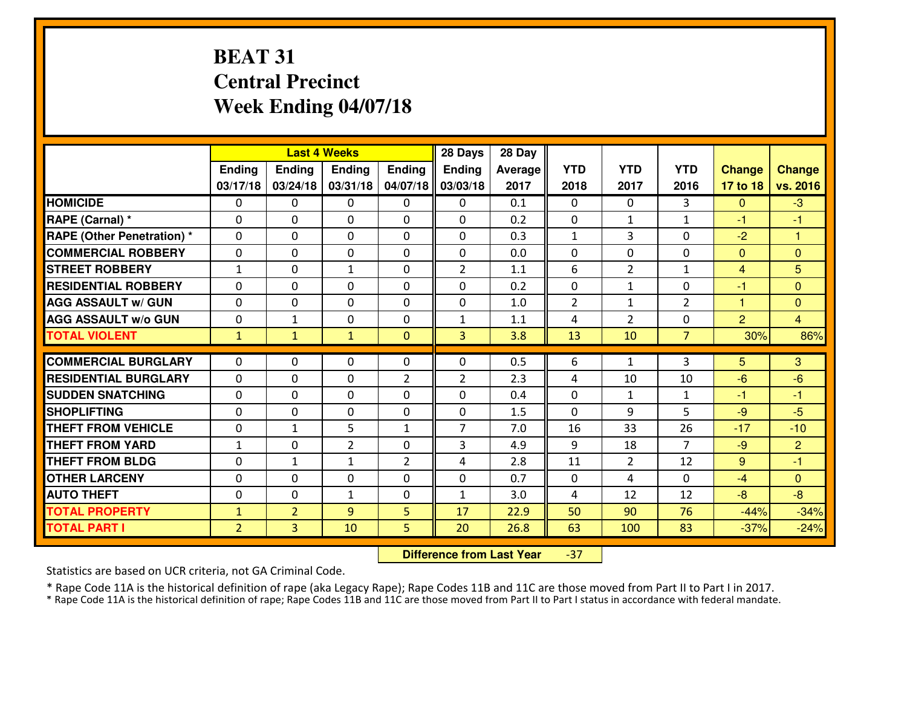## **BEAT 31 Central PrecinctWeek Ending 04/07/18**

|                                  |                |                | <b>Last 4 Weeks</b> |                | 28 Days        | 28 Day  |                |                |                |                |                 |
|----------------------------------|----------------|----------------|---------------------|----------------|----------------|---------|----------------|----------------|----------------|----------------|-----------------|
|                                  | Ending         | <b>Ending</b>  | <b>Ending</b>       | Ending         | <b>Ending</b>  | Average | <b>YTD</b>     | <b>YTD</b>     | <b>YTD</b>     | <b>Change</b>  | <b>Change</b>   |
|                                  | 03/17/18       | 03/24/18       | 03/31/18            | 04/07/18       | 03/03/18       | 2017    | 2018           | 2017           | 2016           | 17 to 18       | vs. 2016        |
| <b>HOMICIDE</b>                  | $\Omega$       | 0              | 0                   | $\Omega$       | $\Omega$       | 0.1     | 0              | $\Omega$       | 3              | $\Omega$       | $-3$            |
| RAPE (Carnal) *                  | $\Omega$       | 0              | $\Omega$            | $\Omega$       | $\Omega$       | 0.2     | $\Omega$       | $\mathbf{1}$   | $\mathbf{1}$   | -1             | -1              |
| <b>RAPE (Other Penetration)*</b> | 0              | 0              | $\mathbf 0$         | 0              | 0              | 0.3     | $\mathbf{1}$   | 3              | 0              | $-2$           | $\overline{1}$  |
| <b>COMMERCIAL ROBBERY</b>        | 0              | 0              | $\mathbf 0$         | 0              | 0              | 0.0     | 0              | 0              | 0              | $\mathbf{0}$   | $\mathbf{0}$    |
| <b>STREET ROBBERY</b>            | $\mathbf{1}$   | 0              | 1                   | 0              | $\overline{2}$ | 1.1     | 6              | $\overline{2}$ | $\mathbf{1}$   | $\overline{4}$ | $5\overline{)}$ |
| <b>RESIDENTIAL ROBBERY</b>       | $\Omega$       | 0              | $\mathbf 0$         | 0              | 0              | 0.2     | 0              | $\mathbf{1}$   | 0              | $-1$           | $\mathbf{0}$    |
| <b>AGG ASSAULT W/ GUN</b>        | 0              | 0              | $\mathbf 0$         | 0              | 0              | 1.0     | $\overline{2}$ | $\mathbf{1}$   | $\overline{2}$ | $\mathbf{1}$   | $\overline{0}$  |
| <b>AGG ASSAULT W/o GUN</b>       | 0              | $\mathbf{1}$   | 0                   | 0              | $\mathbf{1}$   | 1.1     | 4              | $\overline{2}$ | 0              | $\overline{2}$ | $\overline{4}$  |
| <b>TOTAL VIOLENT</b>             | $\mathbf{1}$   | $\mathbf{1}$   | $\mathbf{1}$        | $\mathbf{0}$   | 3              | 3.8     | 13             | 10             | $\overline{7}$ | 30%            | 86%             |
| <b>COMMERCIAL BURGLARY</b>       | $\Omega$       | 0              | $\mathbf{0}$        | 0              | $\Omega$       | 0.5     | 6              | $\mathbf{1}$   | 3              | 5              | 3               |
| <b>RESIDENTIAL BURGLARY</b>      | $\mathbf{0}$   | 0              | 0                   | $\overline{2}$ | $\overline{2}$ | 2.3     | 4              | 10             | 10             | $-6$           | $-6$            |
| <b>SUDDEN SNATCHING</b>          | $\mathbf{0}$   | 0              | $\mathbf 0$         | 0              | 0              | 0.4     | $\mathbf{0}$   | $\mathbf{1}$   | $\mathbf{1}$   | $-1$           | $-1$            |
| <b>SHOPLIFTING</b>               | 0              | 0              | $\mathbf 0$         | 0              | 0              | 1.5     | 0              | 9              | 5              | $-9$           | $-5$            |
| <b>THEFT FROM VEHICLE</b>        | 0              | $\mathbf{1}$   | 5                   | $\mathbf{1}$   | $\overline{7}$ | 7.0     | 16             | 33             | 26             | $-17$          | $-10$           |
| <b>THEFT FROM YARD</b>           | $\mathbf{1}$   | 0              | $\overline{2}$      | 0              | 3              | 4.9     | 9              | 18             | $\overline{7}$ | $-9$           | $\overline{2}$  |
| <b>THEFT FROM BLDG</b>           | 0              | $\mathbf{1}$   | $\mathbf{1}$        | $\overline{2}$ | 4              | 2.8     | 11             | $\overline{2}$ | 12             | 9              | $-1$            |
| <b>OTHER LARCENY</b>             | 0              | 0              | $\mathbf 0$         | 0              | 0              | 0.7     | $\mathbf 0$    | 4              | 0              | $-4$           | $\overline{0}$  |
| <b>AUTO THEFT</b>                | 0              | 0              | $\mathbf{1}$        | 0              | $\mathbf{1}$   | 3.0     | 4              | 12             | 12             | $-8$           | $-8$            |
| <b>TOTAL PROPERTY</b>            | $\mathbf{1}$   | $\overline{2}$ | 9                   | 5              | 17             | 22.9    | 50             | 90             | 76             | $-44%$         | $-34%$          |
| <b>TOTAL PART I</b>              | $\overline{2}$ | $\overline{3}$ | 10                  | 5              | 20             | 26.8    | 63             | 100            | 83             | $-37%$         | $-24%$          |
|                                  |                |                |                     |                |                |         |                |                |                |                |                 |

 **Difference from Last Year**-37

Statistics are based on UCR criteria, not GA Criminal Code.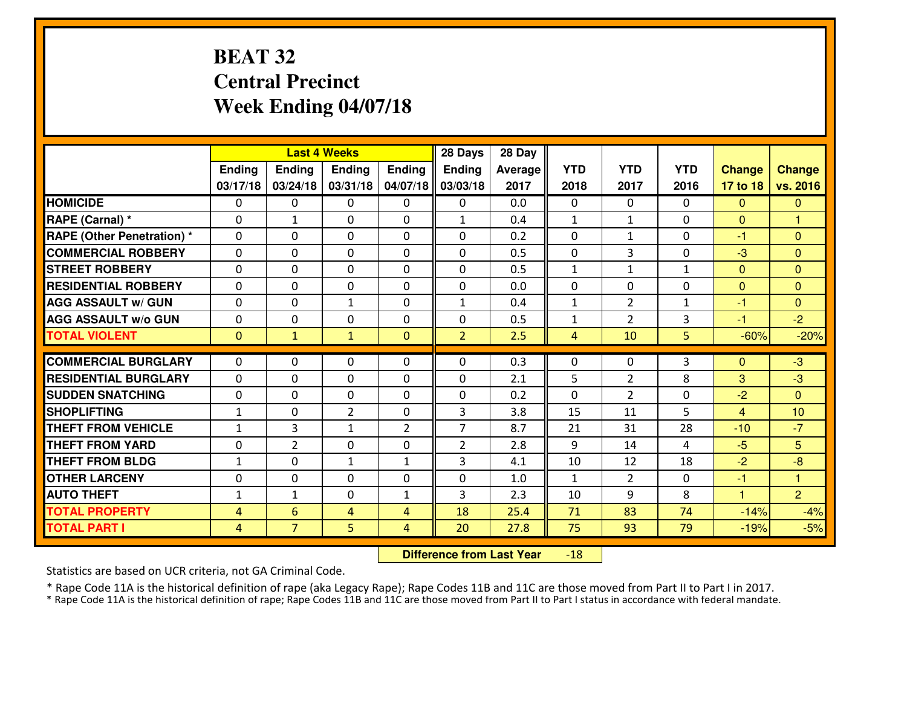### **BEAT 32 Central PrecinctWeek Ending 04/07/18**

|                                  |                |                | <b>Last 4 Weeks</b> |                | 28 Days        | 28 Day  |                |                |              |                |                 |
|----------------------------------|----------------|----------------|---------------------|----------------|----------------|---------|----------------|----------------|--------------|----------------|-----------------|
|                                  | Ending         | <b>Ending</b>  | <b>Ending</b>       | Ending         | <b>Ending</b>  | Average | <b>YTD</b>     | <b>YTD</b>     | <b>YTD</b>   | <b>Change</b>  | <b>Change</b>   |
|                                  | 03/17/18       | 03/24/18       | 03/31/18            | 04/07/18       | 03/03/18       | 2017    | 2018           | 2017           | 2016         | 17 to 18       | vs. 2016        |
| <b>HOMICIDE</b>                  | $\Omega$       | 0              | 0                   | $\Omega$       | 0              | 0.0     | 0              | $\Omega$       | 0            | $\Omega$       | $\mathbf{0}$    |
| RAPE (Carnal) *                  | $\Omega$       | $\mathbf{1}$   | $\mathbf{0}$        | $\Omega$       | $\mathbf{1}$   | 0.4     | $\mathbf{1}$   | $\mathbf{1}$   | 0            | $\Omega$       | 1               |
| <b>RAPE (Other Penetration)*</b> | 0              | 0              | $\mathbf 0$         | 0              | 0              | 0.2     | 0              | $\mathbf{1}$   | 0            | $-1$           | $\overline{0}$  |
| <b>COMMERCIAL ROBBERY</b>        | 0              | 0              | $\mathbf 0$         | 0              | 0              | 0.5     | 0              | 3              | 0            | $-3$           | $\overline{0}$  |
| <b>STREET ROBBERY</b>            | 0              | 0              | $\mathbf 0$         | 0              | 0              | 0.5     | $\mathbf{1}$   | $\mathbf{1}$   | $\mathbf{1}$ | $\mathbf{0}$   | $\mathbf{0}$    |
| <b>RESIDENTIAL ROBBERY</b>       | 0              | 0              | $\mathbf 0$         | $\mathbf{0}$   | 0              | 0.0     | 0              | 0              | 0            | $\mathbf{0}$   | $\mathbf{0}$    |
| <b>AGG ASSAULT W/ GUN</b>        | 0              | 0              | 1                   | 0              | $\mathbf{1}$   | 0.4     | $\mathbf 1$    | $\overline{2}$ | $\mathbf{1}$ | $-1$           | $\overline{0}$  |
| <b>AGG ASSAULT W/o GUN</b>       | 0              | 0              | 0                   | $\mathbf{0}$   | 0              | 0.5     | $\mathbf{1}$   | $\overline{2}$ | 3            | $-1$           | $-2$            |
| <b>TOTAL VIOLENT</b>             | $\mathbf{0}$   | $\mathbf{1}$   | $\mathbf{1}$        | $\mathbf{0}$   | $\overline{2}$ | 2.5     | $\overline{4}$ | 10             | 5            | $-60%$         | $-20%$          |
| <b>COMMERCIAL BURGLARY</b>       | $\Omega$       | 0              | $\mathbf{0}$        | 0              | $\Omega$       | 0.3     | $\mathbf{0}$   | $\mathbf{0}$   | 3            | $\Omega$       | $-3$            |
| <b>RESIDENTIAL BURGLARY</b>      | $\mathbf{0}$   | 0              | 0                   | 0              | 0              | 2.1     | 5              | 2              | 8            | 3              | $-3$            |
| <b>SUDDEN SNATCHING</b>          | $\mathbf{0}$   | 0              | $\mathbf 0$         | 0              | 0              | 0.2     | 0              | $\overline{2}$ | 0            | $-2$           | $\Omega$        |
| <b>SHOPLIFTING</b>               | $\mathbf{1}$   | 0              | $\overline{2}$      | 0              | 3              | 3.8     | 15             | 11             | 5            | $\overline{4}$ | 10              |
| <b>THEFT FROM VEHICLE</b>        | $\mathbf{1}$   | 3              | 1                   | $\overline{2}$ | $\overline{7}$ | 8.7     | 21             | 31             | 28           | $-10$          | $-7$            |
| <b>THEFT FROM YARD</b>           | 0              | $\overline{2}$ | $\mathbf 0$         | 0              | $\overline{2}$ | 2.8     | 9              | 14             | 4            | $-5$           | $5\overline{)}$ |
| <b>THEFT FROM BLDG</b>           | $\mathbf{1}$   | 0              | $\mathbf{1}$        | $\mathbf{1}$   | 3              | 4.1     | 10             | 12             | 18           | $-2$           | $-8$            |
| <b>OTHER LARCENY</b>             | 0              | 0              | $\mathbf 0$         | 0              | 0              | 1.0     | $\mathbf{1}$   | $\overline{2}$ | 0            | $-1$           | $\mathbf{1}$    |
| <b>AUTO THEFT</b>                | $\mathbf{1}$   | $\mathbf{1}$   | $\mathbf 0$         | $\mathbf{1}$   | 3              | 2.3     | 10             | 9              | 8            | $\mathbf{1}$   | $\overline{2}$  |
| <b>TOTAL PROPERTY</b>            | $\overline{4}$ | 6              | 4                   | $\overline{4}$ | 18             | 25.4    | 71             | 83             | 74           | $-14%$         | $-4%$           |
| <b>TOTAL PART I</b>              | $\overline{4}$ | $\overline{7}$ | 5                   | 4              | 20             | 27.8    | 75             | 93             | 79           | $-19%$         | $-5%$           |
|                                  |                |                |                     |                |                |         |                |                |              |                |                 |

 **Difference from Last Year**-18

Statistics are based on UCR criteria, not GA Criminal Code.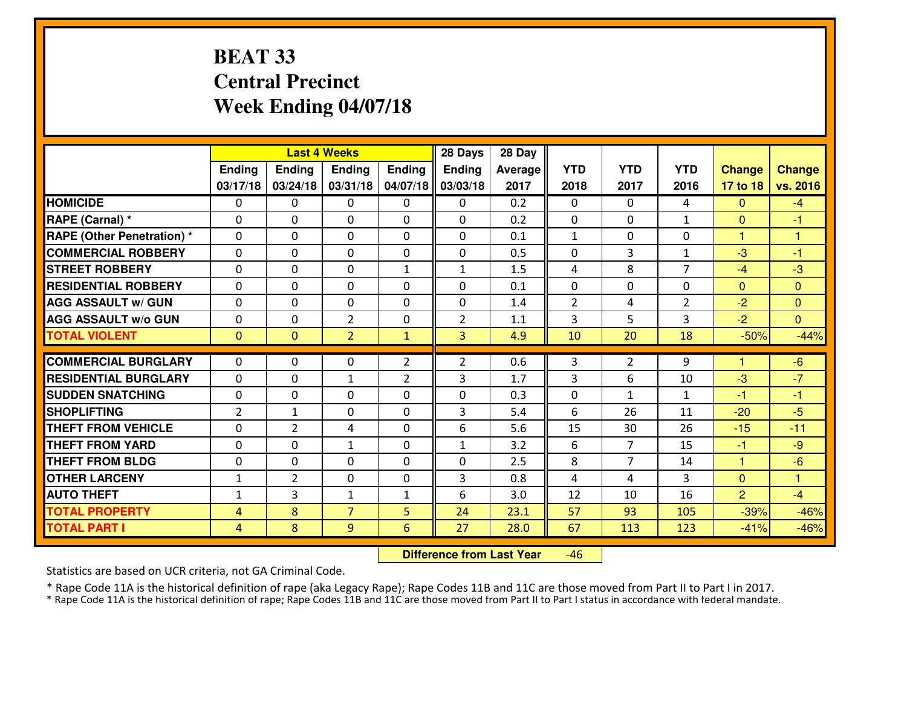### **BEAT 33 Central PrecinctWeek Ending 04/07/18**

|                                  |                |                | <b>Last 4 Weeks</b> |                | 28 Days        | 28 Day  |                |                |                |                |                |
|----------------------------------|----------------|----------------|---------------------|----------------|----------------|---------|----------------|----------------|----------------|----------------|----------------|
|                                  | <b>Ending</b>  | <b>Ending</b>  | <b>Endina</b>       | <b>Ending</b>  | <b>Ending</b>  | Average | <b>YTD</b>     | <b>YTD</b>     | <b>YTD</b>     | <b>Change</b>  | <b>Change</b>  |
|                                  | 03/17/18       | 03/24/18       | 03/31/18            | 04/07/18       | 03/03/18       | 2017    | 2018           | 2017           | 2016           | 17 to 18       | vs. 2016       |
| <b>HOMICIDE</b>                  | $\Omega$       | 0              | 0                   | $\Omega$       | 0              | 0.2     | 0              | $\Omega$       | 4              | $\Omega$       | $-4$           |
| RAPE (Carnal) *                  | $\Omega$       | 0              | $\mathbf{0}$        | 0              | $\Omega$       | 0.2     | $\Omega$       | $\Omega$       | $\mathbf{1}$   | $\Omega$       | -1             |
| <b>RAPE (Other Penetration)*</b> | $\Omega$       | $\Omega$       | $\mathbf 0$         | $\Omega$       | $\Omega$       | 0.1     | $\mathbf{1}$   | 0              | 0              | $\mathbf{1}$   | $\overline{1}$ |
| <b>COMMERCIAL ROBBERY</b>        | $\Omega$       | 0              | $\mathbf 0$         | 0              | 0              | 0.5     | 0              | 3              | $\mathbf{1}$   | $-3$           | $-1$           |
| <b>STREET ROBBERY</b>            | $\Omega$       | $\Omega$       | $\mathbf 0$         | $\mathbf{1}$   | $\mathbf{1}$   | 1.5     | 4              | 8              | $\overline{7}$ | $-4$           | $-3$           |
| <b>RESIDENTIAL ROBBERY</b>       | $\Omega$       | $\Omega$       | $\mathbf 0$         | $\Omega$       | 0              | 0.1     | $\mathbf 0$    | $\Omega$       | 0              | $\Omega$       | $\Omega$       |
| <b>AGG ASSAULT w/ GUN</b>        | $\Omega$       | $\Omega$       | $\mathbf 0$         | $\Omega$       | 0              | 1.4     | $\overline{2}$ | 4              | $\overline{2}$ | $-2$           | $\overline{0}$ |
| <b>AGG ASSAULT w/o GUN</b>       | 0              | 0              | $\overline{2}$      | $\mathbf 0$    | $\overline{2}$ | 1.1     | 3              | 5              | 3              | $-2$           | $\Omega$       |
| <b>TOTAL VIOLENT</b>             | $\mathbf{0}$   | $\mathbf{0}$   | $\overline{2}$      | $\mathbf{1}$   | 3              | 4.9     | 10             | 20             | 18             | $-50%$         | $-44%$         |
| <b>COMMERCIAL BURGLARY</b>       | $\Omega$       | 0              | 0                   | $\overline{2}$ | $\overline{2}$ | 0.6     | 3              | $\overline{2}$ | 9              | 1              | $-6$           |
| <b>RESIDENTIAL BURGLARY</b>      |                |                |                     |                | 3              | 1.7     | $\overline{3}$ | 6              | 10             | $-3$           | $-7$           |
|                                  | 0              | 0              | 1                   | $\overline{2}$ |                |         |                |                |                | $-1$           |                |
| <b>SUDDEN SNATCHING</b>          | 0              | 0              | $\mathbf 0$         | $\Omega$       | 0              | 0.3     | 0              | $\mathbf{1}$   | $\mathbf{1}$   |                | $-1$<br>$-5$   |
| <b>SHOPLIFTING</b>               | $\overline{2}$ | $\mathbf{1}$   | $\mathbf 0$         | 0              | 3              | 5.4     | 6              | 26             | 11             | $-20$          |                |
| <b>THEFT FROM VEHICLE</b>        | $\Omega$       | $\overline{2}$ | 4                   | $\Omega$       | 6              | 5.6     | 15             | 30             | 26             | $-15$          | $-11$          |
| <b>THEFT FROM YARD</b>           | $\mathbf 0$    | 0              | $\mathbf{1}$        | 0              | $\mathbf{1}$   | 3.2     | 6              | $\overline{7}$ | 15             | $-1$           | $-9$           |
| <b>THEFT FROM BLDG</b>           | 0              | 0              | $\mathbf 0$         | $\mathbf 0$    | 0              | 2.5     | 8              | $\overline{7}$ | 14             | $\mathbf{1}$   | $-6$           |
| <b>OTHER LARCENY</b>             | $1\,$          | $\overline{2}$ | $\mathbf 0$         | $\mathbf 0$    | 3              | 0.8     | 4              | 4              | 3              | $\overline{0}$ | $\overline{1}$ |
| <b>AUTO THEFT</b>                | $\mathbf{1}$   | 3              | $\mathbf{1}$        | $\mathbf{1}$   | 6              | 3.0     | 12             | 10             | 16             | $\overline{2}$ | $-4$           |
| <b>TOTAL PROPERTY</b>            | $\overline{4}$ | 8              | $\overline{7}$      | 5              | 24             | 23.1    | 57             | 93             | 105            | $-39%$         | $-46%$         |
| <b>TOTAL PART I</b>              | 4              | 8              | 9                   | 6              | 27             | 28.0    | 67             | 113            | 123            | $-41%$         | $-46%$         |

 **Difference from Last Year**-46

Statistics are based on UCR criteria, not GA Criminal Code.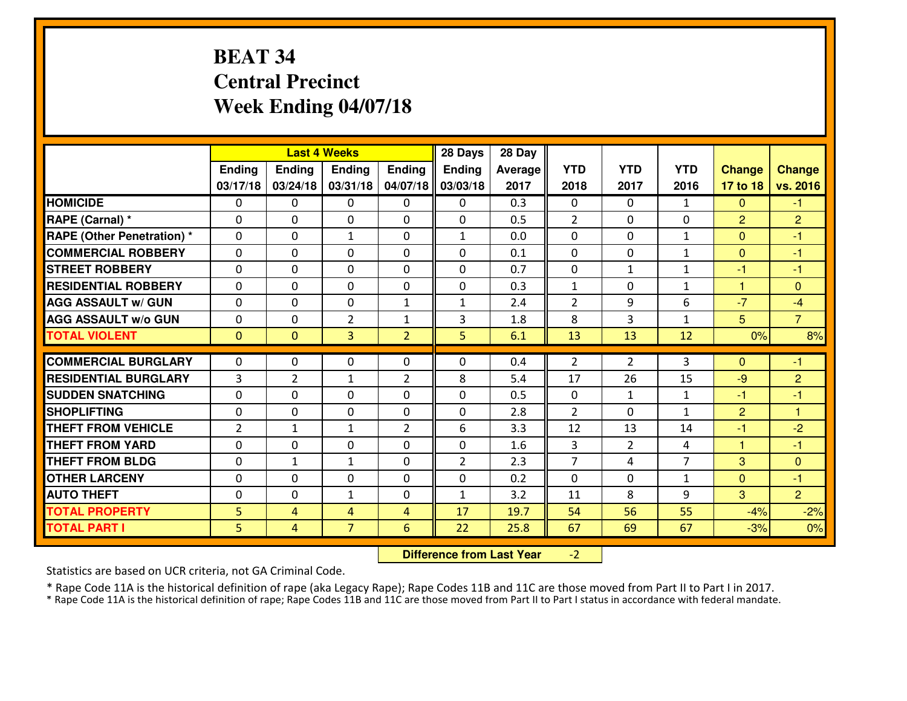## **BEAT 34 Central PrecinctWeek Ending 04/07/18**

|                                                 |              |                   | <b>Last 4 Weeks</b>         |                     | 28 Days        | 28 Day     |                |                      |                    |                        |                      |
|-------------------------------------------------|--------------|-------------------|-----------------------------|---------------------|----------------|------------|----------------|----------------------|--------------------|------------------------|----------------------|
|                                                 | Ending       | Ending            | <b>Ending</b>               | <b>Ending</b>       | <b>Ending</b>  | Average    | <b>YTD</b>     | <b>YTD</b>           | <b>YTD</b>         | <b>Change</b>          | <b>Change</b>        |
|                                                 | 03/17/18     | 03/24/18          | 03/31/18                    | 04/07/18            | 03/03/18       | 2017       | 2018           | 2017                 | 2016               | 17 to 18               | vs. 2016             |
| <b>HOMICIDE</b>                                 | $\mathbf{0}$ | 0                 | $\mathbf{0}$                | $\mathbf{0}$        | 0              | 0.3        | $\mathbf{0}$   | $\Omega$             | $\mathbf{1}$       | $\mathbf{0}$           | $-1$                 |
| RAPE (Carnal) *                                 | $\Omega$     | 0                 | $\mathbf{0}$                | 0                   | $\Omega$       | 0.5        | 2              | $\Omega$             | 0                  | $\overline{2}$         | $\overline{2}$       |
| <b>RAPE (Other Penetration)*</b>                | $\Omega$     | $\Omega$          | $\mathbf{1}$                | $\Omega$            | $\mathbf{1}$   | 0.0        | $\Omega$       | $\Omega$             | $\mathbf{1}$       | $\Omega$               | $-1$                 |
| <b>COMMERCIAL ROBBERY</b>                       | 0            | 0                 | $\mathbf 0$                 | 0                   | 0              | 0.1        | 0              | $\mathbf{0}$         | $\mathbf{1}$       | $\mathbf{0}$           | $-1$                 |
| <b>ISTREET ROBBERY</b>                          | $\mathbf{0}$ | 0                 | $\mathbf{0}$                | $\Omega$            | $\Omega$       | 0.7        | $\mathbf{0}$   | $\mathbf{1}$         | $\mathbf{1}$       | $-1$                   | $-1$                 |
| <b>RESIDENTIAL ROBBERY</b>                      | $\Omega$     | $\Omega$          | $\mathbf 0$                 | $\Omega$            | 0              | 0.3        | $\mathbf{1}$   | $\Omega$             | $\mathbf{1}$       | $\mathbf{1}$           | $\Omega$             |
| <b>AGG ASSAULT W/ GUN</b>                       | $\Omega$     | $\Omega$          | $\mathbf 0$                 | $\mathbf{1}$        | $\mathbf{1}$   | 2.4        | $\overline{2}$ | 9                    | 6                  | $-7$                   | $-4$                 |
| <b>AGG ASSAULT W/o GUN</b>                      | 0            | 0                 | $\overline{2}$              | $\mathbf{1}$        | 3              | 1.8        | 8              | 3                    | $\mathbf{1}$       | 5                      | $\overline{7}$       |
| <b>TOTAL VIOLENT</b>                            | $\mathbf{0}$ | $\overline{0}$    | $\overline{3}$              | $\overline{2}$      | 5              | 6.1        | 13             | 13                   | 12                 | 0%                     | 8%                   |
|                                                 |              |                   |                             |                     |                |            |                |                      |                    |                        |                      |
|                                                 |              |                   |                             |                     |                |            |                |                      |                    |                        |                      |
| <b>COMMERCIAL BURGLARY</b>                      | $\mathbf{0}$ | 0                 | 0                           | 0                   | $\Omega$       | 0.4        | $\overline{2}$ | 2                    | 3                  | $\Omega$               | -1                   |
| <b>RESIDENTIAL BURGLARY</b>                     | 3            | $\overline{2}$    | 1                           | $\overline{2}$      | 8              | 5.4        | 17             | 26                   | 15                 | -9                     | $\overline{2}$       |
| <b>SUDDEN SNATCHING</b>                         | $\Omega$     | 0                 | $\mathbf{0}$                | $\Omega$            | $\Omega$       | 0.5        | $\Omega$       | $\mathbf{1}$         | $\mathbf{1}$       | -1                     | -1<br>$\overline{1}$ |
| <b>SHOPLIFTING</b><br><b>THEFT FROM VEHICLE</b> | $\mathbf{0}$ | 0<br>$\mathbf{1}$ | $\mathbf 0$<br>$\mathbf{1}$ | 0<br>$\overline{2}$ | 0<br>6         | 2.8        | $\overline{2}$ | 0                    | $\mathbf{1}$<br>14 | $\overline{2}$<br>$-1$ |                      |
| <b>THEFT FROM YARD</b>                          | 2<br>0       | 0                 | $\mathbf 0$                 | $\Omega$            | 0              | 3.3<br>1.6 | 12<br>3        | 13<br>$\overline{2}$ | 4                  | 1                      | $-2$<br>$-1$         |
| <b>THEFT FROM BLDG</b>                          | 0            | $\mathbf{1}$      | $\mathbf{1}$                | 0                   | $\overline{2}$ | 2.3        | $\overline{7}$ | 4                    | $\overline{7}$     | 3                      | $\overline{0}$       |
| <b>OTHER LARCENY</b>                            | 0            | 0                 | $\mathbf 0$                 | 0                   | 0              | 0.2        | 0              | 0                    | $\mathbf{1}$       | $\overline{0}$         | $-1$                 |
| <b>AUTO THEFT</b>                               | $\mathbf{0}$ | 0                 | 1                           | 0                   | $\mathbf{1}$   | 3.2        | 11             | 8                    | 9                  | 3                      | $\overline{2}$       |
| <b>TOTAL PROPERTY</b>                           | 5            | 4                 | 4                           | $\overline{4}$      | 17             | 19.7       | 54             | 56                   | 55                 | $-4%$                  | $-2%$                |
| <b>TOTAL PART I</b>                             | 5            | 4                 | $\overline{7}$              | 6                   | 22             | 25.8       | 67             | 69                   | 67                 | $-3%$                  | 0%                   |

 **Difference from Last Year** $-2$  |

Statistics are based on UCR criteria, not GA Criminal Code.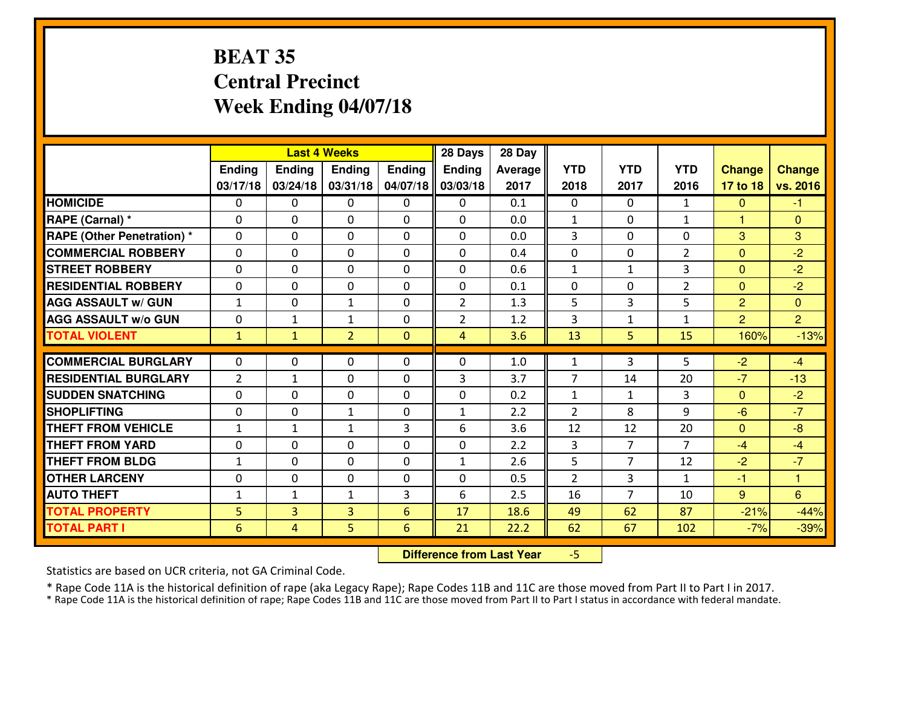#### **BEAT 35 Central PrecinctWeek Ending 04/07/18**

|                                              |                      |                     | <b>Last 4 Weeks</b> |              | 28 Days        | 28 Day       |                |                |                |                 |                  |
|----------------------------------------------|----------------------|---------------------|---------------------|--------------|----------------|--------------|----------------|----------------|----------------|-----------------|------------------|
|                                              | Ending               | <b>Ending</b>       | Ending              | Ending       | <b>Ending</b>  | Average      | <b>YTD</b>     | <b>YTD</b>     | <b>YTD</b>     | <b>Change</b>   | <b>Change</b>    |
|                                              | 03/17/18             | 03/24/18            | 03/31/18            | 04/07/18     | 03/03/18       | 2017         | 2018           | 2017           | 2016           | 17 to 18        | vs. 2016         |
| <b>HOMICIDE</b>                              | $\Omega$             | 0                   | 0                   | 0            | 0              | 0.1          | $\Omega$       | $\Omega$       | $\mathbf{1}$   | $\Omega$        | $-1$             |
| RAPE (Carnal) *                              | $\mathbf{0}$         | 0                   | $\mathbf{0}$        | 0            | $\Omega$       | 0.0          | $\mathbf{1}$   | $\mathbf{0}$   | $\mathbf{1}$   | $\mathbf{1}$    | $\mathbf{0}$     |
| <b>RAPE (Other Penetration) *</b>            | $\mathbf{0}$         | 0                   | $\mathbf{0}$        | $\Omega$     | $\Omega$       | 0.0          | 3              | 0              | 0              | 3               | 3                |
| <b>COMMERCIAL ROBBERY</b>                    | $\mathbf{0}$         | 0                   | 0                   | $\Omega$     | $\Omega$       | 0.4          | $\mathbf{0}$   | 0              | $\overline{2}$ | $\mathbf{0}$    | $-2$             |
| <b>STREET ROBBERY</b>                        | $\mathbf{0}$         | 0                   | $\mathbf{0}$        | 0            | $\Omega$       | 0.6          | 1              | $\mathbf{1}$   | 3              | $\mathbf{0}$    | $-2$             |
| <b>RESIDENTIAL ROBBERY</b>                   | $\Omega$             | 0                   | $\mathbf 0$         | 0            | 0              | 0.1          | 0              | 0              | $\overline{2}$ | $\overline{0}$  | $-2$             |
| <b>AGG ASSAULT W/ GUN</b>                    | $\mathbf{1}$         | 0                   | 1                   | 0            | $\overline{2}$ | 1.3          | 5              | 3              | 5              | $\overline{2}$  | $\Omega$         |
| <b>AGG ASSAULT W/o GUN</b>                   | 0                    | $\mathbf{1}$        | $\mathbf{1}$        | 0            | $\overline{2}$ | 1.2          | 3              | $\mathbf{1}$   | $\mathbf{1}$   | $\overline{2}$  | $\overline{2}$   |
| <b>TOTAL VIOLENT</b>                         | $\mathbf{1}$         | $\mathbf{1}$        | $\overline{2}$      | $\mathbf{0}$ | $\overline{4}$ | 3.6          | 13             | 5              | 15             | 160%            | $-13%$           |
| <b>COMMERCIAL BURGLARY</b>                   | $\mathbf{0}$         | 0                   | 0                   | 0            | $\Omega$       | 1.0          | 1              | 3              | 5              | $-2$            | $-4$             |
| <b>RESIDENTIAL BURGLARY</b>                  | $\overline{2}$       | 1                   | $\mathbf{0}$        | $\Omega$     | 3              | 3.7          | 7              | 14             | 20             | $-7$            | $-13$            |
| <b>SUDDEN SNATCHING</b>                      | $\mathbf{0}$         | 0                   | 0                   | 0            | 0              | 0.2          | $\mathbf{1}$   | $\mathbf{1}$   | 3              | $\Omega$        | $-2$             |
| <b>SHOPLIFTING</b>                           | 0                    | 0                   | 1                   | 0            | $\mathbf{1}$   | 2.2          | $\overline{2}$ | 8              | 9              | $-6$            | $-7$             |
| <b>THEFT FROM VEHICLE</b>                    | $\mathbf{1}$         | $\mathbf{1}$        | 1                   | 3            | 6              | 3.6          | 12             | 12             | 20             | $\overline{0}$  | $-8$             |
| <b>THEFT FROM YARD</b>                       | 0                    | $\Omega$            | $\mathbf 0$         | $\Omega$     | 0              | 2.2          | 3              | 7              | $\overline{7}$ | $-4$            | $-4$             |
| <b>THEFT FROM BLDG</b>                       | $\mathbf{1}$         | 0                   | $\mathbf 0$         | 0            | $\mathbf{1}$   | 2.6          | 5              | 7              | 12             | $-2$            | $-7$             |
|                                              |                      |                     | $\mathbf 0$         | 0            | 0              | 0.5          | $\overline{2}$ | 3              | $\mathbf{1}$   | $-1$            | 1                |
|                                              |                      |                     |                     |              |                |              |                |                |                |                 |                  |
| <b>OTHER LARCENY</b>                         | 0                    | 0                   |                     |              |                |              |                |                |                |                 |                  |
| <b>AUTO THEFT</b>                            | $\mathbf{1}$         | $\mathbf{1}$        | 1                   | 3            | 6              | 2.5          | 16             | $\overline{7}$ | 10             | 9               | 6                |
| <b>TOTAL PROPERTY</b><br><b>TOTAL PART I</b> | 5<br>$6\phantom{1}6$ | 3<br>$\overline{4}$ | 3<br>5              | 6<br>6       | 17<br>21       | 18.6<br>22.2 | 49<br>62       | 62<br>67       | 87<br>102      | $-21%$<br>$-7%$ | $-44%$<br>$-39%$ |

 **Difference from Last Year**-5

Statistics are based on UCR criteria, not GA Criminal Code.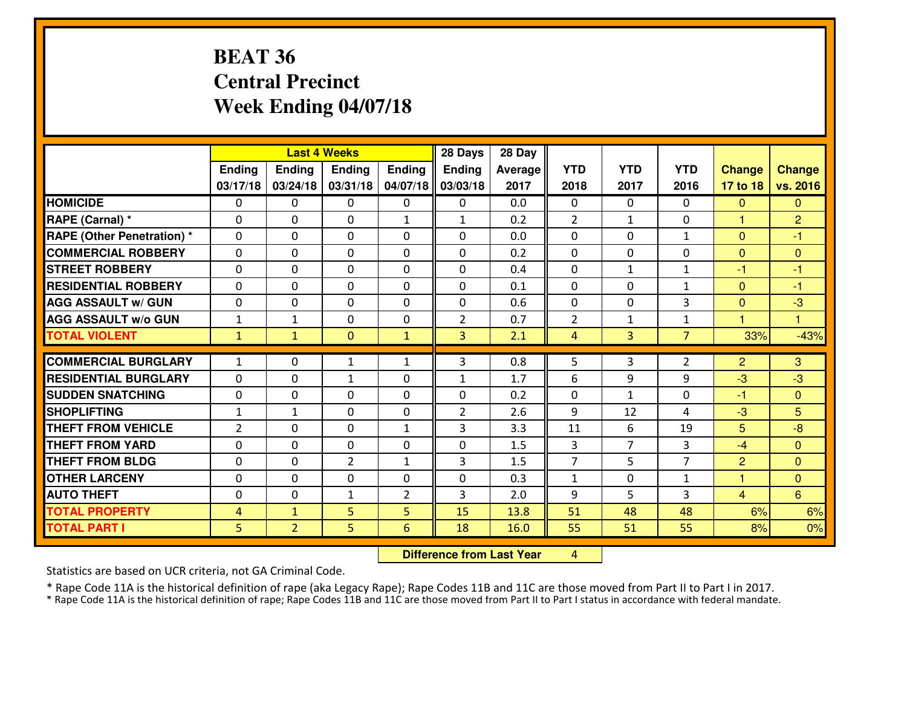#### **BEAT 36 Central PrecinctWeek Ending 04/07/18**

|                                   |                |                | <b>Last 4 Weeks</b> |              | 28 Days        | 28 Day  |                |                |                |                |                |
|-----------------------------------|----------------|----------------|---------------------|--------------|----------------|---------|----------------|----------------|----------------|----------------|----------------|
|                                   | Ending         | <b>Ending</b>  | <b>Ending</b>       | Ending       | Ending         | Average | <b>YTD</b>     | <b>YTD</b>     | <b>YTD</b>     | <b>Change</b>  | <b>Change</b>  |
|                                   | 03/17/18       | 03/24/18       | 03/31/18            | 04/07/18     | 03/03/18       | 2017    | 2018           | 2017           | 2016           | 17 to 18       | vs. 2016       |
| <b>HOMICIDE</b>                   | $\Omega$       | 0              | 0                   | $\Omega$     | $\Omega$       | 0.0     | 0              | $\Omega$       | 0              | $\Omega$       | $\Omega$       |
| RAPE (Carnal) *                   | $\mathbf{0}$   | 0              | $\mathbf{0}$        | $\mathbf{1}$ | $\mathbf{1}$   | 0.2     | 2              | $\mathbf{1}$   | 0              | 1              | $\overline{2}$ |
| <b>RAPE (Other Penetration) *</b> | $\Omega$       | 0              | $\mathbf{0}$        | $\Omega$     | $\Omega$       | 0.0     | $\Omega$       | 0              | $\mathbf{1}$   | $\Omega$       | $-1$           |
| <b>COMMERCIAL ROBBERY</b>         | 0              | 0              | $\mathbf 0$         | 0            | $\Omega$       | 0.2     | $\mathbf{0}$   | 0              | 0              | $\mathbf{0}$   | $\mathbf{0}$   |
| <b>STREET ROBBERY</b>             | 0              | 0              | $\mathbf 0$         | 0            | 0              | 0.4     | 0              | $\mathbf{1}$   | $\mathbf{1}$   | $-1$           | $-1$           |
| <b>RESIDENTIAL ROBBERY</b>        | $\Omega$       | $\Omega$       | $\mathbf 0$         | $\Omega$     | 0              | 0.1     | 0              | $\Omega$       | $\mathbf{1}$   | $\mathbf{0}$   | $-1$           |
| <b>AGG ASSAULT w/ GUN</b>         | 0              | 0              | $\mathbf 0$         | 0            | 0              | 0.6     | 0              | $\Omega$       | 3              | $\mathbf{0}$   | $-3$           |
| <b>AGG ASSAULT W/o GUN</b>        | $1\,$          | $\mathbf{1}$   | $\mathbf 0$         | $\mathbf 0$  | $\overline{2}$ | 0.7     | $\overline{2}$ | $\mathbf{1}$   | $\mathbf{1}$   | $\mathbf{1}$   | $\mathbf{1}$   |
| <b>TOTAL VIOLENT</b>              | $\mathbf{1}$   | $\mathbf{1}$   | $\overline{0}$      | $\mathbf{1}$ | 3              | 2.1     | $\overline{4}$ | $\overline{3}$ | $\overline{7}$ | 33%            | $-43%$         |
| <b>COMMERCIAL BURGLARY</b>        | $\mathbf{1}$   | 0              | 1                   | $\mathbf{1}$ | 3              | 0.8     | 5              | 3              | $\overline{2}$ | $\overline{2}$ | 3              |
| <b>RESIDENTIAL BURGLARY</b>       | 0              | 0              | $\mathbf{1}$        | 0            | 1              | 1.7     | 6              | 9              | 9              | $-3$           | $-3$           |
| <b>SUDDEN SNATCHING</b>           | 0              | 0              | 0                   | 0            | 0              | 0.2     | 0              | $\mathbf{1}$   | 0              | $-1$           | $\overline{0}$ |
| <b>SHOPLIFTING</b>                | $\mathbf{1}$   | $\mathbf{1}$   | $\mathbf 0$         | 0            | $\overline{2}$ | 2.6     | 9              | 12             | 4              | $-3$           | 5              |
| <b>THEFT FROM VEHICLE</b>         | $\overline{2}$ | 0              | $\mathbf 0$         | $\mathbf{1}$ | 3              | 3.3     | 11             | 6              | 19             | 5              | $-8$           |
| <b>THEFT FROM YARD</b>            | 0              | 0              | $\mathbf 0$         | 0            | 0              | 1.5     | 3              | $\overline{7}$ | 3              | $-4$           | $\overline{0}$ |
| <b>THEFT FROM BLDG</b>            | 0              | 0              | $\overline{2}$      | $\mathbf{1}$ | 3              | 1.5     | $\overline{7}$ | 5              | $\overline{7}$ | $\overline{2}$ | $\overline{0}$ |
| <b>OTHER LARCENY</b>              | 0              | 0              | $\mathbf 0$         | 0            | 0              | 0.3     | $\mathbf{1}$   | 0              | $\mathbf{1}$   | $\mathbf{1}$   | $\overline{0}$ |
| <b>AUTO THEFT</b>                 | $\mathbf{0}$   | 0              | $\mathbf{1}$        | 2            | 3              | 2.0     | 9              | 5              | 3              | $\overline{4}$ | 6              |
| <b>TOTAL PROPERTY</b>             | 4              | $\mathbf{1}$   | 5                   | 5            | 15             | 13.8    | 51             | 48             | 48             | 6%             | 6%             |
| <b>TOTAL PART I</b>               | 5              | $\overline{2}$ | 5                   | 6            | 18             | 16.0    | 55             | 51             | 55             | 8%             | 0%             |
|                                   |                |                |                     |              |                |         |                |                |                |                |                |

 **Difference from Last Year**<sup>4</sup>

Statistics are based on UCR criteria, not GA Criminal Code.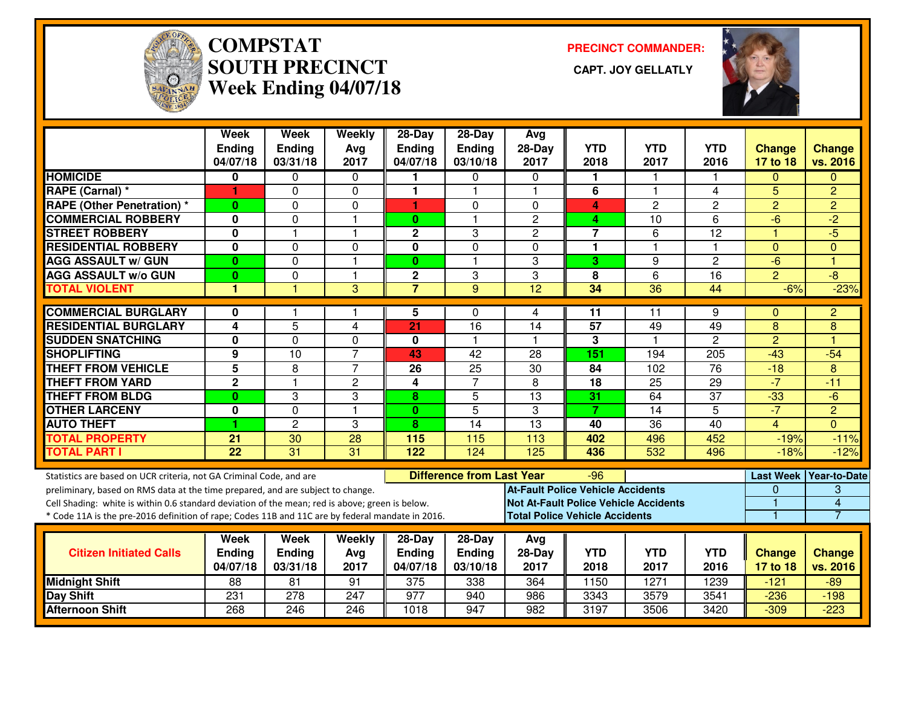

# **COMPSTAT PRECINCT COMMANDER: SOUTH PRECINCT CAPT. JOY GELLATLYWeek Ending 04/07/18**



|                                                                                                  | Week<br><b>Ending</b><br>04/07/18 | Week<br><b>Ending</b><br>03/31/18 | Weekly<br>Avg<br>2017 | $28-Day$<br>Ending<br>04/07/18 | $28-Day$<br>Ending<br>03/10/18   | Avg<br>$28-Day$<br>2017                      | <b>YTD</b><br>2018 | <b>YTD</b><br>2017 | <b>YTD</b><br>2016 | <b>Change</b><br>17 to 18 | <b>Change</b><br>vs. 2016 |
|--------------------------------------------------------------------------------------------------|-----------------------------------|-----------------------------------|-----------------------|--------------------------------|----------------------------------|----------------------------------------------|--------------------|--------------------|--------------------|---------------------------|---------------------------|
| <b>HOMICIDE</b>                                                                                  | 0                                 | $\mathbf{0}$                      | $\mathbf 0$           | 1                              | $\Omega$                         | $\mathbf{0}$                                 | 1                  |                    |                    | $\Omega$                  | $\Omega$                  |
| <b>RAPE (Carnal)</b> *                                                                           | 1.                                | $\mathbf{0}$                      | $\Omega$              | 1                              | 1                                |                                              | 6                  | 1                  | 4                  | 5                         | $\overline{2}$            |
| <b>RAPE (Other Penetration) *</b>                                                                | $\bf{0}$                          | $\Omega$                          | $\Omega$              | 1                              | 0                                | $\Omega$                                     | 4                  | $\overline{c}$     | $\overline{c}$     | $\overline{2}$            | $\overline{2}$            |
| <b>COMMERCIAL ROBBERY</b>                                                                        | $\bf{0}$                          | $\Omega$                          | $\mathbf{1}$          | $\mathbf{0}$                   | $\mathbf{1}$                     | $\overline{2}$                               | 4                  | 10                 | 6                  | $-6$                      | $-2$                      |
| <b>STREET ROBBERY</b>                                                                            | 0                                 |                                   | $\mathbf{1}$          | $\mathbf 2$                    | 3                                | $\overline{c}$                               | $\overline{7}$     | 6                  | 12                 | $\overline{1}$            | $-5$                      |
| <b>RESIDENTIAL ROBBERY</b>                                                                       | 0                                 | $\mathbf{0}$                      | 0                     | $\mathbf 0$                    | 0                                | $\mathbf{0}$                                 | $\mathbf{1}$       | $\overline{1}$     | $\mathbf{1}$       | $\mathbf{0}$              | $\Omega$                  |
| <b>AGG ASSAULT W/ GUN</b>                                                                        | $\bf{0}$                          | $\Omega$                          | $\mathbf{1}$          | $\mathbf{0}$                   | 1                                | 3                                            | 3                  | 9                  | $\overline{c}$     | $-6$                      | 1                         |
| <b>AGG ASSAULT w/o GUN</b>                                                                       | 0                                 | $\Omega$                          | $\mathbf{1}$          | 2                              | 3                                | 3                                            | 8                  | 6                  | 16                 | $\overline{2}$            | -8                        |
| <b>TOTAL VIOLENT</b>                                                                             | 1                                 |                                   | 3                     | $\overline{7}$                 | 9                                | 12                                           | 34                 | 36                 | 44                 | $-6%$                     | $-23%$                    |
| <b>COMMERCIAL BURGLARY</b>                                                                       | 0                                 |                                   | 1                     | 5                              | 0                                | 4                                            | 11                 | 11                 | 9                  | $\Omega$                  | $\overline{2}$            |
| <b>RESIDENTIAL BURGLARY</b>                                                                      | 4                                 | 5                                 | 4                     | 21                             | 16                               | 14                                           | 57                 | 49                 | 49                 | 8                         | 8                         |
| <b>SUDDEN SNATCHING</b>                                                                          | $\bf{0}$                          | $\Omega$                          | $\Omega$              | $\bf{0}$                       | $\mathbf{1}$                     | $\overline{\mathbf{1}}$                      | 3                  | $\overline{1}$     | $\overline{c}$     | $\overline{2}$            | и                         |
| <b>SHOPLIFTING</b>                                                                               | 9                                 | 10                                | $\overline{7}$        | 43                             | 42                               | 28                                           | 151                | 194                | 205                | $-43$                     | $-54$                     |
| <b>THEFT FROM VEHICLE</b>                                                                        | 5                                 | 8                                 | $\overline{7}$        | 26                             | 25                               | 30                                           | 84                 | 102                | $\overline{76}$    | $-18$                     | 8                         |
| <b>THEFT FROM YARD</b>                                                                           | $\overline{2}$                    |                                   | $\overline{c}$        | 4                              | $\overline{7}$                   | 8                                            | 18                 | $\overline{25}$    | $\overline{29}$    | $-7$                      | $-11$                     |
| <b>THEFT FROM BLDG</b>                                                                           | $\bf{0}$                          | 3                                 | 3                     | 8                              | 5                                | 13                                           | 31                 | 64                 | 37                 | $-33$                     | $-6$                      |
| <b>OTHER LARCENY</b>                                                                             | 0                                 | $\Omega$                          | $\blacktriangleleft$  | 0                              | $\overline{5}$                   | $\overline{3}$                               | $\overline{7}$     | 14                 | $\overline{5}$     | $-7$                      | $\overline{2}$            |
| <b>AUTO THEFT</b>                                                                                | 1                                 | $\overline{2}$                    | 3                     | 8                              | $\overline{14}$                  | $\overline{13}$                              | 40                 | $\overline{36}$    | 40                 | 4                         | $\Omega$                  |
| <b>TOTAL PROPERTY</b>                                                                            | 21                                | 30                                | 28                    | 115                            | 115                              | 113                                          | 402                | 496                | 452                | $-19%$                    | $-11%$                    |
| <b>TOTAL PART I</b>                                                                              | $\overline{22}$                   | $\overline{31}$                   | $\overline{31}$       | 122                            | 124                              | 125                                          | 436                | 532                | 496                | $-18%$                    | $-12%$                    |
| Statistics are based on UCR criteria, not GA Criminal Code, and are                              |                                   |                                   |                       |                                | <b>Difference from Last Year</b> |                                              | -96                |                    |                    |                           | Last Week   Year-to-Date  |
| preliminary, based on RMS data at the time prepared, and are subject to change.                  |                                   |                                   |                       |                                |                                  | <b>At-Fault Police Vehicle Accidents</b>     |                    |                    |                    | $\Omega$                  | 3                         |
| Cell Shading: white is within 0.6 standard deviation of the mean; red is above; green is below.  |                                   |                                   |                       |                                |                                  | <b>Not At-Fault Police Vehicle Accidents</b> |                    |                    |                    |                           | $\overline{\mathbf{4}}$   |
| * Code 11A is the pre-2016 definition of rape; Codes 11B and 11C are by federal mandate in 2016. |                                   |                                   |                       |                                |                                  | <b>Total Police Vehicle Accidents</b>        |                    |                    |                    |                           | 7                         |
|                                                                                                  | Week                              | Week                              | Weekly                | $28-Dav$                       | $28-Day$                         | Avg                                          |                    |                    |                    |                           |                           |
| <b>Citizen Initiated Calls</b>                                                                   | <b>Endina</b>                     | <b>Ending</b>                     | Ava                   | <b>Endina</b>                  | Ending                           | $28-Dav$                                     | <b>YTD</b>         | <b>YTD</b>         | <b>YTD</b>         | <b>Change</b>             | Change                    |
|                                                                                                  | 04/07/18                          | 03/31/18                          | 2017                  | 04/07/18                       | 03/10/18                         | 2017                                         | 2018               | 2017               | 2016               | 17 to 18                  | vs. 2016                  |
| <b>Midnight Shift</b>                                                                            | $\overline{88}$                   | $\overline{81}$                   | 91                    | 375                            | 338                              | 364                                          | 1150               | 1271               | 1239               | $-121$                    | $-89$                     |
| <b>Day Shift</b>                                                                                 | 231                               | 278                               | 247                   | 977                            | 940                              | 986                                          | 3343               | 3579               | 3541               | $-236$                    | $-198$                    |
| <b>Afternoon Shift</b>                                                                           | 268                               | 246                               | 246                   | 1018                           | 947                              | 982                                          | 3197               | 3506               | 3420               | $-309$                    | $-223$                    |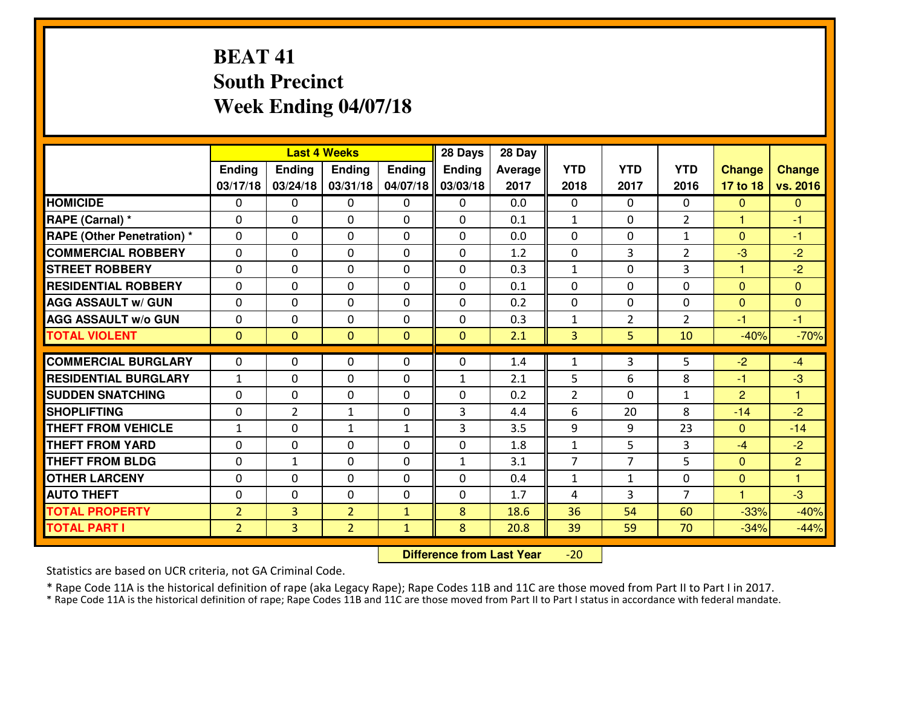## **BEAT 41 South PrecinctWeek Ending 04/07/18**

|                                   |                |                | <b>Last 4 Weeks</b> |               | 28 Days       | 28 Day         |                |                |                |                |                |
|-----------------------------------|----------------|----------------|---------------------|---------------|---------------|----------------|----------------|----------------|----------------|----------------|----------------|
|                                   | <b>Ending</b>  | <b>Ending</b>  | <b>Ending</b>       | <b>Ending</b> | <b>Ending</b> | <b>Average</b> | <b>YTD</b>     | <b>YTD</b>     | <b>YTD</b>     | <b>Change</b>  | Change         |
|                                   | 03/17/18       | 03/24/18       | 03/31/18            | 04/07/18      | 03/03/18      | 2017           | 2018           | 2017           | 2016           | 17 to 18       | vs. 2016       |
| <b>HOMICIDE</b>                   | $\Omega$       | $\Omega$       | 0                   | 0             | $\Omega$      | 0.0            | $\Omega$       | $\Omega$       | $\Omega$       | $\mathbf{0}$   | $\mathbf{0}$   |
| RAPE (Carnal) *                   | $\Omega$       | $\Omega$       | $\Omega$            | $\Omega$      | $\Omega$      | 0.1            | $\mathbf{1}$   | $\Omega$       | $\overline{2}$ | $\mathbf{1}$   | $-1$           |
| <b>RAPE (Other Penetration) *</b> | 0              | 0              | $\mathbf 0$         | 0             | 0             | 0.0            | $\mathbf 0$    | $\mathbf 0$    | $\mathbf{1}$   | $\mathbf{0}$   | $-1$           |
| <b>COMMERCIAL ROBBERY</b>         | 0              | 0              | $\mathbf 0$         | 0             | 0             | 1.2            | $\mathbf 0$    | 3              | $\overline{2}$ | $-3$           | $-2$           |
| <b>STREET ROBBERY</b>             | 0              | 0              | $\mathbf 0$         | 0             | 0             | 0.3            | $\mathbf{1}$   | 0              | 3              | 1              | $-2$           |
| <b>RESIDENTIAL ROBBERY</b>        | 0              | $\Omega$       | $\mathbf 0$         | $\Omega$      | 0             | 0.1            | $\mathbf 0$    | $\Omega$       | 0              | $\mathbf{0}$   | $\mathbf{0}$   |
| <b>AGG ASSAULT w/ GUN</b>         | 0              | 0              | $\mathbf 0$         | $\Omega$      | 0             | 0.2            | $\mathbf 0$    | $\Omega$       | 0              | $\mathbf 0$    | $\mathbf{0}$   |
| <b>AGG ASSAULT W/o GUN</b>        | 0              | 0              | $\mathbf 0$         | 0             | 0             | 0.3            | $\mathbf{1}$   | $\overline{2}$ | $\overline{2}$ | $-1$           | $-1$           |
| <b>TOTAL VIOLENT</b>              | $\mathbf{0}$   | $\overline{0}$ | $\mathbf{0}$        | $\mathbf{0}$  | $\mathbf{0}$  | 2.1            | $\overline{3}$ | 5              | 10             | $-40%$         | $-70%$         |
| <b>COMMERCIAL BURGLARY</b>        | $\Omega$       | 0              | $\mathbf{0}$        | $\Omega$      | $\mathbf{0}$  | 1.4            | $\mathbf{1}$   | 3              | 5              | $-2$           | $-4$           |
| <b>RESIDENTIAL BURGLARY</b>       | $\mathbf{1}$   | 0              | $\mathbf 0$         | 0             | $\mathbf{1}$  | 2.1            | 5              | 6              | 8              | $-1$           | $-3$           |
| <b>SUDDEN SNATCHING</b>           | 0              | $\Omega$       | $\mathbf 0$         | $\Omega$      | 0             | 0.2            | $\overline{2}$ | $\Omega$       | $\mathbf{1}$   | $\overline{2}$ | $\overline{1}$ |
| <b>SHOPLIFTING</b>                | 0              | $\overline{2}$ | 1                   | $\Omega$      | 3             | 4.4            | 6              | 20             | 8              | $-14$          | $-2$           |
| <b>THEFT FROM VEHICLE</b>         | $\mathbf{1}$   | 0              | $\mathbf{1}$        | $\mathbf{1}$  | 3             | 3.5            | 9              | 9              | 23             | $\mathbf{0}$   | $-14$          |
| <b>THEFT FROM YARD</b>            | 0              | 0              | 0                   | 0             | 0             | 1.8            | $\mathbf{1}$   | 5              | 3              | $-4$           | $-2$           |
| <b>THEFT FROM BLDG</b>            | 0              | $\mathbf{1}$   | $\mathbf{0}$        | $\Omega$      | $\mathbf{1}$  | 3.1            | $\overline{7}$ | $\overline{7}$ | 5              | $\mathbf{0}$   | $\overline{2}$ |
| <b>OTHER LARCENY</b>              | 0              | $\mathbf 0$    | $\mathbf 0$         | 0             | 0             | 0.4            | $\mathbf{1}$   | $\mathbf{1}$   | 0              | $\overline{0}$ | $\mathbf{1}$   |
| <b>AUTO THEFT</b>                 | 0              | $\Omega$       | $\mathbf 0$         | $\Omega$      | $\Omega$      | 1.7            | 4              | 3              | $\overline{7}$ | $\mathbf{1}$   | $-3$           |
| <b>TOTAL PROPERTY</b>             | $\overline{2}$ | $\overline{3}$ | $\overline{2}$      | $\mathbf{1}$  | 8             | 18.6           | 36             | 54             | 60             | $-33%$         | $-40%$         |
| <b>TOTAL PART I</b>               | $\overline{2}$ | $\overline{3}$ | $\overline{2}$      | $\mathbf{1}$  | 8             | 20.8           | 39             | 59             | 70             | $-34%$         | $-44%$         |

 **Difference from Last Year**-20

Statistics are based on UCR criteria, not GA Criminal Code.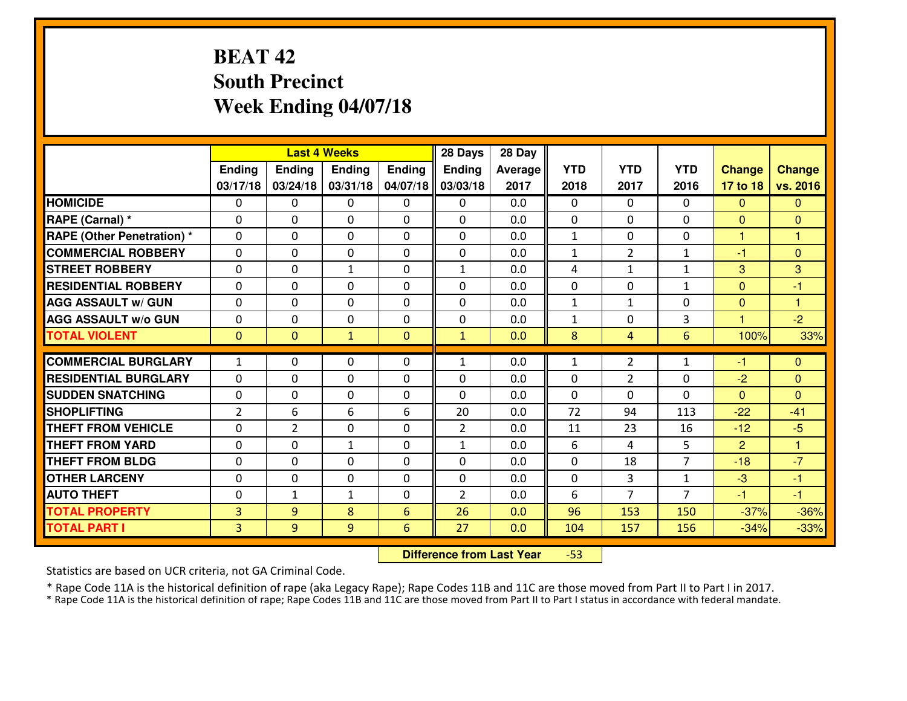## **BEAT 42 South PrecinctWeek Ending 04/07/18**

|                                   |                |                | <b>Last 4 Weeks</b> |              | 28 Days        | 28 Day  |              |                |                |                      |               |
|-----------------------------------|----------------|----------------|---------------------|--------------|----------------|---------|--------------|----------------|----------------|----------------------|---------------|
|                                   | Ending         | Ending         | Ending              | Ending       | <b>Ending</b>  | Average | <b>YTD</b>   | <b>YTD</b>     | <b>YTD</b>     | <b>Change</b>        | <b>Change</b> |
|                                   | 03/17/18       | 03/24/18       | 03/31/18            | 04/07/18     | 03/03/18       | 2017    | 2018         | 2017           | 2016           | 17 to 18             | vs. 2016      |
| <b>HOMICIDE</b>                   | 0              | $\Omega$       | 0                   | 0            | $\Omega$       | 0.0     | $\Omega$     | $\Omega$       | 0              | $\mathbf{0}$         | $\mathbf{0}$  |
| RAPE (Carnal) *                   | $\Omega$       | $\Omega$       | $\Omega$            | 0            | 0              | 0.0     | $\Omega$     | $\Omega$       | $\Omega$       | $\mathbf{0}$         | $\Omega$      |
| <b>RAPE (Other Penetration) *</b> | 0              | 0              | $\mathbf 0$         | 0            | 0              | 0.0     | $\mathbf{1}$ | 0              | 0              | 1                    | 1             |
| <b>COMMERCIAL ROBBERY</b>         | 0              | 0              | 0                   | $\Omega$     | 0              | 0.0     | $\mathbf{1}$ | $\overline{2}$ | $\mathbf{1}$   | $-1$                 | $\mathbf{0}$  |
| <b>STREET ROBBERY</b>             | 0              | 0              | $\mathbf{1}$        | $\Omega$     | $\mathbf{1}$   | 0.0     | 4            | $\mathbf{1}$   | $\mathbf{1}$   | 3                    | 3             |
| <b>RESIDENTIAL ROBBERY</b>        | 0              | 0              | 0                   | $\Omega$     | 0              | 0.0     | $\mathbf 0$  | $\mathbf 0$    | $\mathbf{1}$   | $\mathbf{0}$         | $-1$          |
| <b>AGG ASSAULT W/ GUN</b>         | 0              | 0              | $\mathbf 0$         | $\Omega$     | 0              | 0.0     | $\mathbf{1}$ | $\mathbf{1}$   | 0              | $\mathbf{0}$         | $\mathbf{1}$  |
| <b>AGG ASSAULT W/o GUN</b>        | 0              | 0              | $\mathbf 0$         | $\Omega$     | 0              | 0.0     | $\mathbf{1}$ | 0              | 3              | $\blacktriangleleft$ | $-2$          |
| <b>TOTAL VIOLENT</b>              | $\mathbf 0$    | $\overline{0}$ | $\mathbf{1}$        | $\mathbf{0}$ | $\mathbf{1}$   | 0.0     | 8            | $\overline{4}$ | $6\phantom{1}$ | 100%                 | 33%           |
| <b>COMMERCIAL BURGLARY</b>        | $\mathbf{1}$   | 0              | $\mathbf{0}$        | 0            | $\mathbf{1}$   | 0.0     | $\mathbf{1}$ | $\overline{2}$ | $\mathbf{1}$   | $-1$                 | $\Omega$      |
| <b>RESIDENTIAL BURGLARY</b>       | 0              | 0              | 0                   | 0            | 0              | 0.0     | $\mathbf{0}$ | $\overline{2}$ | $\Omega$       | $-2$                 | $\mathbf{0}$  |
| <b>SUDDEN SNATCHING</b>           | 0              | 0              | 0                   | $\Omega$     | 0              | 0.0     | $\mathbf{0}$ | $\mathbf{0}$   | $\Omega$       | $\mathbf{0}$         | $\mathbf{0}$  |
| <b>SHOPLIFTING</b>                | $\overline{2}$ | 6              | 6                   | 6            | 20             | 0.0     | 72           | 94             | 113            | $-22$                | $-41$         |
| <b>THEFT FROM VEHICLE</b>         | 0              | $\overline{2}$ | $\mathbf 0$         | $\Omega$     | $\overline{2}$ | 0.0     | 11           | 23             | 16             | $-12$                | $-5$          |
| <b>THEFT FROM YARD</b>            | 0              | 0              | $\mathbf{1}$        | 0            | $\mathbf{1}$   | 0.0     | 6            | 4              | 5              | $\overline{2}$       | 1             |
| <b>THEFT FROM BLDG</b>            | 0              | 0              | $\mathbf 0$         | $\Omega$     | 0              | 0.0     | $\mathbf 0$  | 18             | $\overline{7}$ | $-18$                | $-7$          |
| <b>OTHER LARCENY</b>              | 0              | 0              | $\mathbf 0$         | 0            | 0              | 0.0     | $\mathbf 0$  | 3              | $\mathbf{1}$   | $-3$                 | $-1$          |
| <b>AUTO THEFT</b>                 | 0              | $\mathbf{1}$   | $\mathbf{1}$        | 0            | $\overline{2}$ | 0.0     | 6            | $\overline{7}$ | $\overline{7}$ | $-1$                 | $-1$          |
| <b>TOTAL PROPERTY</b>             | $\overline{3}$ | 9              | 8                   | 6            | 26             | 0.0     | 96           | 153            | 150            | $-37%$               | $-36%$        |
| <b>TOTAL PART I</b>               | $\overline{3}$ | 9              | 9                   | 6            | 27             | 0.0     | 104          | 157            | 156            | $-34%$               | $-33%$        |

 **Difference from Last Year**-53

Statistics are based on UCR criteria, not GA Criminal Code.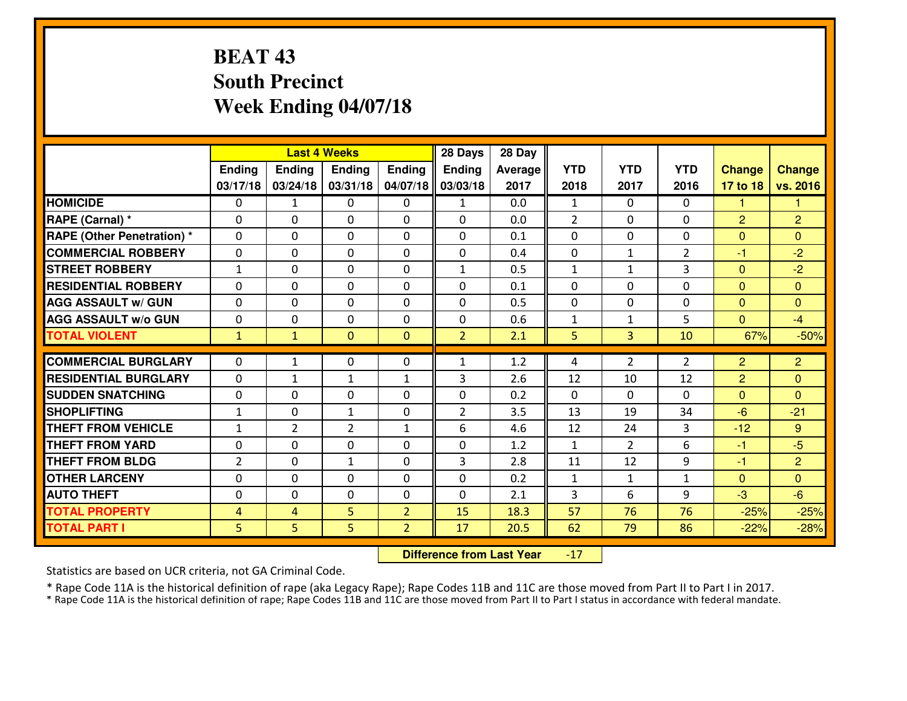## **BEAT 43 South PrecinctWeek Ending 04/07/18**

|                                   |                |                | <b>Last 4 Weeks</b> |                | 28 Days        | 28 Day  |              |                |                |                |                |
|-----------------------------------|----------------|----------------|---------------------|----------------|----------------|---------|--------------|----------------|----------------|----------------|----------------|
|                                   | Ending         | <b>Ending</b>  | Ending              | Ending         | <b>Ending</b>  | Average | <b>YTD</b>   | <b>YTD</b>     | <b>YTD</b>     | <b>Change</b>  | <b>Change</b>  |
|                                   | 03/17/18       | 03/24/18       | 03/31/18            | 04/07/18       | 03/03/18       | 2017    | 2018         | 2017           | 2016           | 17 to 18       | vs. 2016       |
| <b>HOMICIDE</b>                   | 0              | $\mathbf{1}$   | 0                   | 0              | $\mathbf{1}$   | 0.0     | 1            | $\Omega$       | 0              | 1              | 1              |
| RAPE (Carnal) *                   | $\Omega$       | $\Omega$       | $\mathbf{0}$        | 0              | 0              | 0.0     | 2            | $\Omega$       | $\Omega$       | 2              | 2              |
| <b>RAPE (Other Penetration) *</b> | $\Omega$       | 0              | $\mathbf{0}$        | $\Omega$       | 0              | 0.1     | $\Omega$     | $\Omega$       | $\Omega$       | $\mathbf{0}$   | $\Omega$       |
| <b>COMMERCIAL ROBBERY</b>         | 0              | 0              | 0                   | $\Omega$       | $\mathbf{0}$   | 0.4     | $\mathbf{0}$ | $\mathbf{1}$   | $\overline{2}$ | $-1$           | $-2$           |
| <b>STREET ROBBERY</b>             | $\mathbf{1}$   | 0              | $\mathbf 0$         | 0              | $\mathbf{1}$   | 0.5     | $\mathbf{1}$ | $\mathbf{1}$   | 3              | $\overline{0}$ | $-2$           |
| <b>RESIDENTIAL ROBBERY</b>        | $\Omega$       | $\Omega$       | $\mathbf 0$         | $\Omega$       | $\Omega$       | 0.1     | $\Omega$     | $\Omega$       | $\Omega$       | $\overline{0}$ | $\overline{0}$ |
| <b>AGG ASSAULT w/ GUN</b>         | 0              | $\Omega$       | $\mathbf 0$         | $\Omega$       | $\Omega$       | 0.5     | $\mathbf 0$  | $\Omega$       | $\Omega$       | $\mathbf{0}$   | $\mathbf{0}$   |
| <b>AGG ASSAULT W/o GUN</b>        | 0              | 0              | $\mathbf 0$         | 0              | 0              | 0.6     | $\mathbf{1}$ | $\mathbf{1}$   | 5              | $\overline{0}$ | $-4$           |
| <b>TOTAL VIOLENT</b>              | $\mathbf{1}$   | $\mathbf{1}$   | $\mathbf{0}$        | $\mathbf{0}$   | $\overline{2}$ | 2.1     | 5            | 3              | 10             | 67%            | $-50%$         |
| <b>COMMERCIAL BURGLARY</b>        | $\Omega$       | $\mathbf{1}$   | $\mathbf{0}$        | $\Omega$       | $\mathbf{1}$   | 1.2     | 4            | $\overline{2}$ | $\overline{2}$ | $\overline{2}$ | $\overline{2}$ |
| <b>RESIDENTIAL BURGLARY</b>       | 0              | $\mathbf{1}$   | $\mathbf{1}$        | $\mathbf{1}$   | 3              | 2.6     | 12           | 10             | 12             | $\overline{2}$ | $\mathbf{0}$   |
| <b>SUDDEN SNATCHING</b>           | 0              | 0              | 0                   | $\Omega$       | 0              | 0.2     | $\mathbf 0$  | $\mathbf 0$    | $\Omega$       | $\mathbf{0}$   | $\mathbf{0}$   |
| <b>SHOPLIFTING</b>                | $\mathbf{1}$   | 0              | $\mathbf{1}$        | 0              | $\overline{2}$ | 3.5     | 13           | 19             | 34             | $-6$           | $-21$          |
| <b>THEFT FROM VEHICLE</b>         | $\mathbf{1}$   | $\overline{2}$ | $\overline{2}$      | $\mathbf{1}$   | 6              | 4.6     | 12           | 24             | 3              | $-12$          | 9              |
| <b>THEFT FROM YARD</b>            | 0              | $\mathbf 0$    | $\mathbf 0$         | $\Omega$       | 0              | 1.2     | $\mathbf{1}$ | $\overline{2}$ | 6              | $-1$           | $-5$           |
| <b>THEFT FROM BLDG</b>            | $\overline{2}$ | 0              | $\mathbf{1}$        | $\Omega$       | 3              | 2.8     | 11           | 12             | 9              | $-1$           | $\overline{2}$ |
| <b>OTHER LARCENY</b>              | 0              | 0              | $\mathbf 0$         | 0              | 0              | 0.2     | $\mathbf{1}$ | $\mathbf{1}$   | $\mathbf{1}$   | $\overline{0}$ | $\overline{0}$ |
| <b>AUTO THEFT</b>                 | $\Omega$       | 0              | $\mathbf{0}$        | $\Omega$       | 0              | 2.1     | 3            | 6              | 9              | $-3$           | $-6$           |
| <b>TOTAL PROPERTY</b>             | 4              | 4              | 5                   | $\overline{2}$ | 15             | 18.3    | 57           | 76             | 76             | $-25%$         | $-25%$         |
| <b>TOTAL PART I</b>               | 5              | 5              | 5                   | $\overline{2}$ | 17             | 20.5    | 62           | 79             | 86             | $-22%$         | $-28%$         |
|                                   |                |                |                     |                |                |         |              |                |                |                |                |

 **Difference from Last Year**-17

Statistics are based on UCR criteria, not GA Criminal Code.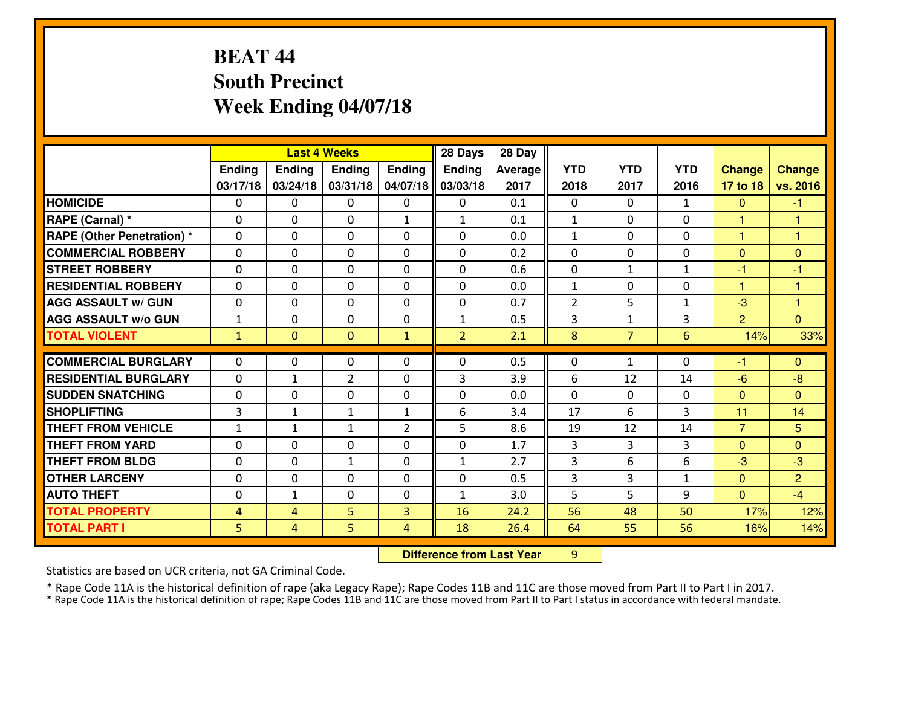## **BEAT 44 South PrecinctWeek Ending 04/07/18**

|                                              |                     |                     | <b>Last 4 Weeks</b> |                | 28 Days        | 28 Day       |                |                |              |                |                |
|----------------------------------------------|---------------------|---------------------|---------------------|----------------|----------------|--------------|----------------|----------------|--------------|----------------|----------------|
|                                              | Ending              | Ending              | Ending              | Ending         | <b>Ending</b>  | Average      | <b>YTD</b>     | <b>YTD</b>     | <b>YTD</b>   | <b>Change</b>  | <b>Change</b>  |
|                                              | 03/17/18            | 03/24/18            | 03/31/18            | 04/07/18       | 03/03/18       | 2017         | 2018           | 2017           | 2016         | 17 to 18       | vs. 2016       |
| <b>HOMICIDE</b>                              | 0                   | 0                   | 0                   | 0              | 0              | 0.1          | 0              | $\Omega$       | $\mathbf{1}$ | $\mathbf{0}$   | $-1$           |
| RAPE (Carnal) *                              | $\Omega$            | 0                   | $\mathbf{0}$        | $\mathbf{1}$   | $\mathbf{1}$   | 0.1          | $\mathbf{1}$   | 0              | $\Omega$     | 1              | 1              |
| <b>RAPE (Other Penetration) *</b>            | $\Omega$            | 0                   | $\mathbf{0}$        | $\Omega$       | 0              | 0.0          | $\mathbf{1}$   | $\Omega$       | $\Omega$     | 1              | 1              |
| <b>COMMERCIAL ROBBERY</b>                    | $\Omega$            | $\Omega$            | $\mathbf{0}$        | 0              | 0              | 0.2          | $\Omega$       | $\Omega$       | $\Omega$     | $\mathbf{0}$   | $\Omega$       |
| <b>ISTREET ROBBERY</b>                       | $\Omega$            | 0                   | $\mathbf 0$         | 0              | 0              | 0.6          | $\mathbf 0$    | $\mathbf{1}$   | $\mathbf{1}$ | $-1$           | -1             |
| <b>RESIDENTIAL ROBBERY</b>                   | $\Omega$            | $\Omega$            | $\mathbf{0}$        | $\Omega$       | $\mathbf{0}$   | 0.0          | $\mathbf{1}$   | $\Omega$       | $\Omega$     | 1.             | 1              |
| <b>AGG ASSAULT w/ GUN</b>                    | 0                   | 0                   | $\mathbf 0$         | $\Omega$       | 0              | 0.7          | $\overline{2}$ | 5              | $\mathbf{1}$ | $-3$           | $\mathbf{1}$   |
| <b>AGG ASSAULT W/o GUN</b>                   | $\mathbf{1}$        | 0                   | $\mathbf 0$         | $\Omega$       | $\mathbf{1}$   | 0.5          | 3              | $\mathbf{1}$   | 3            | 2              | $\overline{0}$ |
| <b>TOTAL VIOLENT</b>                         | $\mathbf{1}$        | $\mathbf{0}$        | $\mathbf{0}$        | $\mathbf{1}$   | $\overline{2}$ | 2.1          | 8              | 7 <sup>1</sup> | 6            | 14%            | 33%            |
| <b>COMMERCIAL BURGLARY</b>                   | 0                   | 0                   | $\mathbf{0}$        | $\Omega$       | 0              | 0.5          | $\mathbf{0}$   | $\mathbf{1}$   | $\Omega$     | $-1$           | $\mathbf{0}$   |
| <b>RESIDENTIAL BURGLARY</b>                  | $\Omega$            | 1                   | $\overline{2}$      | 0              | 3              | 3.9          | 6              | 12             | 14           | $-6$           | $-8$           |
| <b>SUDDEN SNATCHING</b>                      | $\Omega$            | 0                   | $\mathbf{0}$        | 0              | 0              | 0.0          | $\Omega$       | 0              | 0            | $\mathbf{0}$   | $\Omega$       |
| <b>SHOPLIFTING</b>                           | 3                   | $\mathbf{1}$        | $\mathbf{1}$        | $\mathbf{1}$   | 6              | 3.4          | 17             | 6              | 3            | 11             | 14             |
| <b>THEFT FROM VEHICLE</b>                    | $\mathbf{1}$        | $\mathbf{1}$        | 1                   | $\overline{2}$ | 5              | 8.6          | 19             | 12             | 14           | $\overline{7}$ | 5              |
| <b>THEFT FROM YARD</b>                       | $\Omega$            | $\Omega$            | $\Omega$            | 0              | 0              | 1.7          | 3              | 3              | 3            | $\mathbf{0}$   | $\Omega$       |
| <b>THEFT FROM BLDG</b>                       | $\Omega$            | 0                   | $\mathbf{1}$        | 0              | $\mathbf{1}$   | 2.7          | 3              | 6              | 6            | $-3$           | $-3$           |
| <b>OTHER LARCENY</b>                         | $\Omega$            | 0                   | $\mathbf{0}$        | $\Omega$       | 0              | 0.5          | 3              | 3              | $\mathbf{1}$ | $\mathbf 0$    | $\overline{2}$ |
| <b>AUTO THEFT</b>                            | $\Omega$            | 1                   | 0                   | 0              | $\mathbf{1}$   | 3.0          | 5              | 5.             | 9            | $\mathbf{0}$   | $-4$           |
|                                              |                     |                     |                     |                |                |              |                |                |              |                |                |
|                                              |                     |                     |                     |                |                |              |                |                |              |                |                |
| <b>TOTAL PROPERTY</b><br><b>TOTAL PART I</b> | 4<br>5 <sup>1</sup> | 4<br>$\overline{4}$ | 5<br>5              | 3<br>4         | 16<br>18       | 24.2<br>26.4 | 56<br>64       | 48<br>55       | 50<br>56     | 17%<br>16%     | 12%<br>14%     |

 **Difference from Last Year**<sup>9</sup>

Statistics are based on UCR criteria, not GA Criminal Code.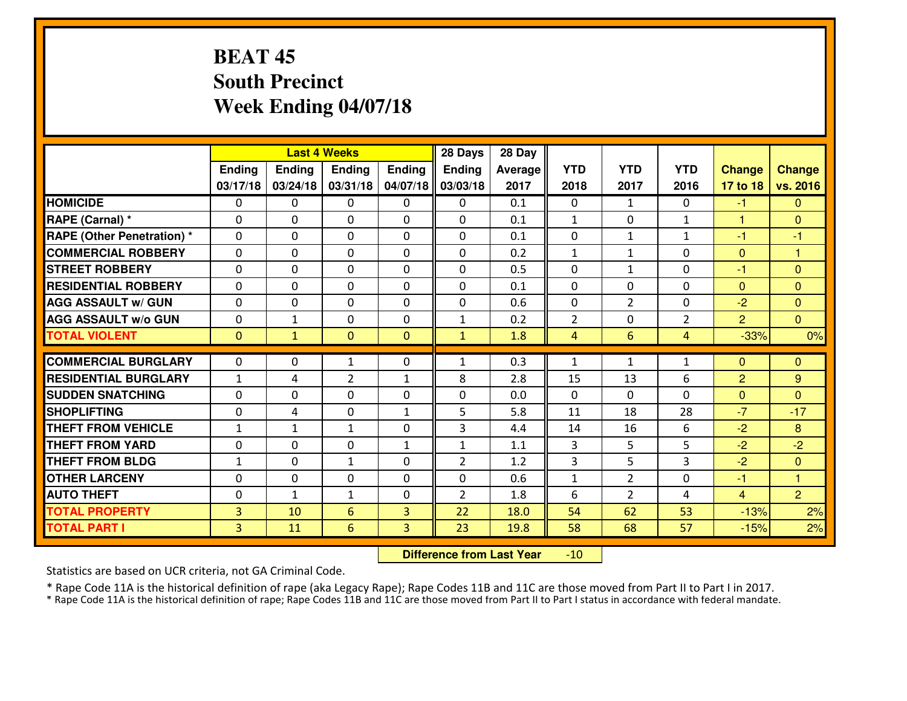## **BEAT 45 South PrecinctWeek Ending 04/07/18**

|                                  |                |               | <b>Last 4 Weeks</b> |                | 28 Days        | 28 Day  |                |                |                |                |                |
|----------------------------------|----------------|---------------|---------------------|----------------|----------------|---------|----------------|----------------|----------------|----------------|----------------|
|                                  | Ending         | <b>Ending</b> | <b>Ending</b>       | Ending         | <b>Ending</b>  | Average | <b>YTD</b>     | <b>YTD</b>     | <b>YTD</b>     | <b>Change</b>  | <b>Change</b>  |
|                                  | 03/17/18       | 03/24/18      | 03/31/18            | 04/07/18       | 03/03/18       | 2017    | 2018           | 2017           | 2016           | 17 to 18       | vs. 2016       |
| <b>HOMICIDE</b>                  | $\Omega$       | 0             | 0                   | $\Omega$       | $\Omega$       | 0.1     | 0              | $\mathbf{1}$   | 0              | $-1$           | $\Omega$       |
| RAPE (Carnal) *                  | $\Omega$       | 0             | $\Omega$            | $\Omega$       | $\Omega$       | 0.1     | $\mathbf{1}$   | $\Omega$       | $\mathbf{1}$   | 1              | $\Omega$       |
| <b>RAPE (Other Penetration)*</b> | 0              | 0             | $\mathbf 0$         | 0              | 0              | 0.1     | 0              | $\mathbf{1}$   | $\mathbf{1}$   | $-1$           | $-1$           |
| <b>COMMERCIAL ROBBERY</b>        | 0              | 0             | $\mathbf 0$         | 0              | 0              | 0.2     | $\mathbf{1}$   | $\mathbf{1}$   | 0              | $\mathbf{0}$   | $\overline{1}$ |
| <b>STREET ROBBERY</b>            | 0              | 0             | $\mathbf 0$         | 0              | 0              | 0.5     | 0              | $\mathbf{1}$   | 0              | $-1$           | $\overline{0}$ |
| <b>RESIDENTIAL ROBBERY</b>       | 0              | 0             | $\mathbf 0$         | 0              | 0              | 0.1     | 0              | 0              | 0              | $\mathbf{0}$   | $\mathbf{0}$   |
| <b>AGG ASSAULT W/ GUN</b>        | 0              | 0             | $\mathbf 0$         | 0              | 0              | 0.6     | 0              | $\overline{2}$ | 0              | $-2$           | $\overline{0}$ |
| <b>AGG ASSAULT W/o GUN</b>       | 0              | $\mathbf{1}$  | 0                   | $\mathbf{0}$   | $\mathbf{1}$   | 0.2     | $\overline{2}$ | 0              | $\overline{2}$ | $\overline{2}$ | $\overline{0}$ |
| <b>TOTAL VIOLENT</b>             | $\mathbf{0}$   | $\mathbf{1}$  | $\mathbf{O}$        | $\mathbf{0}$   | $\mathbf{1}$   | 1.8     | $\overline{4}$ | 6              | 4              | $-33%$         | 0%             |
| <b>COMMERCIAL BURGLARY</b>       | $\mathbf{0}$   | 0             | $\mathbf{1}$        | 0              | $\mathbf{1}$   | 0.3     | $\mathbf{1}$   | $\mathbf{1}$   | $\mathbf{1}$   | $\Omega$       | $\mathbf{0}$   |
| <b>RESIDENTIAL BURGLARY</b>      | $\mathbf{1}$   | 4             | $\overline{2}$      | $\mathbf{1}$   | 8              | 2.8     | 15             | 13             | 6              | $\overline{2}$ | 9              |
| <b>SUDDEN SNATCHING</b>          | $\mathbf{0}$   | 0             | $\mathbf 0$         | 0              | 0              | 0.0     | $\mathbf{0}$   | $\mathbf{0}$   | 0              | $\mathbf{0}$   | $\mathbf{0}$   |
| <b>SHOPLIFTING</b>               | 0              | 4             | $\mathbf 0$         | $\mathbf{1}$   | 5              | 5.8     | 11             | 18             | 28             | $-7$           | $-17$          |
| <b>THEFT FROM VEHICLE</b>        | $\mathbf{1}$   | 1             | 1                   | 0              | 3              | 4.4     | 14             | 16             | 6              | $-2$           | 8              |
| <b>THEFT FROM YARD</b>           | 0              | 0             | $\mathbf 0$         | $\mathbf{1}$   | $\mathbf{1}$   | 1.1     | 3              | 5              | 5              | $-2$           | $-2$           |
| <b>THEFT FROM BLDG</b>           | $\mathbf{1}$   | 0             | $\mathbf{1}$        | 0              | $\overline{2}$ | 1.2     | 3              | 5              | 3              | $-2$           | $\overline{0}$ |
| <b>OTHER LARCENY</b>             | 0              | 0             | $\mathbf 0$         | 0              | 0              | 0.6     | $\mathbf 1$    | $\overline{2}$ | 0              | $-1$           | $\overline{1}$ |
| <b>AUTO THEFT</b>                | 0              | $\mathbf{1}$  | $\mathbf{1}$        | 0              | $\overline{2}$ | 1.8     | 6              | $\overline{2}$ | 4              | $\overline{4}$ | $\overline{2}$ |
| <b>TOTAL PROPERTY</b>            | $\overline{3}$ | 10            | 6                   | $\overline{3}$ | 22             | 18.0    | 54             | 62             | 53             | $-13%$         | 2%             |
| <b>TOTAL PART I</b>              | $\overline{3}$ | 11            | 6                   | 3              | 23             | 19.8    | 58             | 68             | 57             | $-15%$         | 2%             |

 **Difference from Last Year**-10

Statistics are based on UCR criteria, not GA Criminal Code.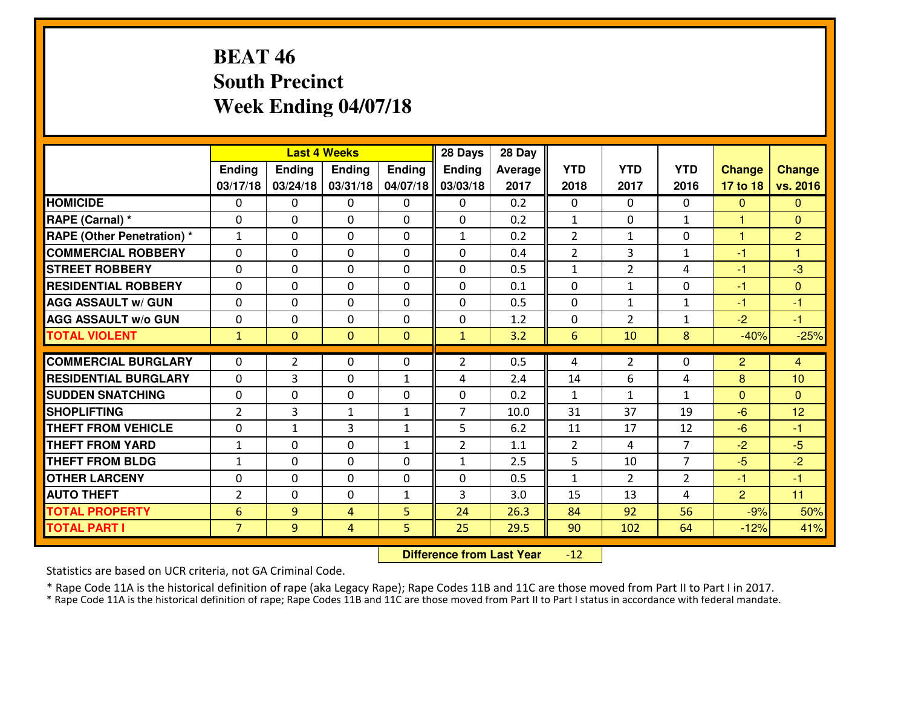## **BEAT 46 South PrecinctWeek Ending 04/07/18**

|                                   |                |                | <b>Last 4 Weeks</b> |               | 28 Days        | 28 Day         |                |                |                |                |                |
|-----------------------------------|----------------|----------------|---------------------|---------------|----------------|----------------|----------------|----------------|----------------|----------------|----------------|
|                                   | Ending         | <b>Ending</b>  | Ending              | <b>Ending</b> | Ending         | <b>Average</b> | <b>YTD</b>     | <b>YTD</b>     | <b>YTD</b>     | <b>Change</b>  | <b>Change</b>  |
|                                   | 03/17/18       | 03/24/18       | 03/31/18            | 04/07/18      | 03/03/18       | 2017           | 2018           | 2017           | 2016           | 17 to 18       | vs. 2016       |
| <b>HOMICIDE</b>                   | $\Omega$       | $\Omega$       | 0                   | 0             | $\Omega$       | 0.2            | $\Omega$       | $\Omega$       | $\Omega$       | $\mathbf{0}$   | $\mathbf{0}$   |
| RAPE (Carnal) *                   | $\Omega$       | $\Omega$       | $\mathbf{0}$        | $\Omega$      | $\mathbf{0}$   | 0.2            | $\mathbf{1}$   | $\Omega$       | $\mathbf{1}$   | 1              | $\Omega$       |
| <b>RAPE (Other Penetration) *</b> | $\mathbf{1}$   | 0              | $\mathbf 0$         | 0             | $\mathbf{1}$   | 0.2            | $\overline{2}$ | $\mathbf{1}$   | 0              | 1              | $\overline{2}$ |
| <b>COMMERCIAL ROBBERY</b>         | 0              | 0              | 0                   | $\Omega$      | 0              | 0.4            | $\overline{2}$ | $\overline{3}$ | $\mathbf{1}$   | $-1$           | $\mathbf{1}$   |
| <b>STREET ROBBERY</b>             | 0              | $\mathbf 0$    | $\mathbf 0$         | 0             | $\Omega$       | 0.5            | $\mathbf{1}$   | $\overline{2}$ | 4              | $-1$           | $-3$           |
| <b>RESIDENTIAL ROBBERY</b>        | 0              | 0              | $\mathbf 0$         | 0             | 0              | 0.1            | $\mathbf 0$    | $\mathbf{1}$   | 0              | $-1$           | $\mathbf{0}$   |
| <b>AGG ASSAULT W/ GUN</b>         | 0              | 0              | $\mathbf 0$         | $\Omega$      | 0              | 0.5            | $\mathbf 0$    | $\mathbf{1}$   | $\mathbf{1}$   | $-1$           | $-1$           |
| <b>AGG ASSAULT W/o GUN</b>        | 0              | 0              | $\mathbf{0}$        | $\Omega$      | 0              | 1.2            | $\mathbf{0}$   | $\overline{2}$ | 1              | $-2$           | $-1$           |
| <b>TOTAL VIOLENT</b>              | $\mathbf{1}$   | $\overline{0}$ | $\mathbf{0}$        | $\mathbf{0}$  | $\mathbf{1}$   | 3.2            | 6              | 10             | 8              | $-40%$         | $-25%$         |
| <b>COMMERCIAL BURGLARY</b>        | $\Omega$       | $\overline{2}$ | $\mathbf{0}$        | 0             | $\overline{2}$ | 0.5            | 4              | $\overline{2}$ | $\Omega$       | $\overline{2}$ | $\overline{4}$ |
| <b>RESIDENTIAL BURGLARY</b>       | $\Omega$       | 3              | $\mathbf{0}$        | $\mathbf{1}$  | 4              | 2.4            | 14             | 6              | 4              | 8              | 10             |
| <b>SUDDEN SNATCHING</b>           | 0              | 0              | 0                   | $\Omega$      | 0              | 0.2            | $\mathbf{1}$   | $\mathbf{1}$   | $\mathbf{1}$   | $\mathbf{0}$   | $\Omega$       |
| <b>SHOPLIFTING</b>                | $\overline{2}$ | 3              | $\mathbf{1}$        | $\mathbf{1}$  | $\overline{7}$ | 10.0           | 31             | 37             | 19             | $-6$           | 12             |
| <b>THEFT FROM VEHICLE</b>         | 0              | $\mathbf{1}$   | $\overline{3}$      | $\mathbf{1}$  | 5              | 6.2            | 11             | 17             | 12             | $-6$           | $-1$           |
| <b>THEFT FROM YARD</b>            | $\mathbf{1}$   | 0              | $\mathbf 0$         | $\mathbf{1}$  | $\overline{2}$ | 1.1            | $\overline{2}$ | 4              | $\overline{7}$ | $-2$           | $-5$           |
| <b>THEFT FROM BLDG</b>            | $\mathbf{1}$   | $\Omega$       | $\mathbf 0$         | $\Omega$      | $\mathbf{1}$   | 2.5            | 5              | 10             | $\overline{7}$ | $-5$           | $-2$           |
| <b>OTHER LARCENY</b>              | 0              | $\Omega$       | $\mathbf 0$         | $\Omega$      | 0              | 0.5            | $\mathbf{1}$   | $\overline{2}$ | $\overline{2}$ | $-1$           | $-1$           |
| <b>AUTO THEFT</b>                 | $\overline{2}$ | 0              | $\mathbf 0$         | $\mathbf{1}$  | 3              | 3.0            | 15             | 13             | 4              | $\overline{2}$ | 11             |
| <b>TOTAL PROPERTY</b>             | 6              | 9              | 4                   | 5             | 24             | 26.3           | 84             | 92             | 56             | $-9%$          | 50%            |
| <b>TOTAL PART I</b>               | $\overline{7}$ | 9              | $\overline{4}$      | 5             | 25             | 29.5           | 90             | 102            | 64             | $-12%$         | 41%            |

 **Difference from Last Year**-12

Statistics are based on UCR criteria, not GA Criminal Code.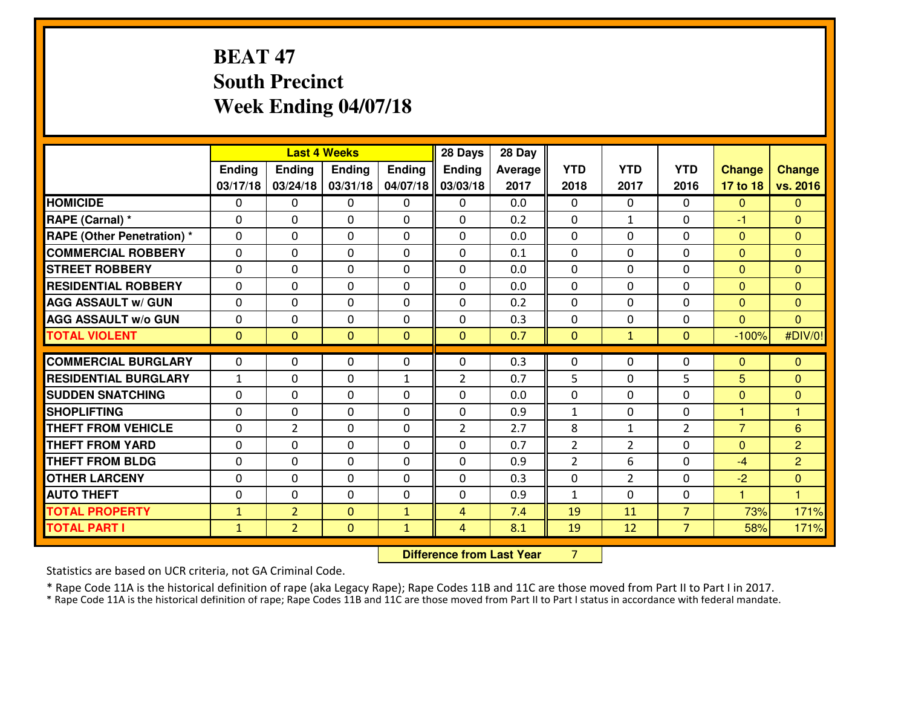## **BEAT 47 South PrecinctWeek Ending 04/07/18**

|                                   |              |                | <b>Last 4 Weeks</b> |                | 28 Days        | 28 Day  |                |                |                |                |                |
|-----------------------------------|--------------|----------------|---------------------|----------------|----------------|---------|----------------|----------------|----------------|----------------|----------------|
|                                   | Ending       | Ending         | <b>Ending</b>       | <b>Ending</b>  | <b>Ending</b>  | Average | <b>YTD</b>     | <b>YTD</b>     | <b>YTD</b>     | <b>Change</b>  | <b>Change</b>  |
|                                   | 03/17/18     | 03/24/18       | 03/31/18            | 04/07/18       | 03/03/18       | 2017    | 2018           | 2017           | 2016           | 17 to 18       | vs. 2016       |
| <b>HOMICIDE</b>                   | 0            | 0              | 0                   | 0              | 0              | 0.0     | 0              | $\Omega$       | 0              | $\Omega$       | $\mathbf{0}$   |
| RAPE (Carnal) *                   | $\mathbf{0}$ | 0              | $\mathbf 0$         | 0              | 0              | 0.2     | $\mathbf{0}$   | $\mathbf{1}$   | 0              | -1             | $\mathbf{0}$   |
| <b>RAPE (Other Penetration) *</b> | $\Omega$     | 0              | $\mathbf{0}$        | $\Omega$       | 0              | 0.0     | $\Omega$       | 0              | 0              | $\Omega$       | $\mathbf{0}$   |
| <b>COMMERCIAL ROBBERY</b>         | $\Omega$     | 0              | $\mathbf 0$         | $\Omega$       | $\Omega$       | 0.1     | $\Omega$       | 0              | 0              | $\Omega$       | $\Omega$       |
| <b>ISTREET ROBBERY</b>            | $\Omega$     | 0              | $\mathbf{0}$        | $\Omega$       | $\Omega$       | 0.0     | $\Omega$       | 0              | 0              | $\Omega$       | $\mathbf{0}$   |
| <b>RESIDENTIAL ROBBERY</b>        | $\Omega$     | 0              | $\mathbf{0}$        | $\Omega$       | $\Omega$       | 0.0     | $\Omega$       | 0              | 0              | $\Omega$       | $\Omega$       |
| <b>AGG ASSAULT W/ GUN</b>         | 0            | 0              | $\mathbf 0$         | 0              | 0              | 0.2     | 0              | 0              | 0              | $\Omega$       | $\mathbf{0}$   |
| <b>AGG ASSAULT w/o GUN</b>        | $\mathbf{0}$ | 0              | 0                   | 0              | 0              | 0.3     | 0              | 0              | 0              | $\Omega$       | $\Omega$       |
| <b>TOTAL VIOLENT</b>              | $\mathbf{0}$ | $\overline{0}$ | $\mathbf{0}$        | $\overline{0}$ | $\mathbf{0}$   | 0.7     | $\mathbf{0}$   | $\mathbf{1}$   | $\mathbf{O}$   | $-100%$        | #DIV/0!        |
|                                   |              |                |                     |                |                |         |                |                |                |                |                |
|                                   |              |                |                     |                |                |         |                |                |                |                |                |
| <b>COMMERCIAL BURGLARY</b>        | $\mathbf{0}$ | 0              | 0                   | 0              | $\Omega$       | 0.3     | 0              | 0              | 0              | $\mathbf{0}$   | $\mathbf{0}$   |
| <b>RESIDENTIAL BURGLARY</b>       | $\mathbf{1}$ | 0              | 0                   | 1              | $\overline{2}$ | 0.7     | 5              | $\Omega$       | 5              | 5              | $\Omega$       |
| <b>SUDDEN SNATCHING</b>           | $\mathbf{0}$ | 0              | 0                   | 0              | $\Omega$       | 0.0     | $\mathbf{0}$   | 0              | 0              | $\mathbf{0}$   | $\mathbf{0}$   |
| <b>SHOPLIFTING</b>                | $\Omega$     | 0              | $\mathbf{0}$        | 0              | 0              | 0.9     | 1              | 0              | 0              | 1              | 1              |
| <b>THEFT FROM VEHICLE</b>         | $\mathbf{0}$ | $\overline{2}$ | $\mathbf 0$         | 0              | $\overline{2}$ | 2.7     | 8              | $\mathbf{1}$   | $\overline{2}$ | $\overline{7}$ | 6              |
| <b>THEFT FROM YARD</b>            | $\mathbf{0}$ | 0              | $\mathbf{0}$        | 0              | $\Omega$       | 0.7     | 2              | 2              | 0              | $\Omega$       | $\overline{2}$ |
| <b>THEFT FROM BLDG</b>            | $\Omega$     | $\Omega$       | $\mathbf 0$         | $\Omega$       | $\Omega$       | 0.9     | $\overline{2}$ | 6              | $\Omega$       | $-4$           | $\overline{2}$ |
| <b>OTHER LARCENY</b>              | $\mathbf{0}$ | 0              | $\mathbf{0}$        | $\Omega$       | $\Omega$       | 0.3     | $\Omega$       | $\overline{2}$ | 0              | $-2$           | $\mathbf{0}$   |
| <b>AUTO THEFT</b>                 | $\mathbf{0}$ | 0              | $\mathbf{0}$        | 0              | $\Omega$       | 0.9     | $\mathbf{1}$   | 0              | 0              | 1              | 1              |
| <b>TOTAL PROPERTY</b>             | $\mathbf{1}$ | $\overline{2}$ | $\mathbf{0}$        | $\mathbf{1}$   | 4              | 7.4     | 19             | 11             | $\overline{7}$ | 73%            | 171%           |
| <b>TOTAL PART I</b>               | $\mathbf{1}$ | $\overline{2}$ | $\mathbf{0}$        | $\mathbf{1}$   | $\overline{4}$ | 8.1     | 19             | 12             | $\overline{7}$ | 58%            | 171%           |

**Difference from Last Year** 7

Statistics are based on UCR criteria, not GA Criminal Code.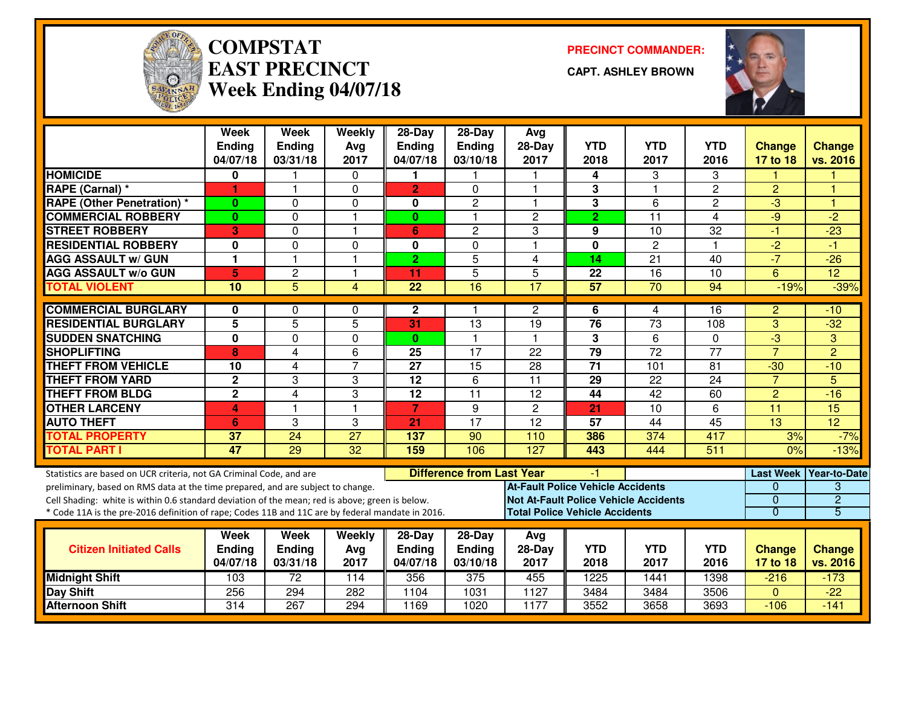

#### **COMPSTATEAST PRECINCTWeek Ending 04/07/18**

**PRECINCT COMMANDER:**

**CAPT. ASHLEY BROWN**



|                                                                                                                                                                                                                                                                                                                                                               | <b>Week</b><br><b>Ending</b><br>04/07/18 | Week<br><b>Ending</b><br>03/31/18 | Weekly<br>Avg<br>2017   | $28-Day$<br>Ending<br>04/07/18 | $28-Day$<br>Ending<br>03/10/18   | Avg<br>$28-Day$<br>2017                                                                                                           | <b>YTD</b><br>2018 | <b>YTD</b><br>2017 | <b>YTD</b><br>2016 | <b>Change</b><br>17 to 18                                     | Change<br>vs. 2016                       |
|---------------------------------------------------------------------------------------------------------------------------------------------------------------------------------------------------------------------------------------------------------------------------------------------------------------------------------------------------------------|------------------------------------------|-----------------------------------|-------------------------|--------------------------------|----------------------------------|-----------------------------------------------------------------------------------------------------------------------------------|--------------------|--------------------|--------------------|---------------------------------------------------------------|------------------------------------------|
| <b>HOMICIDE</b>                                                                                                                                                                                                                                                                                                                                               | 0                                        |                                   | 0                       | 1                              |                                  |                                                                                                                                   | 4                  | 3                  | 3                  |                                                               |                                          |
| <b>RAPE (Carnal) *</b>                                                                                                                                                                                                                                                                                                                                        | 1                                        | $\mathbf{1}$                      | $\Omega$                | $\overline{2}$                 | $\Omega$                         | $\mathbf{1}$                                                                                                                      | 3                  | $\overline{1}$     | $\overline{c}$     | $\overline{2}$                                                | ۴                                        |
| <b>RAPE (Other Penetration)</b> *                                                                                                                                                                                                                                                                                                                             | $\bf{0}$                                 | $\mathbf{0}$                      | 0                       | $\mathbf 0$                    | $\overline{c}$                   | $\overline{\mathbf{1}}$                                                                                                           | $\overline{3}$     | 6                  | $\overline{2}$     | $-3$                                                          | К                                        |
| <b>COMMERCIAL ROBBERY</b>                                                                                                                                                                                                                                                                                                                                     | $\bf{0}$                                 | $\mathbf 0$                       | $\mathbf{1}$            | $\mathbf{0}$                   | 1                                | $\overline{c}$                                                                                                                    | $\overline{2}$     | 11                 | 4                  | $-9$                                                          | $-2$                                     |
| <b>STREET ROBBERY</b>                                                                                                                                                                                                                                                                                                                                         | 3                                        | $\mathbf{0}$                      | $\mathbf{1}$            | 6                              | $\overline{c}$                   | 3                                                                                                                                 | 9                  | 10                 | $\overline{32}$    | $-1$                                                          | $-23$                                    |
| <b>RESIDENTIAL ROBBERY</b>                                                                                                                                                                                                                                                                                                                                    | $\mathbf{0}$                             | $\Omega$                          | $\Omega$                | $\bf{0}$                       | $\Omega$                         | $\overline{1}$                                                                                                                    | $\mathbf 0$        | $\overline{2}$     | 1                  | $\overline{2}$                                                | $-1$                                     |
| <b>AGG ASSAULT w/ GUN</b>                                                                                                                                                                                                                                                                                                                                     | $\mathbf{1}$                             |                                   | $\mathbf{1}$            | $\overline{2}$                 | 5                                | 4                                                                                                                                 | 14                 | 21                 | 40                 | $-7$                                                          | $-26$                                    |
| <b>AGG ASSAULT w/o GUN</b>                                                                                                                                                                                                                                                                                                                                    | 5                                        | $\overline{c}$                    | $\overline{1}$          | 11                             | 5                                | 5                                                                                                                                 | 22                 | $\overline{16}$    | 10                 | 6                                                             | $\overline{12}$                          |
| <b>TOTAL VIOLENT</b>                                                                                                                                                                                                                                                                                                                                          | 10                                       | $\overline{5}$                    | $\overline{\mathbf{4}}$ | 22                             | 16                               | $\overline{17}$                                                                                                                   | 57                 | 70                 | 94                 | $-19%$                                                        | $-39%$                                   |
| <b>COMMERCIAL BURGLARY</b>                                                                                                                                                                                                                                                                                                                                    | $\bf{0}$                                 | $\Omega$                          | $\Omega$                | $\mathbf{2}$                   | 1                                | $\overline{2}$                                                                                                                    | 6                  | 4                  | 16                 | $\overline{2}$                                                | $-10$                                    |
| <b>RESIDENTIAL BURGLARY</b>                                                                                                                                                                                                                                                                                                                                   | 5                                        | $\overline{5}$                    | 5                       | $\overline{31}$                | $\overline{13}$                  | $\overline{19}$                                                                                                                   | 76                 | $\overline{73}$    | 108                | 3                                                             | $-32$                                    |
| <b>SUDDEN SNATCHING</b>                                                                                                                                                                                                                                                                                                                                       | $\mathbf{0}$                             | $\Omega$                          | $\Omega$                | $\mathbf{0}$                   | 1                                |                                                                                                                                   | 3                  | 6                  | 0                  | $-3$                                                          | 3                                        |
| <b>SHOPLIFTING</b>                                                                                                                                                                                                                                                                                                                                            | 8                                        | $\overline{4}$                    | 6                       | 25                             | 17                               | 22                                                                                                                                | $\overline{79}$    | $\overline{72}$    | $\overline{77}$    | $\overline{7}$                                                | $\overline{2}$                           |
| <b>THEFT FROM VEHICLE</b>                                                                                                                                                                                                                                                                                                                                     | 10                                       | 4                                 | $\overline{7}$          | $\overline{27}$                | $\overline{15}$                  | 28                                                                                                                                | $\overline{71}$    | 101                | 81                 | $-30$                                                         | $-10$                                    |
| <b>THEFT FROM YARD</b>                                                                                                                                                                                                                                                                                                                                        | $\overline{2}$                           | 3                                 | 3                       | $\overline{12}$                | 6                                | $\overline{11}$                                                                                                                   | 29                 | $\overline{22}$    | 24                 | $\overline{7}$                                                | 5                                        |
| <b>THEFT FROM BLDG</b>                                                                                                                                                                                                                                                                                                                                        | $\overline{2}$                           | $\overline{4}$                    | 3                       | 12                             | 11                               | 12                                                                                                                                | 44                 | 42                 | 60                 | $\overline{2}$                                                | $-16$                                    |
| <b>OTHER LARCENY</b>                                                                                                                                                                                                                                                                                                                                          | 4                                        |                                   | $\mathbf{1}$            | 7                              | 9                                | $\overline{c}$                                                                                                                    | 21                 | 10                 | 6                  | $\overline{11}$                                               | $\overline{15}$                          |
| <b>AUTO THEFT</b>                                                                                                                                                                                                                                                                                                                                             | 6                                        | 3                                 | 3                       | 21                             | $\overline{17}$                  | $\overline{12}$                                                                                                                   | 57                 | 44                 | 45                 | 13                                                            | $\overline{12}$                          |
| <b>TOTAL PROPERTY</b>                                                                                                                                                                                                                                                                                                                                         | 37                                       | 24                                | $\overline{27}$         | 137                            | 90                               | 110                                                                                                                               | 386                | 374                | 417                | 3%                                                            | $-7%$                                    |
| <b>TOTAL PART I</b>                                                                                                                                                                                                                                                                                                                                           | 47                                       | 29                                | 32                      | 159                            | 106                              | $\overline{127}$                                                                                                                  | 443                | 444                | 511                | 0%                                                            | $-13%$                                   |
| Statistics are based on UCR criteria, not GA Criminal Code, and are<br>preliminary, based on RMS data at the time prepared, and are subject to change.<br>Cell Shading: white is within 0.6 standard deviation of the mean; red is above; green is below.<br>* Code 11A is the pre-2016 definition of rape; Codes 11B and 11C are by federal mandate in 2016. |                                          |                                   |                         |                                | <b>Difference from Last Year</b> | <b>At-Fault Police Vehicle Accidents</b><br><b>Not At-Fault Police Vehicle Accidents</b><br><b>Total Police Vehicle Accidents</b> | -1                 |                    |                    | <b>Last Week</b><br>$\Omega$<br>$\mathbf 0$<br>$\overline{0}$ | Year-to-Date<br>3<br>$\overline{2}$<br>5 |
|                                                                                                                                                                                                                                                                                                                                                               | Week                                     | <b>Week</b>                       | Weekly                  | $28-Day$                       | $28-Day$                         | Avg                                                                                                                               |                    |                    |                    |                                                               |                                          |
| <b>Citizen Initiated Calls</b>                                                                                                                                                                                                                                                                                                                                | <b>Ending</b><br>04/07/18                | <b>Ending</b><br>03/31/18         | Avg<br>2017             | Ending<br>04/07/18             | Ending<br>03/10/18               | $28-Day$<br>2017                                                                                                                  | <b>YTD</b><br>2018 | <b>YTD</b><br>2017 | <b>YTD</b><br>2016 | <b>Change</b><br>17 to 18                                     | <b>Change</b><br>vs. 2016                |
| <b>Midnight Shift</b>                                                                                                                                                                                                                                                                                                                                         | 103                                      | $\overline{72}$                   | 114                     | 356                            | 375                              | 455                                                                                                                               | 1225               | 1441               | 1398               | $-216$                                                        | $-173$                                   |
| <b>Day Shift</b>                                                                                                                                                                                                                                                                                                                                              | 256                                      | 294                               | 282                     | 1104                           | 1031                             | 1127                                                                                                                              | 3484               | 3484               | 3506               | $\Omega$                                                      | $-22$                                    |
| <b>Afternoon Shift</b>                                                                                                                                                                                                                                                                                                                                        | 314                                      | 267                               | 294                     | 1169                           | 1020                             | 1177                                                                                                                              | 3552               | 3658               | 3693               | $-106$                                                        | $-141$                                   |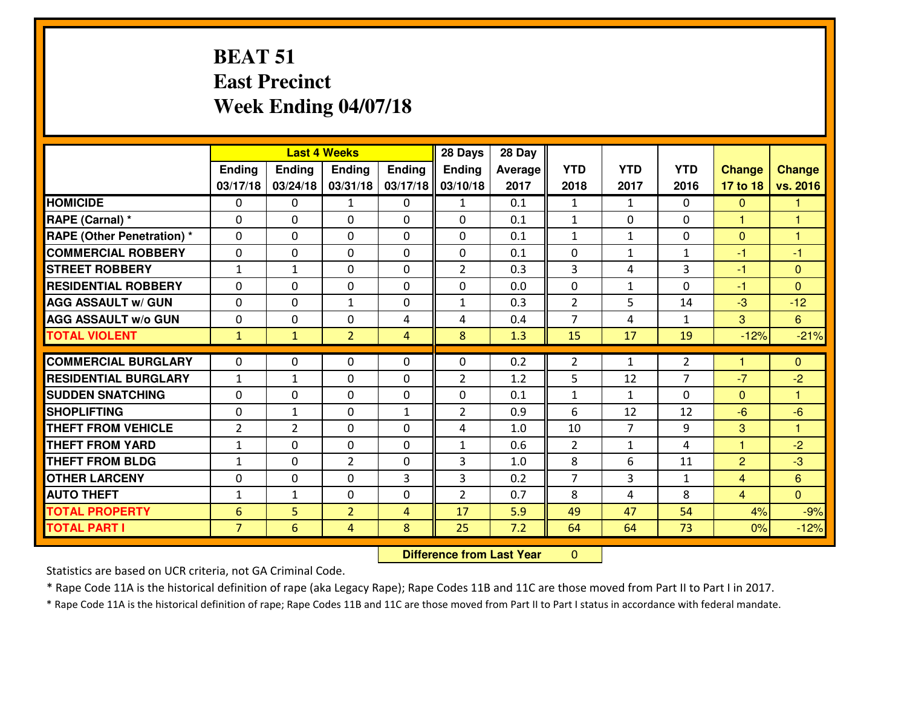#### **BEAT 51 East PrecinctWeek Ending 04/07/18**

|                                   | <b>Last 4 Weeks</b> |                |                |                | 28 Days        | 28 Day  |                |                |                |                |                |
|-----------------------------------|---------------------|----------------|----------------|----------------|----------------|---------|----------------|----------------|----------------|----------------|----------------|
|                                   | Ending              | <b>Ending</b>  | <b>Ending</b>  | <b>Ending</b>  | <b>Ending</b>  | Average | <b>YTD</b>     | <b>YTD</b>     | <b>YTD</b>     | <b>Change</b>  | <b>Change</b>  |
|                                   | 03/17/18            | 03/24/18       | 03/31/18       | 03/17/18       | 03/10/18       | 2017    | 2018           | 2017           | 2016           | 17 to 18       | vs. 2016       |
| <b>HOMICIDE</b>                   | $\Omega$            | 0              | $\mathbf{1}$   | 0              | $\mathbf{1}$   | 0.1     | 1              | $\mathbf{1}$   | $\Omega$       | $\mathbf 0$    | -1             |
| RAPE (Carnal) *                   | $\Omega$            | 0              | $\mathbf{0}$   | $\Omega$       | $\Omega$       | 0.1     | $\mathbf{1}$   | $\Omega$       | $\Omega$       | $\mathbf{1}$   | 1              |
| <b>RAPE (Other Penetration) *</b> | $\Omega$            | 0              | $\mathbf 0$    | 0              | 0              | 0.1     | $\mathbf{1}$   | $\mathbf{1}$   | 0              | $\mathbf{0}$   | $\mathbf{1}$   |
| <b>COMMERCIAL ROBBERY</b>         | 0                   | 0              | 0              | 0              | $\Omega$       | 0.1     | 0              | $\mathbf{1}$   | 1              | $-1$           | $-1$           |
| <b>STREET ROBBERY</b>             | $\mathbf{1}$        | $\mathbf{1}$   | $\mathbf 0$    | 0              | $\overline{2}$ | 0.3     | $\overline{3}$ | 4              | 3              | $-1$           | $\mathbf{0}$   |
| <b>RESIDENTIAL ROBBERY</b>        | 0                   | 0              | $\mathbf 0$    | 0              | 0              | 0.0     | $\mathbf 0$    | $\mathbf{1}$   | 0              | $-1$           | $\mathbf{0}$   |
| <b>AGG ASSAULT W/ GUN</b>         | 0                   | 0              | 1              | 0              | $\mathbf{1}$   | 0.3     | $\overline{2}$ | 5              | 14             | $-3$           | $-12$          |
| <b>AGG ASSAULT W/o GUN</b>        | 0                   | 0              | $\mathbf 0$    | 4              | 4              | 0.4     | $\overline{7}$ | 4              | $\mathbf{1}$   | 3              | $6\phantom{a}$ |
| <b>TOTAL VIOLENT</b>              | $\mathbf{1}$        | $\mathbf{1}$   | $\overline{2}$ | 4              | 8              | 1.3     | 15             | 17             | 19             | $-12%$         | $-21%$         |
| <b>COMMERCIAL BURGLARY</b>        | $\Omega$            | 0              | $\mathbf{0}$   | 0              | $\Omega$       | 0.2     | $\overline{2}$ | $\mathbf{1}$   | 2              | 1              | $\mathbf{0}$   |
|                                   |                     |                |                |                |                |         |                |                | $\overline{7}$ |                |                |
| <b>RESIDENTIAL BURGLARY</b>       | $\mathbf{1}$        | 1              | $\mathbf 0$    | 0              | $\overline{2}$ | 1.2     | 5              | 12             |                | $-7$           | $-2$           |
| <b>SUDDEN SNATCHING</b>           | $\Omega$            | 0              | $\mathbf{0}$   | $\Omega$       | $\Omega$       | 0.1     | $\mathbf{1}$   | $\mathbf{1}$   | $\Omega$       | $\mathbf{0}$   | $\overline{1}$ |
| <b>SHOPLIFTING</b>                | $\Omega$            | 1              | $\mathbf 0$    | $\mathbf{1}$   | $\overline{2}$ | 0.9     | 6              | 12             | 12             | $-6$           | $-6$           |
| <b>THEFT FROM VEHICLE</b>         | $\overline{2}$      | $\overline{2}$ | $\mathbf 0$    | 0              | 4              | 1.0     | 10             | $\overline{7}$ | 9              | 3              | $\overline{1}$ |
| <b>THEFT FROM YARD</b>            | $\mathbf{1}$        | 0              | $\mathbf 0$    | 0              | $\mathbf{1}$   | 0.6     | $\overline{2}$ | $\mathbf{1}$   | 4              | 1              | $-2$           |
| <b>THEFT FROM BLDG</b>            | $\mathbf{1}$        | 0              | $\overline{2}$ | 0              | 3              | 1.0     | 8              | 6              | 11             | $\overline{2}$ | $-3$           |
| <b>OTHER LARCENY</b>              | 0                   | 0              | $\mathbf 0$    | 3              | 3              | 0.2     | $\overline{7}$ | 3              | $\mathbf{1}$   | $\overline{4}$ | $6\phantom{1}$ |
| <b>AUTO THEFT</b>                 | $\mathbf{1}$        | 1              | 0              | 0              | $\overline{2}$ | 0.7     | 8              | 4              | 8              | $\overline{4}$ | $\overline{0}$ |
| <b>TOTAL PROPERTY</b>             | $6\phantom{1}6$     | 5              | $\overline{2}$ | $\overline{4}$ | 17             | 5.9     | 49             | 47             | 54             | 4%             | $-9%$          |
| <b>TOTAL PART I</b>               | $\overline{7}$      | 6              | 4              | 8              | 25             | 7.2     | 64             | 64             | 73             | 0%             | $-12%$         |

 **Difference from Last Year** $\mathbf{0}$ 

Statistics are based on UCR criteria, not GA Criminal Code.

\* Rape Code 11A is the historical definition of rape (aka Legacy Rape); Rape Codes 11B and 11C are those moved from Part II to Part I in 2017.

\* Rape Code 11A is the historical definition of rape; Rape Codes 11B and 11C are those moved from Part II to Part I status in accordance with federal mandate.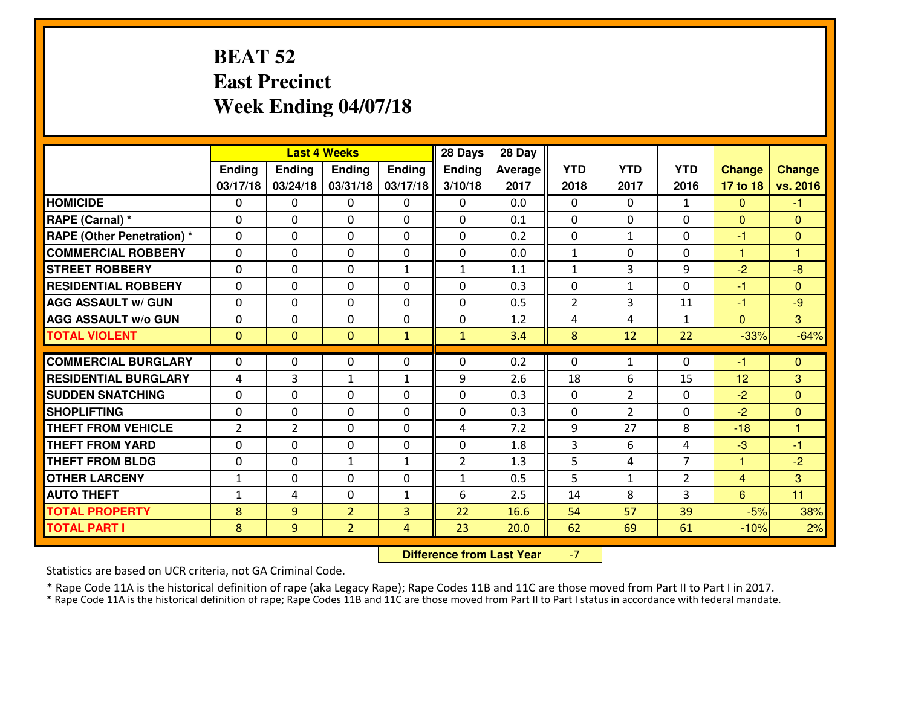#### **BEAT 52 East PrecinctWeek Ending 04/07/18**

|                                   | <b>Last 4 Weeks</b> |                |                |              | 28 Days        | 28 Day  |                |                |                |                |                      |
|-----------------------------------|---------------------|----------------|----------------|--------------|----------------|---------|----------------|----------------|----------------|----------------|----------------------|
|                                   | Ending              | <b>Ending</b>  | <b>Ending</b>  | Ending       | <b>Ending</b>  | Average | <b>YTD</b>     | <b>YTD</b>     | <b>YTD</b>     | <b>Change</b>  | <b>Change</b>        |
|                                   | 03/17/18            | 03/24/18       | 03/31/18       | 03/17/18     | 3/10/18        | 2017    | 2018           | 2017           | 2016           | 17 to 18       | vs. 2016             |
| <b>HOMICIDE</b>                   | $\Omega$            | 0              | 0              | $\Omega$     | $\Omega$       | 0.0     | 0              | $\Omega$       | $\mathbf{1}$   | $\Omega$       | $-1$                 |
| RAPE (Carnal) *                   | $\mathbf{0}$        | 0              | $\mathbf{0}$   | 0            | $\Omega$       | 0.1     | $\mathbf{0}$   | $\mathbf{0}$   | 0              | $\Omega$       | $\mathbf{0}$         |
| <b>RAPE (Other Penetration) *</b> | $\Omega$            | 0              | $\mathbf{0}$   | $\Omega$     | $\Omega$       | 0.2     | $\mathbf{0}$   | $\mathbf{1}$   | 0              | $-1$           | $\mathbf{0}$         |
| <b>COMMERCIAL ROBBERY</b>         | 0                   | 0              | $\mathbf 0$    | 0            | 0              | 0.0     | $\mathbf{1}$   | 0              | 0              | 1              | 1                    |
| <b>STREET ROBBERY</b>             | 0                   | 0              | $\mathbf 0$    | $\mathbf{1}$ | $\mathbf{1}$   | 1.1     | $\mathbf 1$    | $\overline{3}$ | 9              | $-2$           | $-8$                 |
| <b>RESIDENTIAL ROBBERY</b>        | $\Omega$            | $\Omega$       | $\mathbf 0$    | $\Omega$     | 0              | 0.3     | 0              | $\mathbf{1}$   | $\Omega$       | $-1$           | $\Omega$             |
| <b>AGG ASSAULT w/ GUN</b>         | $\Omega$            | $\Omega$       | $\mathbf 0$    | 0            | 0              | 0.5     | $\overline{2}$ | 3              | 11             | $-1$           | $-9$                 |
| <b>AGG ASSAULT W/o GUN</b>        | 0                   | 0              | $\mathbf 0$    | $\mathbf 0$  | 0              | 1.2     | 4              | 4              | $\mathbf{1}$   | $\mathbf{0}$   | $\overline{3}$       |
| <b>TOTAL VIOLENT</b>              | $\mathbf{0}$        | $\overline{0}$ | $\mathbf{O}$   | $\mathbf{1}$ | $\mathbf{1}$   | 3.4     | 8              | 12             | 22             | $-33%$         | $-64%$               |
| <b>COMMERCIAL BURGLARY</b>        | $\Omega$            | 0              | $\mathbf{0}$   | $\Omega$     | $\Omega$       | 0.2     | $\Omega$       | $\mathbf{1}$   | 0              | $-1$           | $\mathbf{0}$         |
| <b>RESIDENTIAL BURGLARY</b>       | 4                   | 3              | $\mathbf{1}$   | $\mathbf{1}$ | 9              | 2.6     | 18             | 6              | 15             | 12             | 3                    |
| <b>SUDDEN SNATCHING</b>           | 0                   | 0              | 0              | 0            | 0              | 0.3     | 0              | $\overline{2}$ | 0              | $-2$           | $\overline{0}$       |
| <b>SHOPLIFTING</b>                | 0                   | 0              | $\mathbf 0$    | 0            | 0              | 0.3     | 0              | $\overline{2}$ | 0              | $-2$           | $\overline{0}$       |
| <b>THEFT FROM VEHICLE</b>         | $\overline{2}$      | $\overline{2}$ | $\mathbf 0$    | 0            | 4              | 7.2     | 9              | 27             | 8              | $-18$          | $\blacktriangleleft$ |
| <b>THEFT FROM YARD</b>            | 0                   | 0              | $\mathbf 0$    | 0            | 0              | 1.8     | 3              | 6              | 4              | $-3$           | $-1$                 |
| <b>THEFT FROM BLDG</b>            | 0                   | 0              | 1              | $\mathbf{1}$ | $\overline{2}$ | 1.3     | 5              | 4              | $\overline{7}$ | $\mathbf{1}$   | $-2$                 |
| <b>OTHER LARCENY</b>              | $1\,$               | 0              | $\mathbf 0$    | 0            | $\mathbf{1}$   | 0.5     | 5              | $\mathbf{1}$   | $\overline{2}$ | $\overline{4}$ | 3                    |
| <b>AUTO THEFT</b>                 | $\mathbf{1}$        | 4              | $\mathbf{0}$   | $\mathbf{1}$ | 6              | 2.5     | 14             | 8              | 3              | 6              | 11                   |
| <b>TOTAL PROPERTY</b>             | 8                   | 9              | $\overline{2}$ | 3            | 22             | 16.6    | 54             | 57             | 39             | $-5%$          | 38%                  |
| <b>TOTAL PART I</b>               | 8                   | 9              | $\overline{2}$ | 4            | 23             | 20.0    | 62             | 69             | 61             | $-10%$         | 2%                   |

 **Difference from Last Year**-7

Statistics are based on UCR criteria, not GA Criminal Code.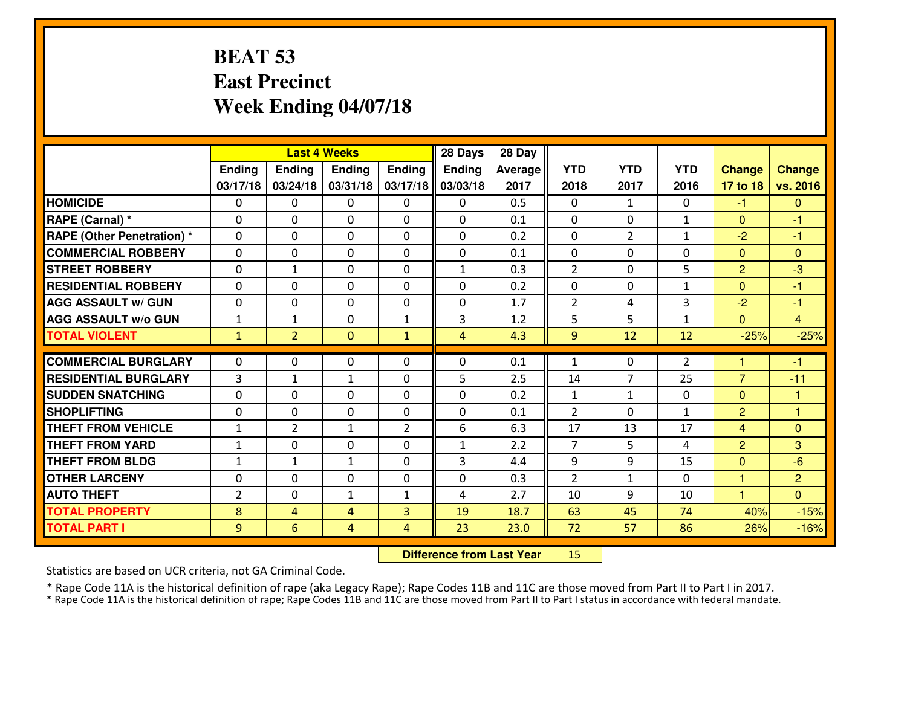#### **BEAT 53 East PrecinctWeek Ending 04/07/18**

|                                   | <b>Last 4 Weeks</b> |                |               |                | 28 Days        | 28 Day  |                |                |                |                |                |
|-----------------------------------|---------------------|----------------|---------------|----------------|----------------|---------|----------------|----------------|----------------|----------------|----------------|
|                                   | Ending              | <b>Ending</b>  | <b>Ending</b> | <b>Ending</b>  | <b>Ending</b>  | Average | <b>YTD</b>     | <b>YTD</b>     | <b>YTD</b>     | <b>Change</b>  | <b>Change</b>  |
|                                   | 03/17/18            | 03/24/18       | 03/31/18      | 03/17/18       | 03/03/18       | 2017    | 2018           | 2017           | 2016           | 17 to 18       | vs. 2016       |
| <b>HOMICIDE</b>                   | $\Omega$            | 0              | $\mathbf{0}$  | $\Omega$       | 0              | 0.5     | $\Omega$       | $\mathbf{1}$   | $\Omega$       | $-1$           | $\Omega$       |
| RAPE (Carnal) *                   | $\Omega$            | 0              | $\Omega$      | $\Omega$       | $\Omega$       | 0.1     | $\Omega$       | $\Omega$       | $\mathbf{1}$   | $\mathbf{0}$   | -1             |
| <b>RAPE (Other Penetration) *</b> | $\Omega$            | 0              | $\mathbf 0$   | 0              | 0              | 0.2     | 0              | $\overline{2}$ | $\mathbf{1}$   | $-2$           | $-1$           |
| <b>COMMERCIAL ROBBERY</b>         | 0                   | 0              | 0             | 0              | 0              | 0.1     | $\mathbf{0}$   | 0              | $\Omega$       | $\mathbf{0}$   | $\mathbf{0}$   |
| <b>STREET ROBBERY</b>             | $\Omega$            | $\mathbf{1}$   | $\mathbf 0$   | 0              | $\mathbf{1}$   | 0.3     | $\overline{2}$ | $\mathbf 0$    | 5              | $\overline{2}$ | $-3$           |
| <b>RESIDENTIAL ROBBERY</b>        | 0                   | 0              | $\mathbf 0$   | 0              | 0              | 0.2     | $\mathbf 0$    | $\mathbf 0$    | $\mathbf{1}$   | $\overline{0}$ | $-1$           |
| <b>AGG ASSAULT W/ GUN</b>         | 0                   | 0              | $\mathbf 0$   | 0              | $\mathbf 0$    | 1.7     | $\overline{2}$ | 4              | 3              | $-2$           | $-1$           |
| <b>AGG ASSAULT W/o GUN</b>        | $\mathbf{1}$        | 1              | $\mathbf 0$   | $\mathbf{1}$   | 3              | 1.2     | 5              | 5              | $\mathbf{1}$   | $\mathbf{0}$   | $\overline{4}$ |
| <b>TOTAL VIOLENT</b>              | $\mathbf{1}$        | $\overline{2}$ | $\mathbf{0}$  | $\mathbf{1}$   | $\overline{4}$ | 4.3     | 9              | 12             | 12             | $-25%$         | $-25%$         |
|                                   |                     |                |               |                |                |         |                |                |                |                |                |
| <b>COMMERCIAL BURGLARY</b>        | $\Omega$            | 0              | $\mathbf{0}$  | $\Omega$       | $\Omega$       | 0.1     | 1              | $\mathbf{0}$   | $\overline{2}$ | 1              | $-1$           |
| <b>RESIDENTIAL BURGLARY</b>       | 3                   | 1              | $\mathbf{1}$  | 0              | 5              | 2.5     | 14             | 7              | 25             | $\overline{7}$ | $-11$          |
| <b>SUDDEN SNATCHING</b>           | $\Omega$            | 0              | $\mathbf{0}$  | $\Omega$       | $\Omega$       | 0.2     | $\mathbf{1}$   | $\mathbf{1}$   | $\Omega$       | $\mathbf{0}$   | 1              |
| <b>SHOPLIFTING</b>                | $\Omega$            | $\Omega$       | $\mathbf 0$   | $\Omega$       | 0              | 0.1     | 2              | $\Omega$       | $\mathbf{1}$   | $\overline{2}$ | 1              |
| <b>THEFT FROM VEHICLE</b>         | $\mathbf{1}$        | $\overline{2}$ | $\mathbf{1}$  | $\overline{2}$ | 6              | 6.3     | 17             | 13             | 17             | $\overline{4}$ | $\mathbf{0}$   |
| <b>THEFT FROM YARD</b>            | $\mathbf{1}$        | 0              | $\mathbf 0$   | 0              | $\mathbf{1}$   | 2.2     | $\overline{7}$ | 5              | 4              | $\overline{2}$ | 3              |
| <b>THEFT FROM BLDG</b>            | $\mathbf{1}$        | 1              | $\mathbf{1}$  | 0              | 3              | 4.4     | 9              | 9              | 15             | $\mathbf{0}$   | $-6$           |
| <b>OTHER LARCENY</b>              | 0                   | 0              | $\mathbf 0$   | 0              | 0              | 0.3     | $\overline{2}$ | $\mathbf{1}$   | 0              | $\mathbf{1}$   | $\overline{2}$ |
| <b>AUTO THEFT</b>                 | $\overline{2}$      | 0              | 1             | $\mathbf{1}$   | 4              | 2.7     | 10             | 9              | 10             | 1              | $\overline{0}$ |
| <b>TOTAL PROPERTY</b>             | 8                   | 4              | 4             | 3              | 19             | 18.7    | 63             | 45             | 74             | 40%            | $-15%$         |
| <b>TOTAL PART I</b>               | 9                   | 6              | 4             | 4              | 23             | 23.0    | 72             | 57             | 86             | 26%            | $-16%$         |

 **Difference from Last Year**<sup>15</sup>

Statistics are based on UCR criteria, not GA Criminal Code.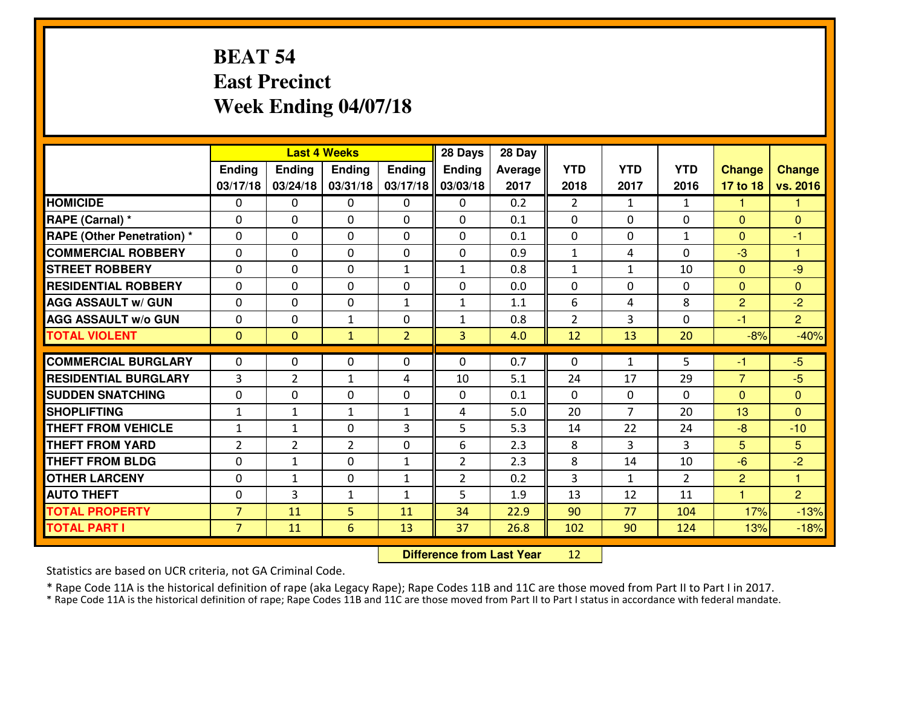#### **BEAT 54 East PrecinctWeek Ending 04/07/18**

|                                  | <b>Last 4 Weeks</b> |                |                |                | 28 Days        | 28 Day  |                |                |                |                |                |
|----------------------------------|---------------------|----------------|----------------|----------------|----------------|---------|----------------|----------------|----------------|----------------|----------------|
|                                  | Ending              | Ending         | <b>Ending</b>  | <b>Ending</b>  | <b>Ending</b>  | Average | <b>YTD</b>     | <b>YTD</b>     | <b>YTD</b>     | <b>Change</b>  | <b>Change</b>  |
|                                  | 03/17/18            | 03/24/18       | 03/31/18       | 03/17/18       | 03/03/18       | 2017    | 2018           | 2017           | 2016           | 17 to 18       | vs. 2016       |
| <b>HOMICIDE</b>                  | $\Omega$            | 0              | $\mathbf{0}$   | $\Omega$       | $\Omega$       | 0.2     | $\overline{2}$ | $\mathbf{1}$   | $\mathbf{1}$   | -1             | 1              |
| RAPE (Carnal) *                  | $\Omega$            | 0              | $\mathbf{0}$   | 0              | $\Omega$       | 0.1     | $\Omega$       | $\Omega$       | 0              | $\Omega$       | $\Omega$       |
| <b>RAPE (Other Penetration)*</b> | 0                   | 0              | $\mathbf 0$    | 0              | 0              | 0.1     | 0              | 0              | $\mathbf{1}$   | $\Omega$       | $-1$           |
| <b>COMMERCIAL ROBBERY</b>        | $\mathbf{0}$        | 0              | 0              | 0              | $\Omega$       | 0.9     | $\mathbf{1}$   | 4              | 0              | $-3$           | $\overline{1}$ |
| <b>STREET ROBBERY</b>            | 0                   | 0              | $\mathbf 0$    | $\mathbf{1}$   | $\mathbf{1}$   | 0.8     | $\mathbf 1$    | $\mathbf{1}$   | 10             | $\mathbf{0}$   | $-9$           |
| <b>RESIDENTIAL ROBBERY</b>       | 0                   | 0              | $\mathbf 0$    | 0              | 0              | 0.0     | 0              | 0              | 0              | $\mathbf{0}$   | $\overline{0}$ |
| <b>AGG ASSAULT W/ GUN</b>        | 0                   | 0              | $\mathbf 0$    | $\mathbf{1}$   | $\mathbf{1}$   | 1.1     | 6              | 4              | 8              | $\overline{2}$ | $-2$           |
| <b>AGG ASSAULT W/o GUN</b>       | 0                   | 0              | $\mathbf{1}$   | 0              | $\mathbf{1}$   | 0.8     | $\overline{2}$ | 3              | 0              | $-1$           | $\overline{2}$ |
| <b>TOTAL VIOLENT</b>             | $\mathbf{0}$        | $\overline{0}$ | $\mathbf{1}$   | $\overline{2}$ | 3              | 4.0     | 12             | 13             | 20             | $-8%$          | $-40%$         |
| <b>COMMERCIAL BURGLARY</b>       | $\Omega$            | 0              | $\mathbf{0}$   | 0              | $\Omega$       | 0.7     | $\mathbf{0}$   | $\mathbf{1}$   | 5              | -1             | $-5$           |
| <b>RESIDENTIAL BURGLARY</b>      | 3                   | $\overline{2}$ | 1              | 4              | 10             | 5.1     | 24             | 17             | 29             | $\overline{7}$ | $-5$           |
| <b>SUDDEN SNATCHING</b>          | $\mathbf{0}$        | 0              | $\mathbf{0}$   | $\Omega$       | $\Omega$       | 0.1     | $\Omega$       | $\mathbf{0}$   | 0              | $\Omega$       | $\Omega$       |
| <b>SHOPLIFTING</b>               | $\mathbf{1}$        | $\mathbf{1}$   | $\mathbf{1}$   | $\mathbf{1}$   | 4              | 5.0     | 20             | $\overline{7}$ | 20             | 13             | $\Omega$       |
| <b>THEFT FROM VEHICLE</b>        | $\mathbf{1}$        | $\mathbf{1}$   | $\mathbf 0$    | 3              | 5              | 5.3     | 14             | 22             | 24             | $-8$           | $-10$          |
| <b>THEFT FROM YARD</b>           | $\overline{2}$      | $\overline{2}$ | $\overline{2}$ | 0              | 6              | 2.3     | 8              | 3              | 3              | 5              | 5              |
| <b>THEFT FROM BLDG</b>           | $\mathbf{0}$        | $\mathbf{1}$   | $\mathbf 0$    | $\mathbf{1}$   | $\overline{2}$ | 2.3     | 8              | 14             | 10             | $-6$           | $-2$           |
| <b>OTHER LARCENY</b>             | 0                   | $\mathbf{1}$   | $\mathbf 0$    | $\mathbf{1}$   | $\overline{2}$ | 0.2     | 3              | $\mathbf{1}$   | $\overline{2}$ | $\overline{2}$ | $\overline{1}$ |
| <b>AUTO THEFT</b>                | $\mathbf{0}$        | 3              | $\mathbf{1}$   | $\mathbf{1}$   | 5              | 1.9     | 13             | 12             | 11             | $\overline{1}$ | $\overline{2}$ |
| <b>TOTAL PROPERTY</b>            | $\overline{7}$      | 11             | 5              | 11             | 34             | 22.9    | 90             | 77             | 104            | 17%            | $-13%$         |
| <b>TOTAL PART I</b>              | $\overline{7}$      | 11             | 6              | 13             | 37             | 26.8    | 102            | 90             | 124            | 13%            | $-18%$         |

 **Difference from Last Year**<sup>12</sup>

Statistics are based on UCR criteria, not GA Criminal Code.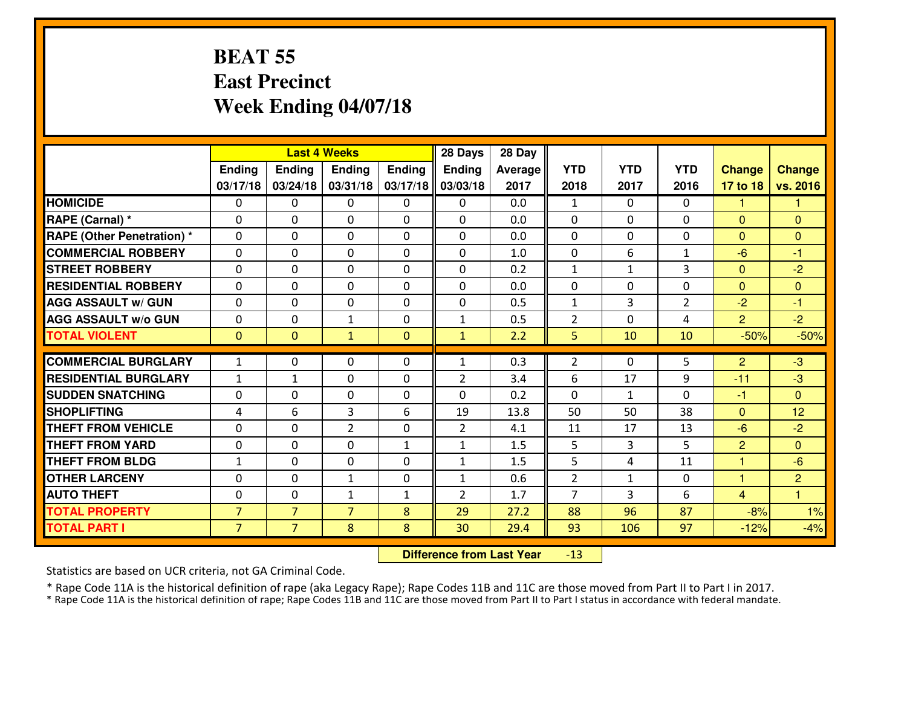#### **BEAT 55 East PrecinctWeek Ending 04/07/18**

|                                   | <b>Last 4 Weeks</b> |                |                |               | 28 Days        | 28 Day  |                |              |                |                |                |
|-----------------------------------|---------------------|----------------|----------------|---------------|----------------|---------|----------------|--------------|----------------|----------------|----------------|
|                                   | <b>Ending</b>       | <b>Ending</b>  | <b>Ending</b>  | <b>Ending</b> | <b>Ending</b>  | Average | <b>YTD</b>     | <b>YTD</b>   | <b>YTD</b>     | <b>Change</b>  | <b>Change</b>  |
|                                   | 03/17/18            | 03/24/18       | 03/31/18       | 03/17/18      | 03/03/18       | 2017    | 2018           | 2017         | 2016           | 17 to 18       | vs. 2016       |
| <b>HOMICIDE</b>                   | $\Omega$            | 0              | 0              | 0             | 0              | 0.0     | $\mathbf{1}$   | $\Omega$     | 0              | 1              | 1              |
| RAPE (Carnal) *                   | $\Omega$            | $\Omega$       | $\mathbf 0$    | $\Omega$      | $\Omega$       | 0.0     | $\Omega$       | $\Omega$     | $\Omega$       | $\mathbf{0}$   | $\Omega$       |
| <b>RAPE (Other Penetration) *</b> | 0                   | 0              | $\mathbf 0$    | 0             | 0              | 0.0     | 0              | 0            | 0              | $\overline{0}$ | $\overline{0}$ |
| <b>COMMERCIAL ROBBERY</b>         | 0                   | 0              | $\mathbf 0$    | 0             | 0              | 1.0     | 0              | 6            | $\mathbf{1}$   | $-6$           | $-1$           |
| <b>STREET ROBBERY</b>             | 0                   | 0              | $\mathbf 0$    | 0             | 0              | 0.2     | $\mathbf 1$    | $\mathbf{1}$ | 3              | $\mathbf{0}$   | $-2$           |
| <b>RESIDENTIAL ROBBERY</b>        | 0                   | 0              | $\mathbf 0$    | $\Omega$      | 0              | 0.0     | 0              | $\Omega$     | 0              | $\Omega$       | $\overline{0}$ |
| <b>AGG ASSAULT w/ GUN</b>         | 0                   | 0              | $\mathbf 0$    | 0             | 0              | 0.5     | $\mathbf{1}$   | 3            | $\overline{2}$ | $-2$           | $-1$           |
| <b>AGG ASSAULT W/o GUN</b>        | 0                   | 0              | $\mathbf{1}$   | 0             | $\mathbf{1}$   | 0.5     | $\overline{2}$ | $\Omega$     | 4              | $\overline{2}$ | $-2$           |
| <b>TOTAL VIOLENT</b>              | $\mathbf{0}$        | $\overline{0}$ | $\mathbf{1}$   | $\mathbf{0}$  | $\mathbf{1}$   | 2.2     | 5              | 10           | 10             | $-50%$         | $-50%$         |
| <b>COMMERCIAL BURGLARY</b>        | $\mathbf{1}$        | 0              |                | $\Omega$      | $\mathbf{1}$   | 0.3     | $\overline{2}$ | $\Omega$     | 5              | 2              | $-3$           |
|                                   |                     |                | 0              |               |                |         |                |              |                |                |                |
| <b>RESIDENTIAL BURGLARY</b>       | $\mathbf{1}$        | 1              | $\mathbf 0$    | 0             | $\overline{2}$ | 3.4     | 6              | 17           | 9              | $-11$          | $-3$           |
| <b>SUDDEN SNATCHING</b>           | 0                   | $\Omega$       | $\mathbf 0$    | 0             | $\Omega$       | 0.2     | $\Omega$       | $\mathbf{1}$ | $\Omega$       | $-1$           | $\Omega$       |
| <b>SHOPLIFTING</b>                | 4                   | 6              | 3              | 6             | 19             | 13.8    | 50             | 50           | 38             | $\Omega$       | 12             |
| <b>THEFT FROM VEHICLE</b>         | $\mathbf{0}$        | 0              | $\overline{2}$ | 0             | $\overline{2}$ | 4.1     | 11             | 17           | 13             | $-6$           | $-2$           |
| <b>THEFT FROM YARD</b>            | 0                   | 0              | $\mathbf 0$    | $\mathbf{1}$  | $\mathbf{1}$   | 1.5     | 5              | 3            | 5              | $\overline{2}$ | $\overline{0}$ |
| <b>THEFT FROM BLDG</b>            | $\mathbf{1}$        | 0              | $\mathbf 0$    | $\Omega$      | $\mathbf{1}$   | 1.5     | 5              | 4            | 11             | 1              | $-6$           |
| <b>OTHER LARCENY</b>              | $\mathbf 0$         | $\mathbf 0$    | $\mathbf{1}$   | $\mathbf 0$   | $\mathbf{1}$   | 0.6     | $\overline{2}$ | $\mathbf{1}$ | 0              | $\mathbf{1}$   | $\overline{2}$ |
| <b>AUTO THEFT</b>                 | 0                   | $\Omega$       | $\mathbf{1}$   | $\mathbf{1}$  | $\overline{2}$ | 1.7     | $\overline{7}$ | 3            | 6              | $\overline{4}$ | $\overline{1}$ |
| <b>TOTAL PROPERTY</b>             | $\overline{7}$      | $\overline{7}$ | $\overline{7}$ | 8             | 29             | 27.2    | 88             | 96           | 87             | $-8%$          | 1%             |
| <b>TOTAL PART I</b>               | $\overline{7}$      | $\overline{7}$ | 8              | 8             | 30             | 29.4    | 93             | 106          | 97             | $-12%$         | $-4%$          |

 **Difference from Last Year**-13

Statistics are based on UCR criteria, not GA Criminal Code.